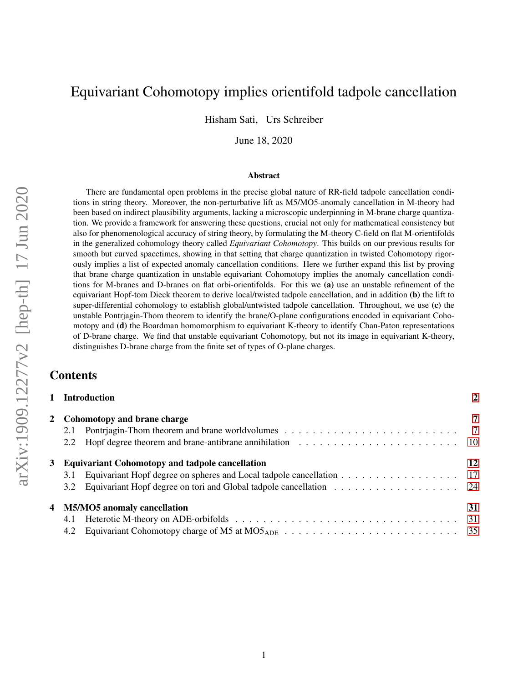# <span id="page-0-0"></span>Equivariant Cohomotopy implies orientifold tadpole cancellation

Hisham Sati, Urs Schreiber

June 18, 2020

#### Abstract

There are fundamental open problems in the precise global nature of RR-field tadpole cancellation conditions in string theory. Moreover, the non-perturbative lift as M5/MO5-anomaly cancellation in M-theory had been based on indirect plausibility arguments, lacking a microscopic underpinning in M-brane charge quantization. We provide a framework for answering these questions, crucial not only for mathematical consistency but also for phenomenological accuracy of string theory, by formulating the M-theory C-field on flat M-orientifolds in the generalized cohomology theory called *Equivariant Cohomotopy*. This builds on our previous results for smooth but curved spacetimes, showing in that setting that charge quantization in twisted Cohomotopy rigorously implies a list of expected anomaly cancellation conditions. Here we further expand this list by proving that brane charge quantization in unstable equivariant Cohomotopy implies the anomaly cancellation conditions for M-branes and D-branes on flat orbi-orientifolds. For this we (a) use an unstable refinement of the equivariant Hopf-tom Dieck theorem to derive local/twisted tadpole cancellation, and in addition (b) the lift to super-differential cohomology to establish global/untwisted tadpole cancellation. Throughout, we use (c) the unstable Pontrjagin-Thom theorem to identify the brane/O-plane configurations encoded in equivariant Cohomotopy and (d) the Boardman homomorphism to equivariant K-theory to identify Chan-Paton representations of D-brane charge. We find that unstable equivariant Cohomotopy, but not its image in equivariant K-theory, distinguishes D-brane charge from the finite set of types of O-plane charges.

## Contents

|                               | 1 Introduction                                                         |    |  |
|-------------------------------|------------------------------------------------------------------------|----|--|
| 2 Cohomotopy and brane charge |                                                                        |    |  |
| 2.1                           |                                                                        |    |  |
|                               |                                                                        |    |  |
|                               | 3 Equivariant Cohomotopy and tadpole cancellation                      | 12 |  |
| 3.1                           |                                                                        |    |  |
|                               | 3.2 Equivariant Hopf degree on tori and Global tadpole cancellation 24 |    |  |
|                               | 4 M5/MO5 anomaly cancellation                                          | 31 |  |
| 4.1                           |                                                                        |    |  |
|                               |                                                                        |    |  |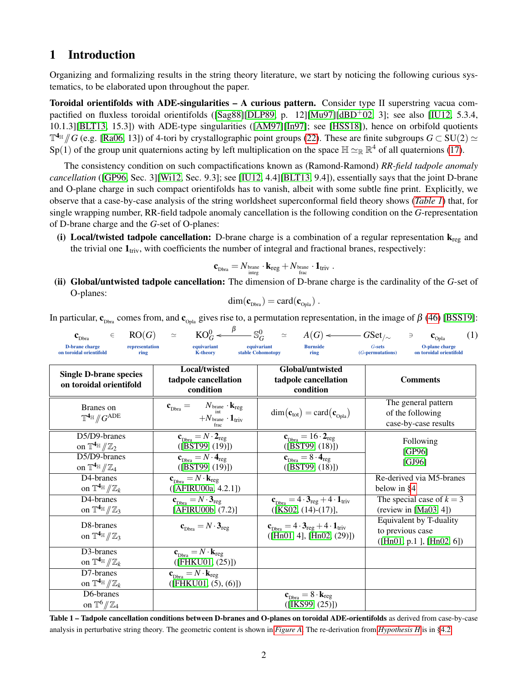# <span id="page-1-0"></span>1 Introduction

Organizing and formalizing results in the string theory literature, we start by noticing the following curious systematics, to be elaborated upon throughout the paper.

Toroidal orientifolds with ADE-singularities – A curious pattern. Consider type II superstring vacua com-pactified on fluxless toroidal orientifolds ([\[Sag88\]](#page-44-0)[\[DLP89,](#page-40-0) p. 12][\[Mu97\]](#page-44-1)[\[dBD](#page-40-1)<sup>+</sup>02, 3]; see also [\[IU12,](#page-43-0) 5.3.4, 10.1.3][\[BLT13,](#page-40-2) 15.3]) with ADE-type singularities ([\[AM97\]](#page-40-3)[\[In97\]](#page-43-1); see [\[HSS18\]](#page-43-2)), hence on orbifold quotients  $\mathbb{T}^{4_{\mathbb{H}}}/G$  (e.g. [\[Ra06,](#page-44-2) 13]) of 4-tori by crystallographic point groups [\(22\)](#page-14-0). These are finite subgroups  $G \subset SU(2) \simeq$ <br>Sp(1) of the group unit quaternions acting by left multiplication on the space  $\mathbb{H} \simeq \mathbb{$ Sp(1) of the group unit quaternions acting by left multiplication on the space  $\mathbb{H} \simeq_{\mathbb{R}} \mathbb{R}^4$  of all quaternions [\(17\)](#page-12-0).

The consistency condition on such compactifications known as (Ramond-Ramond) *RR-field tadpole anomaly cancellation* ([\[GP96,](#page-42-0) Sec. 3][\[Wi12,](#page-45-0) Sec. 9.3]; see [\[IU12,](#page-43-0) 4.4][\[BLT13,](#page-40-2) 9.4]), essentially says that the joint D-brane and O-plane charge in such compact orientifolds has to vanish, albeit with some subtle fine print. Explicitly, we observe that a case-by-case analysis of the string worldsheet superconformal field theory shows (*[Table 1](#page-1-1)*) that, for single wrapping number, RR-field tadpole anomaly cancellation is the following condition on the *G*-representation of D-brane charge and the *G*-set of O-planes:

(i) Local/twisted tadpole cancellation: D-brane charge is a combination of a regular representation  $k_{\text{rec}}$  and the trivial one  $\mathbf{1}_{triv}$ , with coefficients the number of integral and fractional branes, respectively:

$$
\mathbf{c}_\mathrm{Dbra} = N_\mathrm{brane} \cdot \mathbf{k}_\mathrm{reg} + N_\mathrm{brane} \cdot \mathbf{1}_\mathrm{triv} \ .
$$

(ii) Global/untwisted tadpole cancellation: The dimension of D-brane charge is the cardinality of the *G*-set of O-planes:

$$
\dim(\mathbf{c}_{\text{Dbra}}) = \text{card}(\mathbf{c}_{\text{Opla}}) \ .
$$

In particular,  $c_{Dbra}$  comes from, and  $c_{Oph}$  gives rise to, a permutation representation, in the image of  $\beta$  [\(46\)](#page-21-0) [\[BSS19\]](#page-40-4):

<span id="page-1-1"></span>

| $\in$<br>$\mathbf{c}_\text{Dbra}$<br><b>D-brane</b> charge<br>representation<br>on toroidal orientifold<br>ring           | equivariant<br><b>K-theory</b>                                                                                                            | $RO(G) \approx KO_G^0 \leftarrow \overset{\beta}{\longrightarrow} S_G^0 \approx A(G) \leftarrow \overset{\beta}{\longrightarrow} GSet_{\gamma}$<br>equivariant<br><b>Burnside</b><br>stable Cohomotopy<br>ring | (1)<br>$\Rightarrow$<br>$\mathbf{c}_{\text{Opla}}$<br>G-sets<br>O-plane charge<br>(G-permutations)<br>on toroidal orientifold |  |
|---------------------------------------------------------------------------------------------------------------------------|-------------------------------------------------------------------------------------------------------------------------------------------|----------------------------------------------------------------------------------------------------------------------------------------------------------------------------------------------------------------|-------------------------------------------------------------------------------------------------------------------------------|--|
| <b>Single D-brane species</b><br>on toroidal orientifold                                                                  | Local/twisted<br>tadpole cancellation<br>condition                                                                                        | Global/untwisted<br>tadpole cancellation<br>condition                                                                                                                                                          | <b>Comments</b>                                                                                                               |  |
| Branes on<br>$\mathbb{T}^{4_{\mathbb{H}}}/\hspace{-3pt}/ G^{\mathrm{ADE}}$                                                | $\mathbf{c}_{\text{Dbra}} = N_{\text{brane}} \cdot \mathbf{k}_{\text{reg}}$<br>$+N_{\text{brane}} \cdot \mathbf{1}_{\text{triv}}$         | $\dim(\mathbf{c}_{\text{tot}}) = \text{card}(\mathbf{c}_{\text{Oula}})$                                                                                                                                        | The general pattern<br>of the following<br>case-by-case results                                                               |  |
| D5/D9-branes<br>on $\mathbb{T}^{4}$ <sup>H</sup> $/\mathbb{Z}_2$<br>D5/D9-branes                                          | ${\bf c}_{\text{Dbra}} = N \cdot {\bf 2}_{\text{reg}}$<br>([BST99, (19)])<br>${\bf c}_{\text{\tiny Dbra}} = N \cdot {\bf 4}_{\text{reg}}$ | $\mathbf{c}_{\text{Dbra}} = 16 \cdot \mathbf{2}_{\text{reg}}$<br>([BST99, (18)])<br>$\mathbf{c}_{\text{Dbra}} = 8 \cdot \mathbf{4}_{\text{reg}}$                                                               | Following<br>[GP96]                                                                                                           |  |
| on $\mathbb{T}^{4}$ <sup>H</sup> $/\!\!/ \mathbb{Z}_4$<br>D <sub>4</sub> -branes                                          | ([BST99, (19)])<br>$\mathbf{c}_{\text{Dbra}} = N \cdot \mathbf{k}_{\text{reg}}$                                                           | ([BST99, (18)])                                                                                                                                                                                                | [GJ96]<br>Re-derived via M5-branes                                                                                            |  |
| on $\mathbb{T}^{4}$ <sup>III</sup> $/\!\!/ \mathbb{Z}_k$<br>D4-branes<br>on $\mathbb{T}^{4}$ <sup>H</sup> $/\mathbb{Z}_3$ | ([AFIRU00a, 4.2.1])<br>${\bf c}_{\text{Dbra}} = N \cdot {\bf 3}_{\text{reg}}$<br>[AFIRU00b, (7.2)]                                        | $\mathbf{c}_{\text{Dbra}} = 4 \cdot \mathbf{3}_{\text{reg}} + 4 \cdot \mathbf{1}_{\text{triv}}$<br>$([KSO2, (14)-(17)],$                                                                                       | below in §4<br>The special case of $k = 3$<br>(review in $[Ma03, 4]$ )                                                        |  |
| D8-branes<br>on $\mathbb{T}^{4}$ <sup><math>\mathbb{H}</math></sup> $\mathbb{Z}_3$                                        | ${\bf c}_{\text{Dbra}} = N \cdot {\bf 3}_{\text{reg}}$                                                                                    | $\mathbf{c}_{\text{Dbra}} = 4 \cdot \mathbf{3}_{\text{reg}} + 4 \cdot \mathbf{1}_{\text{triv}}$<br>([Hn01, 4], [Hn02, (29)])                                                                                   | Equivalent by T-duality<br>to previous case<br>([Hn01, p.1], [Hn02, 6])                                                       |  |
| D3-branes<br>on $\mathbb{T}^{4}$ <sup>III</sup> $/\!\!/ \mathbb{Z}_k$                                                     | $\mathbf{c}_{\text{Dbra}} = N \cdot \mathbf{k}_{\text{reg}}$<br>(FHKU01, (25))                                                            |                                                                                                                                                                                                                |                                                                                                                               |  |
| $\overline{D}$ 7-branes<br>on $\mathbb{T}^{4}$ <sup>III</sup> $/\!\!/ \mathbb{Z}_k$                                       | $\mathbf{c}_{\text{Dbra}} = N \cdot \mathbf{k}_{\text{reg}}$<br>([FHKU01, (5), (6)])                                                      |                                                                                                                                                                                                                |                                                                                                                               |  |
| D6-branes<br>on $\mathbb{T}^6/\!\!/ \mathbb{Z}_4$                                                                         |                                                                                                                                           | $\mathbf{c}_{\text{Dbra}} = 8 \cdot \mathbf{k}_{\text{reg}}$<br>([IKS99, (25)])                                                                                                                                |                                                                                                                               |  |

Table 1 – Tadpole cancellation conditions between D-branes and O-planes on toroidal ADE-orientifolds as derived from case-by-case analysis in perturbative string theory. The geometric content is shown in *[Figure A](#page-2-0)*. The re-derivation from *[Hypothesis H](#page-4-0)* is in [§4.2.](#page-34-0)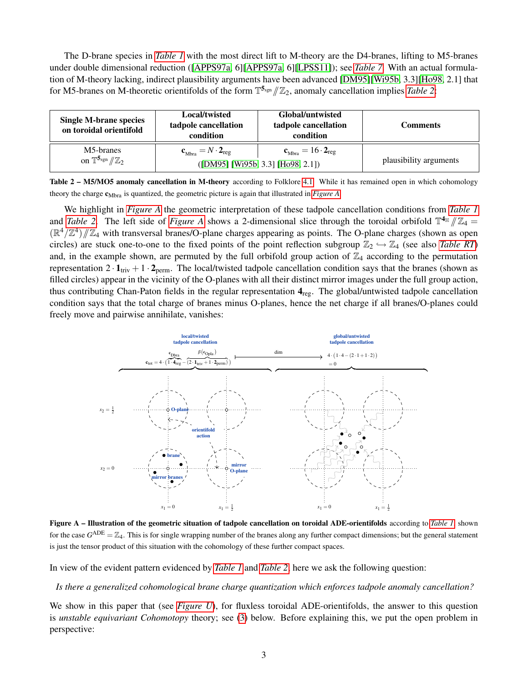The D-brane species in *[Table 1](#page-1-1)* with the most direct lift to M-theory are the D4-branes, lifting to M5-branes under double dimensional reduction ([\[APPS97a,](#page-39-2) 6][\[APPS97a,](#page-39-2) 6][\[LPSS11\]](#page-43-8)); see *[Table 7](#page-33-0)*. With an actual formulation of M-theory lacking, indirect plausibility arguments have been advanced [\[DM95\]](#page-40-6)[\[Wi95b,](#page-45-1) 3.3][\[Ho98,](#page-43-9) 2.1] that for M5-branes on M-theoretic orientifolds of the form  $\mathbb{T}^{5_{\text{sgn}}}/\mathbb{Z}_2$ , anomaly cancellation implies *[Table 2](#page-2-1)*:

<span id="page-2-1"></span>

| Local/twisted<br><b>Single M-brane species</b><br>tadpole cancellation<br>on toroidal orientifold<br>condition |                                                | Global/untwisted<br>tadpole cancellation<br>condition                                | Comments               |
|----------------------------------------------------------------------------------------------------------------|------------------------------------------------|--------------------------------------------------------------------------------------|------------------------|
| M5-branes<br>on $\mathbb{T}^{5_{\text{sgn}}}/\mathbb{Z}_2$                                                     | $\mathbf{c}_{Mbra} = N \cdot \mathbf{2}_{reg}$ | $\mathbf{c}_{Mbra} = 16 \cdot \mathbf{2}_{reg}$<br>([DM95] [W195b, 3.3] [Ho98, 2.1]) | plausibility arguments |

| Table 2 - M5/MO5 anomaly cancellation in M-theory according to Folklore 4.1. While it has remained open in which cohomology |  |
|-----------------------------------------------------------------------------------------------------------------------------|--|
| theory the charge $c_{Mbra}$ is quantized, the geometric picture is again that illustrated in <i>Figure A</i> .             |  |

We highlight in *[Figure A](#page-2-0)* the geometric interpretation of these tadpole cancellation conditions from *[Table 1](#page-1-1)* and *[Table 2](#page-2-1)*. The left side of *[Figure A](#page-2-0)* shows a 2-dimensional slice through the toroidal orbifold  $\mathbb{T}^{4_{\mathbb{H}}}/\mathbb{Z}_4 =$ <br> $(\mathbb{D}^4/\mathbb{Z}^4)/\mathbb{Z}$ , with transversel branes/O plane charges appearing as points. The O  $(\mathbb{R}^4/\mathbb{Z}^4)/\mathbb{Z}_4$  with transversal branes/O-plane charges appearing as points. The O-plane charges (shown as open<br>giroles) are study are to greate the fixed points of the point reflection subgroup  $\mathbb{Z}$  (see a circles) are stuck one-to-one to the fixed points of the point reflection subgroup  $\mathbb{Z}_2 \hookrightarrow \mathbb{Z}_4$  (see also *[Table RT](#page-0-0)*) and, in the example shown, are permuted by the full orbifold group action of  $\mathbb{Z}_4$  according to the permutation representation  $2 \cdot 1_{\text{triv}} + 1 \cdot 2_{\text{perm}}$ . The local/twisted tadpole cancellation condition says that the branes (shown as filled circles) appear in the vicinity of the O-planes with all their distinct mirror images under the full group action, thus contributing Chan-Paton fields in the regular representation  $4_{reg}$ . The global/untwisted tadpole cancellation condition says that the total charge of branes minus O-planes, hence the net charge if all branes/O-planes could freely move and pairwise annihilate, vanishes:

<span id="page-2-0"></span>

Figure A – Illustration of the geometric situation of tadpole cancellation on toroidal ADE-orientifolds according to *[Table 1](#page-1-1)*, shown for the case  $G^{\text{ADE}} = \mathbb{Z}_4$ . This is for single wrapping number of the branes along any further compact dimensions; but the general statement is just the tensor product of this situation with the cohomology of these further compact spaces.

In view of the evident pattern evidenced by *[Table 1](#page-1-1)* and *[Table 2](#page-2-1)*, here we ask the following question:

#### *Is there a generalized cohomological brane charge quantization which enforces tadpole anomaly cancellation?*

We show in this paper that (see *[Figure U](#page-34-1)*), for fluxless toroidal ADE-orientifolds, the answer to this question is *unstable equivariant Cohomotopy* theory; see [\(3\)](#page-4-1) below. Before explaining this, we put the open problem in perspective: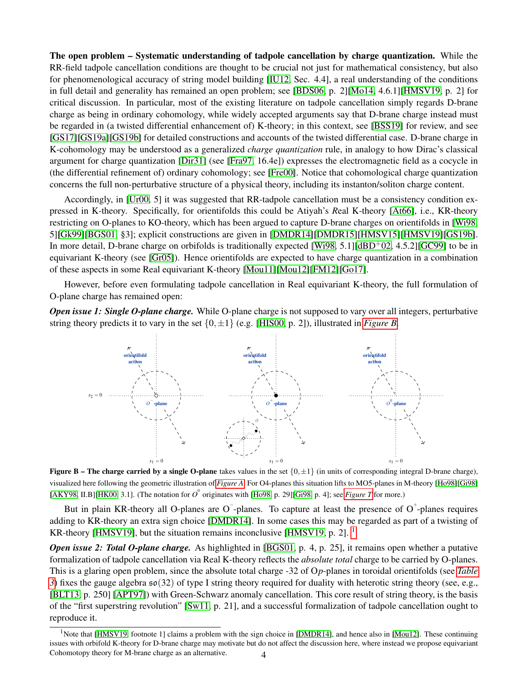The open problem – Systematic understanding of tadpole cancellation by charge quantization. While the RR-field tadpole cancellation conditions are thought to be crucial not just for mathematical consistency, but also for phenomenological accuracy of string model building [\[IU12,](#page-43-0) Sec. 4.4], a real understanding of the conditions in full detail and generality has remained an open problem; see [\[BDS06,](#page-40-7) p. 2][\[Mo14,](#page-43-10) 4.6.1][\[HMSV19,](#page-42-2) p. 2] for critical discussion. In particular, most of the existing literature on tadpole cancellation simply regards D-brane charge as being in ordinary cohomology, while widely accepted arguments say that D-brane charge instead must be regarded in (a twisted differential enhancement of) K-theory; in this context, see [\[BSS19\]](#page-40-4) for review, and see [\[GS17\]](#page-42-3)[\[GS19a\]](#page-42-4)[\[GS19b\]](#page-42-5) for detailed constructions and accounts of the twisted differential case. D-brane charge in K-cohomology may be understood as a generalized *charge quantization* rule, in analogy to how Dirac's classical argument for charge quantization [\[Dir31\]](#page-41-1) (see [\[Fra97,](#page-42-6) 16.4e]) expresses the electromagnetic field as a cocycle in (the differential refinement of) ordinary cohomology; see [\[Fre00\]](#page-42-7). Notice that cohomological charge quantization concerns the full non-perturbative structure of a physical theory, including its instanton/soliton charge content.

Accordingly, in [\[Ur00,](#page-45-2) 5] it was suggested that RR-tadpole cancellation must be a consistency condition expressed in K-theory. Specifically, for orientifolds this could be Atiyah's *R*eal K-theory [\[At66\]](#page-40-8), i.e., KR-theory restricting on O-planes to KO-theory, which has been argued to capture D-brane charges on orientifolds in [\[Wi98,](#page-45-3) 5][\[Gk99\]](#page-42-8)[\[BGS01,](#page-40-9) §3]; explicit constructions are given in [\[DMDR14\]](#page-41-2)[\[DMDR15\]](#page-41-3)[\[HMSV15\]](#page-42-9)[\[HMSV19\]](#page-42-2)[\[GS19b\]](#page-42-5). In more detail, D-brane charge on orbifolds is traditionally expected [\[Wi98,](#page-45-3) 5.1][\[dBD](#page-40-1)<sup>+</sup>02, 4.5.2][\[GC99\]](#page-42-10) to be in equivariant K-theory (see [\[Gr05\]](#page-42-11)). Hence orientifolds are expected to have charge quantization in a combination of these aspects in some Real equivariant K-theory [\[Mou11\]](#page-43-11)[\[Mou12\]](#page-44-3)[\[FM12\]](#page-42-12)[\[Go17\]](#page-42-13).

However, before even formulating tadpole cancellation in Real equivariant K-theory, the full formulation of O-plane charge has remained open:

<span id="page-3-0"></span>*Open issue 1: Single O-plane charge.* While O-plane charge is not supposed to vary over all integers, perturbative string theory predicts it to vary in the set  $\{0, \pm 1\}$  (e.g. [\[HIS00,](#page-43-12) p. 2]), illustrated in *[Figure B](#page-3-0)*.



**Figure B – The charge carried by a single O-plane** takes values in the set  $\{0, \pm 1\}$  (in units of corresponding integral D-brane charge), visualized here following the geometric illustration of *[Figure A](#page-2-0)*. For O4-planes this situation lifts to MO5-planes in M-theory [\[Ho98\]](#page-43-9)[\[Gi98\]](#page-42-14) [\[AKY98,](#page-39-3) II.B][\[HK00,](#page-42-15) 3.1]. (The notation for  $O^{\circ}$  originates with [\[Ho98,](#page-43-9) p. 29][\[Gi98,](#page-42-14) p. 4]; see *[Figure T](#page-34-2)* for more.)

But in plain KR-theory all O-planes are O -planes. To capture at least the presence of O -planes requires adding to KR-theory an extra sign choice [\[DMDR14\]](#page-41-2). In some cases this may be regarded as part of a twisting of KR-theory [\[HMSV19\]](#page-42-2), but the situation remains inconclusive [\[HMSV19,](#page-42-2) p. 2]. <sup>[1](#page-3-1)</sup>

*Open issue 2: Total O-plane charge.* As highlighted in [\[BGS01,](#page-40-9) p. 4, p. 25], it remains open whether a putative formalization of tadpole cancellation via Real K-theory reflects the *absolute total* charge to be carried by O-planes. This is a glaring open problem, since the absolute total charge -32 of O*p*-planes in toroidal orientifolds (see *[Table](#page-4-2) [3](#page-4-2)*) fixes the gauge algebra so(32) of type I string theory required for duality with heterotic string theory (see, e.g., [\[BLT13,](#page-40-2) p. 250] [\[APT97\]](#page-39-4)) with Green-Schwarz anomaly cancellation. This core result of string theory, is the basis of the "first superstring revolution" [\[Sw11,](#page-44-4) p. 21], and a successful formalization of tadpole cancellation ought to reproduce it.

<span id="page-3-1"></span><sup>&</sup>lt;sup>1</sup>Note that [\[HMSV19,](#page-42-2) footnote 1] claims a problem with the sign choice in [\[DMDR14\]](#page-41-2), and hence also in [\[Mou12\]](#page-44-3). These continuing issues with orbifold K-theory for D-brane charge may motivate but do not affect the discussion here, where instead we propose equivariant Cohomotopy theory for M-brane charge as an alternative. 4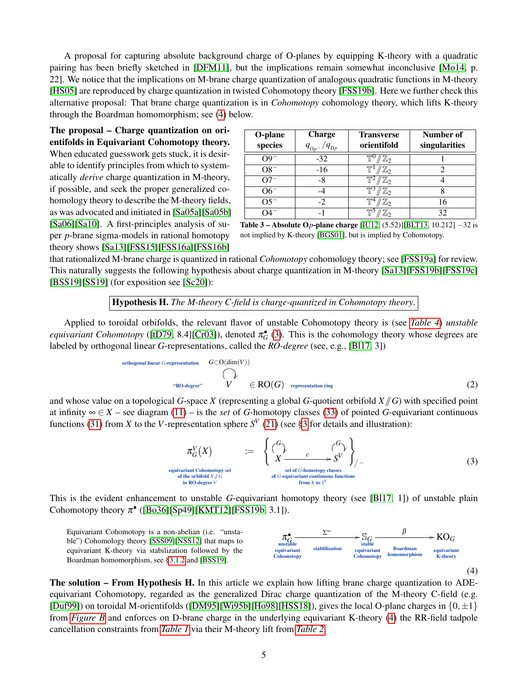A proposal for capturing absolute background charge of O-planes by equipping K-theory with a quadratic pairing has been briefly sketched in [\[DFM11\]](#page-41-4), but the implications remain somewhat inconclusive [\[Mo14,](#page-43-10) p. 22]. We notice that the implications on M-brane charge quantization of analogous quadratic functions in M-theory [\[HS05\]](#page-43-13) are reproduced by charge quantization in twisted Cohomotopy theory [\[FSS19b\]](#page-42-16). Here we further check this alternative proposal: That brane charge quantization is in *Cohomotopy* cohomology theory, which lifts K-theory through the Boardman homomorphism; see [\(4\)](#page-4-3) below.

The proposal – Charge quantization on orientifolds in Equivariant Cohomotopy theory. When educated guesswork gets stuck, it is desirable to identify principles from which to systematically *derive* charge quantization in M-theory, if possible, and seek the proper generalized cohomology theory to describe the M-theory fields, as was advocated and initiated in [\[Sa05a\]](#page-44-5)[\[Sa05b\]](#page-44-6) [\[Sa06\]](#page-44-7)[\[Sa10\]](#page-44-8). A first-principles analysis of super *p*-brane sigma-models in rational homotopy theory shows [\[Sa13\]](#page-44-9)[\[FSS15\]](#page-41-5)[\[FSS16a\]](#page-41-6)[\[FSS16b\]](#page-42-17)

| O-plane<br>species                                                                | <b>Charge</b><br>$q_{\text{D}p}$<br>$q_{_{\text{O}p^{-}}}$ | <b>Transverse</b><br>orientifold | Number of<br>singularities |  |
|-----------------------------------------------------------------------------------|------------------------------------------------------------|----------------------------------|----------------------------|--|
| $O9^{-}$                                                                          | $-32$                                                      | $\mathbb{Z}_2$                   |                            |  |
| $O8^-$                                                                            | $-16$                                                      | $\mathbb{Z}_2$                   | 2                          |  |
| $O7^-$                                                                            | -8                                                         | $\mathbb{Z}_2$                   |                            |  |
| $O6^-$                                                                            |                                                            | $\mathbb{Z}_2$                   | 8                          |  |
| $O5^-$                                                                            | $-2$                                                       | $\mathbb{Z}_2$                   | 16                         |  |
| O4 <sup>-1</sup>                                                                  |                                                            | $\mathbb{Z}_2$                   | 32                         |  |
| <b>Table 3 – Absolute Op-plane charge</b> [IU12, $(5.52)$ ][BLT13, 10.212] –32 is |                                                            |                                  |                            |  |

<span id="page-4-2"></span>not implied by K-theory [\[BGS01\]](#page-40-9), but is implied by Cohomotopy.

that rationalized M-brane charge is quantized in rational *Cohomotopy* cohomology theory; see [\[FSS19a\]](#page-42-18) for review. This naturally suggests the following hypothesis about charge quantization in M-theory [\[Sa13\]](#page-44-9)[\[FSS19b\]](#page-42-16)[\[FSS19c\]](#page-42-19) [\[BSS19\]](#page-40-4)[\[SS19\]](#page-44-10) (for exposition see [\[Sc20\]](#page-44-11)):

Hypothesis H. *The M-theory C-field is charge-quantized in Cohomotopy theory*.

<span id="page-4-0"></span>Applied to toroidal orbifolds, the relevant flavor of unstable Cohomotopy theory is (see *[Table 4](#page-5-0)*) *unstable equivariant Cohomotopy* ([\[tD79,](#page-45-4) 8.4][\[Cr03\]](#page-40-10)), denoted  $\pi_G^{\bullet}$  [\(3\)](#page-4-1). This is the cohomology theory whose degrees are labeled by orthogonal linear *G*-representations, called the *RO-degree* (see, e.g., [\[Bl17,](#page-40-11) 3])

orthogonal linear G-representation 
$$
G \subset O(\dim(V))
$$
  
\n $\bigcap_{\text{`RO-degree''}} V \in \text{RO}(G)$  representation ring\n
$$
(2)
$$

and whose value on a topological *G*-space *X* (representing a global *G*-quotient orbifold  $X/\sqrt{G}$ ) with specified point at infinity  $\infty \in X$  – see diagram [\(11\)](#page-8-0) – is the *set* of *G*-homotopy classes [\(33\)](#page-16-1) of pointed *G*-equivariant continuous functions [\(31\)](#page-15-0) from *X* to the *V*-representation sphere  $S^V$  [\(21\)](#page-13-0) (see [§3](#page-11-0) for details and illustration):

<span id="page-4-4"></span>
$$
\pi_G^V(X) \qquad := \qquad \left\{ \begin{array}{ccc} G \\ Y & c \\ X & \xrightarrow{c} S^V \end{array} \right\}_{/\sim} \tag{3}
$$
\n
$$
\pi_{\text{in rabilod} \times G}^V \qquad \text{set of G-homotopy classes} \qquad \text{of G-equivalent continuous functions}
$$
\n
$$
\pi_{\text{in RO-degree V}} \qquad \text{of G-equivalent continuous functions}
$$

This is the evident enhancement to unstable *G*-equivariant homotopy theory (see [\[Bl17,](#page-40-11) 1]) of unstable plain Cohomotopy theory  $\pi$ <sup>•</sup> ([\[Bo36\]](#page-40-12)[\[Sp49\]](#page-44-12)[\[KMT12\]](#page-43-14)[\[FSS19b,](#page-42-16) 3.1]).

<span id="page-4-3"></span>Equivariant Cohomotopy is a non-abelian (i.e. "unstable") Cohomology theory [\[SSS09\]](#page-44-13)[\[NSS12\]](#page-44-14) that maps to equivariant K-theory via stabilization followed by the Boardman homomorphism, see [§3.1.2](#page-20-0) and [\[BSS19\]](#page-40-4).

<span id="page-4-1"></span>equ



The solution – From Hypothesis H. In this article we explain how lifting brane charge quantization to ADEequivariant Cohomotopy, regarded as the generalized Dirac charge quantization of the M-theory C-field (e.g. [\[Duf99\]](#page-41-7)) on toroidal M-orientifolds ([\[DM95\]](#page-40-6)[\[Wi95b\]](#page-45-1)[\[Ho98\]](#page-43-9)[\[HSS18\]](#page-43-2)), gives the local O-plane charges in  $\{0, \pm 1\}$ from *[Figure B](#page-3-0)* and enforces on D-brane charge in the underlying equivariant K-theory [\(4\)](#page-4-3) the RR-field tadpole cancellation constraints from *[Table 1](#page-1-1)* via their M-theory lift from *[Table 2](#page-2-1)*.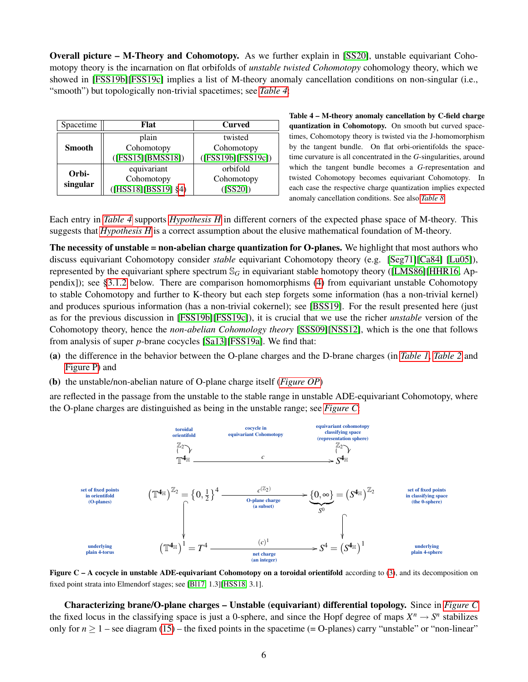Overall picture – M-Theory and Cohomotopy. As we further explain in [\[SS20\]](#page-44-15), unstable equivariant Cohomotopy theory is the incarnation on flat orbifolds of *unstable twisted Cohomotopy* cohomology theory, which we showed in [\[FSS19b\]](#page-42-16)[\[FSS19c\]](#page-42-19) implies a list of M-theory anomaly cancellation conditions on non-singular (i.e., "smooth") but topologically non-trivial spacetimes; see *[Table 4](#page-5-0)*:

<span id="page-5-0"></span>

| Spacetime     | Flat                     | <b>Curved</b>      |  |
|---------------|--------------------------|--------------------|--|
|               | plain                    | twisted            |  |
| <b>Smooth</b> | Cohomotopy               | Cohomotopy         |  |
|               | ([FSS15][BMSS18])        | ([FSS19b][FSS19c]) |  |
| Orbi-         | equivariant              | orbifold           |  |
| singular      | Cohomotopy               | Cohomotopy         |  |
|               | $([HSS18][BSS19] \$ \$4) | (ISS20])           |  |

Table 4 – M-theory anomaly cancellation by C-field charge quantization in Cohomotopy. On smooth but curved spacetimes, Cohomotopy theory is twisted via the J-homomorphism by the tangent bundle. On flat orbi-orientifolds the spacetime curvature is all concentrated in the *G*-singularities, around which the tangent bundle becomes a *G*-representation and twisted Cohomotopy becomes equivariant Cohomotopy. In each case the respective charge quantization implies expected anomaly cancellation conditions. See also *[Table 8](#page-38-0)*.

Each entry in *[Table 4](#page-5-0)* supports *[Hypothesis H](#page-4-0)* in different corners of the expected phase space of M-theory. This suggests that *[Hypothesis H](#page-4-0)* is a correct assumption about the elusive mathematical foundation of M-theory.

The necessity of unstable = non-abelian charge quantization for O-planes. We highlight that most authors who discuss equivariant Cohomotopy consider *stable* equivariant Cohomotopy theory (e.g. [\[Seg71\]](#page-44-16)[\[Ca84\]](#page-40-14) [\[Lu05\]](#page-43-15)), represented by the equivariant sphere spectrum  $\mathbb{S}_G$  in equivariant stable homotopy theory ([\[LMS86\]](#page-43-16)[\[HHR16,](#page-43-17) Appendix]); see [§3.1.2](#page-20-0) below. There are comparison homomorphisms [\(4\)](#page-4-3) from equivariant unstable Cohomotopy to stable Cohomotopy and further to K-theory but each step forgets some information (has a non-trivial kernel) and produces spurious information (has a non-trivial cokernel); see [\[BSS19\]](#page-40-4). For the result presented here (just as for the previous discussion in [\[FSS19b\]](#page-42-16)[\[FSS19c\]](#page-42-19)), it is crucial that we use the richer *unstable* version of the Cohomotopy theory, hence the *non-abelian Cohomology theory* [\[SSS09\]](#page-44-13)[\[NSS12\]](#page-44-14), which is the one that follows from analysis of super *p*-brane cocycles [\[Sa13\]](#page-44-9)[\[FSS19a\]](#page-42-18). We find that:

- (a) the difference in the behavior between the O-plane charges and the D-brane charges (in *[Table 1](#page-1-1)*, *[Table 2](#page-0-0)* and [Figure P\)](#page-27-0) and
- (b) the unstable/non-abelian nature of O-plane charge itself (*[Figure OP](#page-0-0)*)

<span id="page-5-1"></span>are reflected in the passage from the unstable to the stable range in unstable ADE-equivariant Cohomotopy, where the O-plane charges are distinguished as being in the unstable range; see *[Figure C](#page-5-1)*:



Figure C – A cocycle in unstable ADE-equivariant Cohomotopy on a toroidal orientifold according to [\(3\)](#page-4-1), and its decomposition on fixed point strata into Elmendorf stages; see [\[Bl17,](#page-40-11) 1.3][\[HSS18,](#page-43-2) 3.1].

Characterizing brane/O-plane charges – Unstable (equivariant) differential topology. Since in *[Figure C](#page-5-1)* the fixed locus in the classifying space is just a 0-sphere, and since the Hopf degree of maps  $X^n \to S^n$  stabilizes only for  $n \ge 1$  – see diagram [\(15\)](#page-11-1) – the fixed points in the spacetime (= O-planes) carry "unstable" or "non-linear"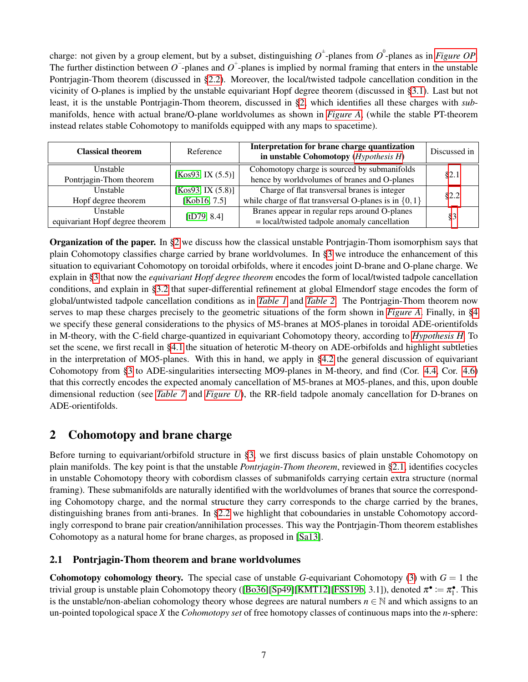charge: not given by a group element, but by a subset, distinguishing  $O^{\pm}$ -planes from  $O^{\circ}$ -planes as in *[Figure OP](#page-0-0)*. The further distinction between  $\overline{O}$ -planes and  $\overline{O}$ <sup>+</sup>-planes is implied by normal framing that enters in the unstable Pontrjagin-Thom theorem (discussed in [§2.2\)](#page-9-0). Moreover, the local/twisted tadpole cancellation condition in the vicinity of O-planes is implied by the unstable equivariant Hopf degree theorem (discussed in [§3.1\)](#page-16-0). Last but not least, it is the unstable Pontrjagin-Thom theorem, discussed in [§2,](#page-6-0) which identifies all these charges with *sub*manifolds, hence with actual brane/O-plane worldvolumes as shown in *[Figure A](#page-2-0)*, (while the stable PT-theorem instead relates stable Cohomotopy to manifolds equipped with any maps to spacetime).

| <b>Classical theorem</b>        | Reference         | Interpretation for brane charge quantization<br>in unstable Cohomotopy $(Hypothesis H)$ | Discussed in |  |
|---------------------------------|-------------------|-----------------------------------------------------------------------------------------|--------------|--|
| Unstable                        | [Kos93, IX (5.5)] | Cohomotopy charge is sourced by submanifolds                                            |              |  |
| Pontrjagin-Thom theorem         |                   | hence by worldvolumes of branes and O-planes                                            | §2.1         |  |
| <b>Unstable</b>                 | [Kos93, IX (5.8)] | Charge of flat transversal branes is integer                                            | §2.2         |  |
| Hopf degree theorem             | [Kob16, 7.5]      | while charge of flat transversal O-planes is in $\{0,1\}$                               |              |  |
| Unstable<br>[tD79, 8.4]         |                   | Branes appear in regular reps around O-planes                                           | $\S3$        |  |
| equivariant Hopf degree theorem |                   | $=$ local/twisted tadpole anomaly cancellation                                          |              |  |

Organization of the paper. In [§2](#page-6-0) we discuss how the classical unstable Pontrjagin-Thom isomorphism says that plain Cohomotopy classifies charge carried by brane worldvolumes. In [§3](#page-11-0) we introduce the enhancement of this situation to equivariant Cohomotopy on toroidal orbifolds, where it encodes joint D-brane and O-plane charge. We explain in [§3](#page-11-0) that now the *equivariant Hopf degree theorem* encodes the form of local/twisted tadpole cancellation conditions, and explain in [§3.2](#page-23-0) that super-differential refinement at global Elmendorf stage encodes the form of global/untwisted tadpole cancellation conditions as in *[Table 1](#page-1-1)* and *[Table 2](#page-2-1)*. The Pontrjagin-Thom theorem now serves to map these charges precisely to the geometric situations of the form shown in *[Figure A](#page-2-0)*. Finally, in [§4](#page-30-0) we specify these general considerations to the physics of M5-branes at MO5-planes in toroidal ADE-orientifolds in M-theory, with the C-field charge-quantized in equivariant Cohomotopy theory, according to *[Hypothesis H](#page-4-0)*. To set the scene, we first recall in [§4.1](#page-30-1) the situation of heterotic M-theory on ADE-orbifolds and highlight subtleties in the interpretation of MO5-planes. With this in hand, we apply in [§4.2](#page-34-0) the general discussion of equivariant Cohomotopy from [§3](#page-11-0) to ADE-singularities intersecting MO9-planes in M-theory, and find (Cor. [4.4,](#page-36-0) Cor. [4.6\)](#page-36-1) that this correctly encodes the expected anomaly cancellation of M5-branes at MO5-planes, and this, upon double dimensional reduction (see *[Table 7](#page-33-0)* and *[Figure U](#page-34-1)*), the RR-field tadpole anomaly cancellation for D-branes on ADE-orientifolds.

# <span id="page-6-0"></span>2 Cohomotopy and brane charge

Before turning to equivariant/orbifold structure in [§3,](#page-11-0) we first discuss basics of plain unstable Cohomotopy on plain manifolds. The key point is that the unstable *Pontrjagin-Thom theorem*, reviewed in [§2.1,](#page-6-1) identifies cocycles in unstable Cohomotopy theory with cobordism classes of submanifolds carrying certain extra structure (normal framing). These submanifolds are naturally identified with the worldvolumes of branes that source the corresponding Cohomotopy charge, and the normal structure they carry corresponds to the charge carried by the branes, distinguishing branes from anti-branes. In [§2.2](#page-9-0) we highlight that coboundaries in unstable Cohomotopy accordingly correspond to brane pair creation/annihilation processes. This way the Pontrjagin-Thom theorem establishes Cohomotopy as a natural home for brane charges, as proposed in [\[Sa13\]](#page-44-9).

# <span id="page-6-1"></span>2.1 Pontrjagin-Thom theorem and brane worldvolumes

**Cohomotopy cohomology theory.** The special case of unstable *G*-equivariant Cohomotopy [\(3\)](#page-4-1) with  $G = 1$  the trivial group is unstable plain Cohomotopy theory ([\[Bo36\]](#page-40-12)[\[Sp49\]](#page-44-12)[\[KMT12\]](#page-43-14)[\[FSS19b,](#page-42-16) 3.1]), denoted  $\pi^{\bullet} := \pi_1^{\bullet}$ . This is the unstable/non-abelian cohomology theory whose degrees are natural numbers  $n \in \mathbb{N}$  and which assigns to an un-pointed topological space *X* the *Cohomotopy set* of free homotopy classes of continuous maps into the *n*-sphere: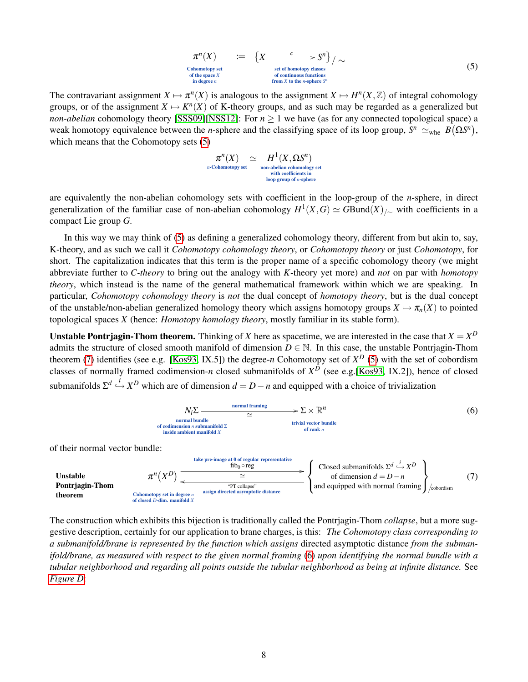<span id="page-7-0"></span>
$$
\pi^n(X) \qquad := \qquad \left\{ X \xrightarrow{\quad c \quad \text{set of homotopy classes} \atop \text{set of continuous functions} \atop \text{of continuous functions} \atop \text{in degree } n} \right\} / \sim \tag{5}
$$

The contravariant assignment  $X \mapsto \pi^n(X)$  is analogous to the assignment  $X \mapsto H^n(X, \mathbb{Z})$  of integral cohomology groups, or of the assignment  $X \mapsto K^{n}(X)$  of K-theory groups, and as such may be regarded as a generalized but *non-abelian* cohomology theory [\[SSS09\]](#page-44-13)[\[NSS12\]](#page-44-14): For  $n \ge 1$  we have (as for any connected topological space) a weak homotopy equivalence between the *n*-sphere and the classifying space of its loop group,  $S^n \simeq_{\text{whe}} B(\Omega S^n)$ , which means that the Cohomotopy sets [\(5\)](#page-7-0)

$$
\pi^n(X) \simeq H^1(X,\Omega S^n)
$$
\n<sup>n</sup>-Cohomotopy set  
\n<sup>ni</sup> non-abelian cohomology set  
\nwith coefficients in  
\nloop group of *n*-sphere

are equivalently the non-abelian cohomology sets with coefficient in the loop-group of the *n*-sphere, in direct generalization of the familiar case of non-abelian cohomology  $H^1(X, G) \simeq G$ Bund $(X)_{/\sim}$  with coefficients in a compact Lie group *G*.

In this way we may think of [\(5\)](#page-7-0) as defining a generalized cohomology theory, different from but akin to, say, K-theory, and as such we call it *Cohomotopy cohomology theory*, or *Cohomotopy theory* or just *Cohomotopy*, for short. The capitalization indicates that this term is the proper name of a specific cohomology theory (we might abbreviate further to *C-theory* to bring out the analogy with *K*-theory yet more) and *not* on par with *homotopy theory*, which instead is the name of the general mathematical framework within which we are speaking. In particular, *Cohomotopy cohomology theory* is *not* the dual concept of *homotopy theory*, but is the dual concept of the unstable/non-abelian generalized homology theory which assigns homotopy groups  $X \mapsto \pi_n(X)$  to pointed topological spaces *X* (hence: *Homotopy homology theory*, mostly familiar in its stable form).

Unstable Pontrjagin-Thom theorem. Thinking of *X* here as spacetime, we are interested in the case that  $X = X^D$ admits the structure of closed smooth manifold of dimension  $D \in \mathbb{N}$ . In this case, the unstable Pontriagin-Thom theorem [\(7\)](#page-7-1) identifies (see e.g. [\[Kos93,](#page-43-18) IX.5]) the degree-*n* Cohomotopy set of  $X^D$  [\(5\)](#page-7-0) with the set of cobordism classes of normally framed codimension-*n* closed submanifolds of *X <sup>D</sup>* (see e.g.[\[Kos93,](#page-43-18) IX.2]), hence of closed submanifolds  $\Sigma^d \stackrel{i}{\hookrightarrow} X^D$  which are of dimension  $d = D - n$  and equipped with a choice of trivialization

<span id="page-7-2"></span>
$$
N_i \Sigma \longrightarrow \text{normal from all frame} \longrightarrow \Sigma \times \mathbb{R}^n
$$
\n
$$
\sim \text{normal bundle} \longrightarrow \text{normal from } n \text{ submanifold } \Sigma
$$
\nof codimension *n* submanifold  $\Sigma$   
\ninside ambient manifold  $X$   
\n $\times$  trivial vector bundle  
\nof rank *n*

of their normal vector bundle:

<span id="page-7-1"></span>

The construction which exhibits this bijection is traditionally called the Pontrjagin-Thom *collapse*, but a more suggestive description, certainly for our application to brane charges, is this: *The Cohomotopy class corresponding to a submanifold/brane is represented by the function which assigns* directed asymptotic distance *from the submanifold/brane, as measured with respect to the given normal framing* [\(6\)](#page-7-2) *upon identifying the normal bundle with a tubular neighborhood and regarding all points outside the tubular neighborhood as being at infinite distance.* See *[Figure D](#page-8-1)*: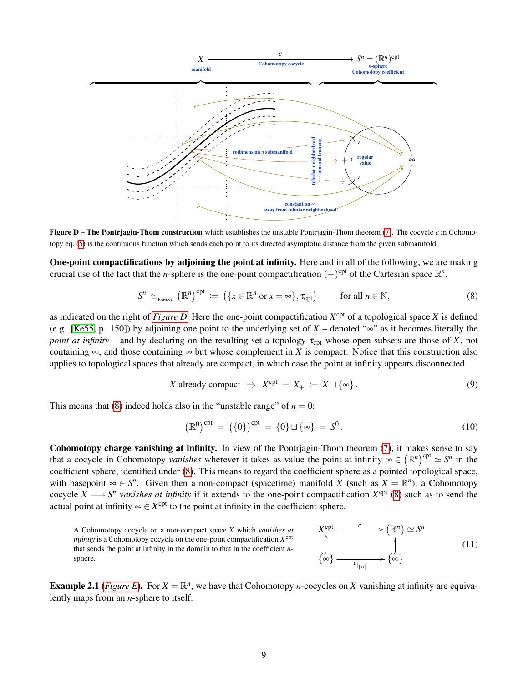<span id="page-8-1"></span>

**Figure D – The Pontriagin-Thom construction** which establishes the unstable Pontriagin-Thom theorem  $(7)$ . The cocycle  $c$  in Cohomotopy eq. [\(5\)](#page-7-0) is the continuous function which sends each point to its directed asymptotic distance from the given submanifold.

One-point compactifications by adjoining the point at infinity. Here and in all of the following, we are making crucial use of the fact that the *n*-sphere is the one-point compactification  $(-)$ <sup>cpt</sup> of the Cartesian space  $\mathbb{R}^n$ ,

<span id="page-8-2"></span>
$$
S^{n} \simeq_{\text{homeo}} (\mathbb{R}^{n})^{\text{cpt}} \coloneqq \left( \{ x \in \mathbb{R}^{n} \text{ or } x = \infty \}, \tau_{\text{cpt}} \right) \qquad \text{for all } n \in \mathbb{N}, \tag{8}
$$

as indicated on the right of *[Figure D](#page-8-1)*. Here the one-point compactification  $X^{cpt}$  of a topological space *X* is defined (e.g. [\[Ke55,](#page-43-20) p. 150]) by adjoining one point to the underlying set of  $X$  – denoted " $\infty$ " as it becomes literally the *point at infinity* – and by declaring on the resulting set a topology  $\tau_{\rm cpt}$  whose open subsets are those of *X*, not containing  $\infty$ , and those containing  $\infty$  but whose complement in *X* is compact. Notice that this construction also applies to topological spaces that already are compact, in which case the point at infinity appears disconnected

<span id="page-8-3"></span>
$$
X \text{ already compact } \Rightarrow X^{\text{cpt}} = X_+ := X \sqcup \{\infty\}. \tag{9}
$$

This means that [\(8\)](#page-8-2) indeed holds also in the "unstable range" of  $n = 0$ :

<span id="page-8-4"></span>
$$
(\mathbb{R}^0)^{\text{cpt}} = (\{0\})^{\text{cpt}} = \{0\} \sqcup \{\infty\} = S^0.
$$
\n(10)

Cohomotopy charge vanishing at infinity. In view of the Pontrjagin-Thom theorem [\(7\)](#page-7-1), it makes sense to say that a cocycle in Cohomotopy *vanishes* wherever it takes as value the point at infinity  $\infty \in (\mathbb{R}^n)^{\text{cpt}} \simeq S^n$  in the coefficient sphere, identified under [\(8\)](#page-8-2). This means to regard the coefficient sphere as a pointed topological space, with basepoint  $\infty \in S^n$ . Given then a non-compact (spacetime) manifold *X* (such as  $X = \mathbb{R}^n$ ), a Cohomotopy cocycle  $X \longrightarrow S^n$  vanishes at infinity if it extends to the one-point compactification  $X^{cpt}$  [\(8\)](#page-8-2) such as to send the actual point at infinity  $\infty \in X^{\text{cpt}}$  to the point at infinity in the coefficient sphere.

<span id="page-8-0"></span>

**Example 2.1** (*[Figure E](#page-9-1)*). For  $X = \mathbb{R}^n$ , we have that Cohomotopy *n*-cocycles on *X* vanishing at infinity are equivalently maps from an *n*-sphere to itself: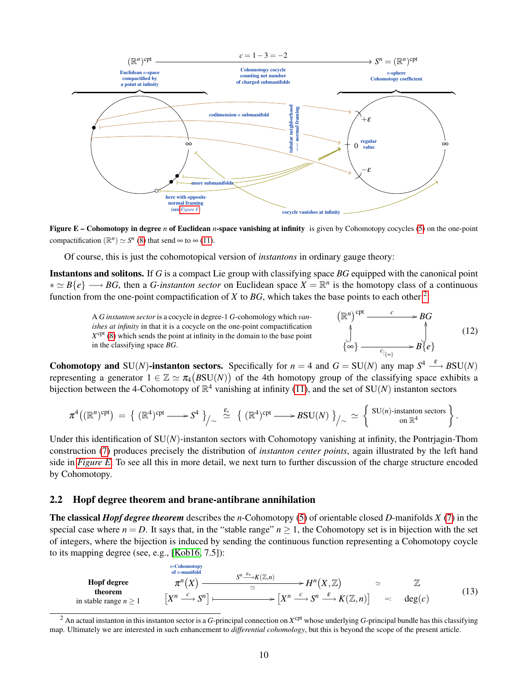<span id="page-9-1"></span>

Figure E – Cohomotopy in degree *n* of Euclidean *n*-space vanishing at infinity is given by Cohomotopy cocycles [\(5\)](#page-7-0) on the one-point compactification  $(\mathbb{R}^n) \simeq S^n$  [\(8\)](#page-8-2) that send  $\infty$  to  $\infty$  [\(11\)](#page-8-0).

Of course, this is just the cohomotopical version of *instantons* in ordinary gauge theory:

Instantons and solitons. If *G* is a compact Lie group with classifying space *BG* equipped with the canonical point  $* \simeq B\{e\} \longrightarrow BG$ , then a *G-instanton sector* on Euclidean space  $X = \mathbb{R}^n$  is the homotopy class of a continuous function from the one-point compactification of *X* to *BG*, which takes the base points to each other  $2$ 

A *G instanton sector* is a cocycle in degree-1 *G*-cohomology which *vanishes at infinity* in that it is a cocycle on the one-point compactification  $X^{\text{cpt}}$  [\(8\)](#page-8-2) which sends the point at infinity in the domain to the base point in the classifying space *BG*.

$$
\begin{array}{ccc}\n\left(\mathbb{R}^n\right)^{\text{cpt}} & c & \longrightarrow BG \\
\downarrow & & \downarrow & \\
\downarrow & & \downarrow & \\
\left\{\infty\right\} & \xrightarrow{c_{\vert_{\{\infty\}}}} & B\{e\}\n\end{array} \tag{12}
$$

**Cohomotopy and SU(***N***)-instanton sectors.** Specifically for  $n = 4$  and  $G = SU(N)$  any map  $S^4 \xrightarrow{\varepsilon} BSU(N)$ representing a generator  $1 \in \mathbb{Z} \simeq \pi_4(BSU(N))$  of the 4th homotopy group of the classifying space exhibits a bijection between the 4-Cohomotopy of  $\mathbb{R}^4$  vanishing at infinity [\(11\)](#page-8-0), and the set of SU(*N*) instanton sectors

$$
\pi^4((\mathbb{R}^n)^{\text{cpt}}) = \left\{ (\mathbb{R}^4)^{\text{cpt}} \longrightarrow S^4 \right\} /_{\sim} \stackrel{\varepsilon_*}{\simeq} \left\{ (\mathbb{R}^4)^{\text{cpt}} \longrightarrow BSU(N) \right\} /_{\sim} \simeq \left\{ \begin{array}{c} \text{SU}(n)\text{-instanton sectors} \\ \text{on } \mathbb{R}^4 \end{array} \right\}.
$$

Under this identification of  $SU(N)$ -instanton sectors with Cohomotopy vanishing at infinity, the Pontrjagin-Thom construction [\(7\)](#page-7-1) produces precisely the distribution of *instanton center points*, again illustrated by the left hand side in *[Figure E](#page-9-1)*. To see all this in more detail, we next turn to further discussion of the charge structure encoded by Cohomotopy.

#### <span id="page-9-0"></span>2.2 Hopf degree theorem and brane-antibrane annihilation

The classical *Hopf degree theorem* describes the *n*-Cohomotopy [\(5\)](#page-7-0) of orientable closed *D*-manifolds *X* [\(7\)](#page-7-1) in the special case where  $n = D$ . It says that, in the "stable range"  $n \ge 1$ , the Cohomotopy set is in bijection with the set of integers, where the bijection is induced by sending the continuous function representing a Cohomotopy coycle to its mapping degree (see, e.g., [\[Kob16,](#page-43-19) 7.5]):

<span id="page-9-3"></span>**Hopf degree**  
\n
$$
\pi^{n} (X) \longrightarrow \pi^{n} (X, \mathbb{Z}) \longrightarrow H^{n} (X, \mathbb{Z}) \longrightarrow \mathbb{Z}
$$
\n**theorem**  
\nin stable range  $n \ge 1$  
$$
\begin{bmatrix} X^{n} \xrightarrow{c} S^{n} \end{bmatrix} \longmapsto \begin{bmatrix} X^{n} \xrightarrow{c} S^{n} \xrightarrow{g} K(\mathbb{Z}, n) \end{bmatrix} \longrightarrow \begin{bmatrix} X^{n} \xrightarrow{c} S^{n} \xrightarrow{g} K(\mathbb{Z}, n) \end{bmatrix} \longrightarrow \begin{bmatrix} 13 \end{bmatrix}
$$
\n(13)

<span id="page-9-2"></span> $^2$  An actual instanton in this instanton sector is a *G*-principal connection on  $X^{\text{cpt}}$  whose underlying *G*-principal bundle has this classifying map. Ultimately we are interested in such enhancement to *differential cohomology*, but this is beyond the scope of the present article.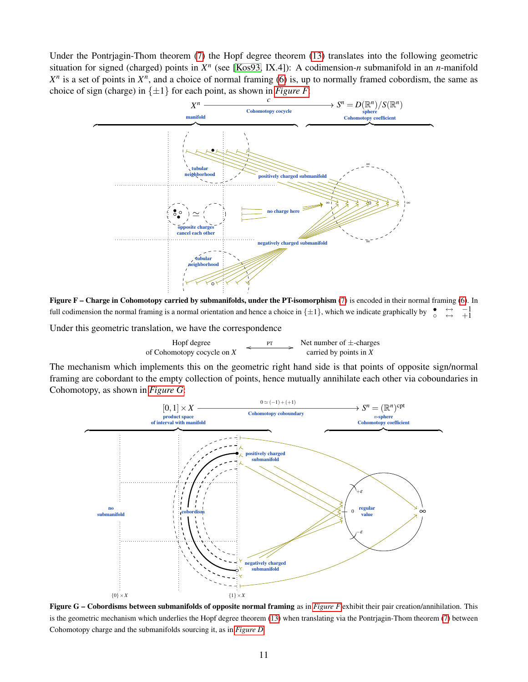Under the Pontrjagin-Thom theorem [\(7\)](#page-7-1) the Hopf degree theorem [\(13\)](#page-9-3) translates into the following geometric situation for signed (charged) points in  $X^n$  (see [\[Kos93,](#page-43-18) IX.4]): A codimension-*n* submanifold in an *n*-manifold  $X<sup>n</sup>$  is a set of points in  $X<sup>n</sup>$ , and a choice of normal framing [\(6\)](#page-7-2) is, up to normally framed cobordism, the same as choice of sign (charge) in  $\{\pm 1\}$  for each point, as shown in *[Figure F](#page-10-0)*:

<span id="page-10-0"></span>

Figure F – Charge in Cohomotopy carried by submanifolds, under the PT-isomorphism [\(7\)](#page-7-1) is encoded in their normal framing [\(6\)](#page-7-2). In full codimension the normal framing is a normal orientation and hence a choice in  $\{\pm 1\}$ , which we indicate graphically by  $-\frac{1}{2}$ 

Under this geometric translation, we have the correspondence



The mechanism which implements this on the geometric right hand side is that points of opposite sign/normal framing are cobordant to the empty collection of points, hence mutually annihilate each other via coboundaries in Cohomotopy, as shown in *[Figure G](#page-10-1)*:

<span id="page-10-1"></span>

Figure G – Cobordisms between submanifolds of opposite normal framing as in *[Figure F](#page-10-0)* exhibit their pair creation/annihilation. This is the geometric mechanism which underlies the Hopf degree theorem [\(13\)](#page-9-3) when translating via the Pontrjagin-Thom theorem [\(7\)](#page-7-1) between Cohomotopy charge and the submanifolds sourcing it, as in *[Figure D](#page-8-1)*.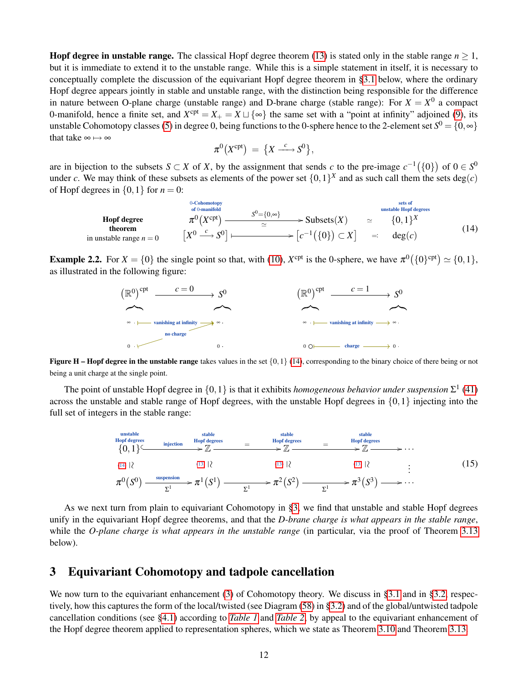**Hopf degree in unstable range.** The classical Hopf degree theorem [\(13\)](#page-9-3) is stated only in the stable range  $n \geq 1$ , but it is immediate to extend it to the unstable range. While this is a simple statement in itself, it is necessary to conceptually complete the discussion of the equivariant Hopf degree theorem in [§3.1](#page-16-0) below, where the ordinary Hopf degree appears jointly in stable and unstable range, with the distinction being responsible for the difference in nature between O-plane charge (unstable range) and D-brane charge (stable range): For  $X = X^0$  a compact 0-manifold, hence a finite set, and  $X^{cpt} = X_+ = X \sqcup \{\infty\}$  the same set with a "point at infinity" adjoined [\(9\)](#page-8-3), its unstable Cohomotopy classes [\(5\)](#page-7-0) in degree 0, being functions to the 0-sphere hence to the 2-element set  $S^0 = \{0, \infty\}$ that take  $\infty \mapsto \infty$ 

$$
\pi^0(X^{\text{cpt}}) = \{X \xrightarrow{c} S^0\},\
$$

are in bijection to the subsets  $S \subset X$  of X, by the assignment that sends c to the pre-image  $c^{-1}(\{0\})$  of  $0 \in S^0$ under *c*. We may think of these subsets as elements of the power set  $\{0,1\}^X$  and as such call them the sets deg(*c*) of Hopf degrees in  $\{0, 1\}$  for  $n = 0$ :

<span id="page-11-2"></span>

| Hopf degree               | $s^0$ -Chomotopy            | $s^0 = \{0, \infty\}$                       | unstable Hopf degrees |              |
|---------------------------|-----------------------------|---------------------------------------------|-----------------------|--------------|
| theorem                   | $\pi^0(X^{\text{cpt}})$     | $S^0 = \{0, \infty\}$                       | $\geq$                | $\{0, 1\}^X$ |
| in unstable range $n = 0$ | $[X^0 \xrightarrow{c} S^0]$ | $\longrightarrow [c^{-1}(\{0\}) \subset X]$ | $\Rightarrow$ deg(c)  | (14)         |

**Example 2.2.** For  $X = \{0\}$  the single point so that, with [\(10\)](#page-8-4),  $X^{\text{cpt}}$  is the 0-sphere, we have  $\pi^0(\{0\}^{\text{cpt}}) \simeq \{0,1\}$ , as illustrated in the following figure:



**Figure H – Hopf degree in the unstable range** takes values in the set  $\{0,1\}$  [\(14\)](#page-11-2), corresponding to the binary choice of there being or not being a unit charge at the single point.

The point of unstable Hopf degree in  $\{0,1\}$  is that it exhibits *homogeneous behavior under suspension*  $\Sigma^1$  [\(41\)](#page-20-1) across the unstable and stable range of Hopf degrees, with the unstable Hopf degrees in {0,1} injecting into the full set of integers in the stable range:

<span id="page-11-1"></span>

As we next turn from plain to equivariant Cohomotopy in [§3,](#page-11-0) we find that unstable and stable Hopf degrees unify in the equivariant Hopf degree theorems, and that the *D-brane charge is what appears in the stable range*, while the *O-plane charge is what appears in the unstable range* (in particular, via the proof of Theorem [3.13](#page-21-1) below).

# <span id="page-11-0"></span>3 Equivariant Cohomotopy and tadpole cancellation

We now turn to the equivariant enhancement [\(3\)](#page-4-1) of Cohomotopy theory. We discuss in [§3.1](#page-16-0) and in [§3.2,](#page-23-0) respectively, how this captures the form of the local/twisted (see Diagram [\(58\)](#page-29-0) in [§3.2\)](#page-23-0) and of the global/untwisted tadpole cancellation conditions (see [§4.1\)](#page-30-1) according to *[Table 1](#page-1-1)* and *[Table 2](#page-2-1)*, by appeal to the equivariant enhancement of the Hopf degree theorem applied to representation spheres, which we state as Theorem [3.10](#page-17-0) and Theorem [3.13.](#page-21-1)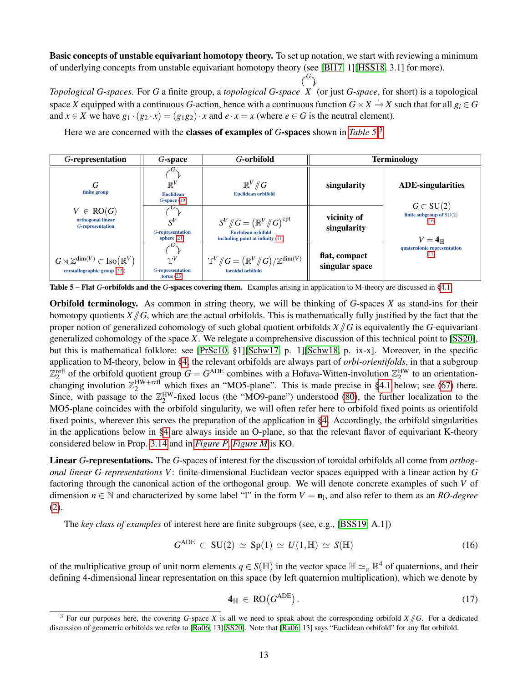Basic concepts of unstable equivariant homotopy theory. To set up notation, we start with reviewing a minimum of underlying concepts from unstable equivariant homotopy theory (see [\[Bl17,](#page-40-11) 1][\[HSS18,](#page-43-2) 3.1] for more).

 $\binom{G}{k}$ 

*Topological G-spaces.* For *G* a finite group, a *topological G-space X* (or just *G-space*, for short) is a topological space *X* equipped with a continuous *G*-action, hence with a continuous function  $G \times X \to X$  such that for all  $g_i \in G$ and  $x \in X$  we have  $g_1 \cdot (g_2 \cdot x) = (g_1 g_2) \cdot x$  and  $e \cdot x = x$  (where  $e \in G$  is the neutral element).

<span id="page-12-1"></span>

| G-representation                                                                                  | G-space                                                               | <i>G</i> -orbifold                                                                                                           |                                 | <b>Terminology</b>                                                           |
|---------------------------------------------------------------------------------------------------|-----------------------------------------------------------------------|------------------------------------------------------------------------------------------------------------------------------|---------------------------------|------------------------------------------------------------------------------|
| G<br>finite group                                                                                 | $\sqrt{1}$<br>$\mathbb{R}^V$<br><b>Euclidean</b><br>$G$ -space $(19)$ | $\mathbb{R}^V/\!\!/ G$<br><b>Euclidean orbifold</b>                                                                          | singularity                     | <b>ADE-singularities</b>                                                     |
| $V \in RO(G)$<br>orthogonal linear<br>G-representation                                            | $S^V$<br>G-representation<br>sphere $(21)$                            | $S^V/\!\!/ G = \left( \mathbb{R}^V/\!\!/ G \right)^{\text{cpt}}$<br>Euclidean orbifold<br>including point at infinity $(11)$ | vicinity of<br>singularity      | $G \subset SU(2)$<br>finite subgroup of $SU(2)$<br>(16)<br>$V=4_{\mathbb H}$ |
| $G \rtimes \mathbb{Z}^{\dim(V)} \subset \text{Iso}(\mathbb{R}^V)$<br>crystallographic group (22)) | $\neg\neg V$<br>G-representation<br>torus $(23)$                      | $\mathbb{T}^V/\!\!/ G = \big(\mathbb{R}^V/\!\!/ G\big)/\mathbb{Z}^{\dim(V)}$<br>toroidal orbifold                            | flat, compact<br>singular space | quaternionic representation<br>(17)                                          |

Here we are concerned with the classes of examples of *G*-spaces shown in *[Table 5](#page-12-1)*: [3](#page-12-2)

Table 5 – Flat *G*-orbifolds and the *G*-spaces covering them. Examples arising in application to M-theory are discussed in [§4.1.](#page-30-1)

Orbifold terminology. As common in string theory, we will be thinking of *G*-spaces *X* as stand-ins for their homotopy quotients  $X/\!\!/ G$ , which are the actual orbifolds. This is mathematically fully justified by the fact that the proper notion of generalized cohomology of such global quotient orbifolds  $X/\sqrt{G}$  is equivalently the *G*-equivariant generalized cohomology of the space *X*. We relegate a comprehensive discussion of this technical point to [\[SS20\]](#page-44-15), but this is mathematical folklore: see [\[PrSc10,](#page-44-17) §1][\[Schw17,](#page-44-18) p. 1][\[Schw18,](#page-44-19) p. ix-x]. Moreover, in the specific application to M-theory, below in [§4,](#page-30-0) the relevant orbifolds are always part of *orbi-orientifolds*, in that a subgroup  $\mathbb{Z}_2^{\text{refl}}$  of the orbifold quotient group  $G = G^{\text{ADE}}$  combines with a Hořava-Witten-involution  $\mathbb{Z}_2^{\text{HW}}$  to an orientationchanging involution  $\mathbb{Z}_2^{\text{HW+refl}}$  which fixes an "MO5-plane". This is made precise in [§4.1](#page-30-1) below; see [\(67\)](#page-31-0) there. Since, with passage to the  $\mathbb{Z}_2^{\rm HW}$ -fixed locus (the "MO9-pane") understood [\(80\)](#page-36-2), the further localization to the MO5-plane coincides with the orbifold singularity, we will often refer here to orbifold fixed points as orientifold fixed points, wherever this serves the preparation of the application in [§4.](#page-30-0) Accordingly, the orbifold singularities in the applications below in [§4](#page-30-0) are always inside an O-plane, so that the relevant flavor of equivariant K-theory considered below in Prop. [3.14](#page-22-0) and in *[Figure P](#page-27-0)*, *[Figure M](#page-23-1)* is KO.

Linear *G*-representations. The *G*-spaces of interest for the discussion of toroidal orbifolds all come from *orthogonal linear G-representations V*: finite-dimensional Euclidean vector spaces equipped with a linear action by *G* factoring through the canonical action of the orthogonal group. We will denote concrete examples of such *V* of dimension  $n \in \mathbb{N}$  and characterized by some label "l" in the form  $V = \mathbf{n}_1$ , and also refer to them as an *RO-degree* [\(2\)](#page-4-4).

The *key class of examples* of interest here are finite subgroups (see, e.g., [\[BSS19,](#page-40-4) A.1])

<span id="page-12-3"></span>
$$
G^{\text{ADE}} \subset \text{SU}(2) \simeq \text{Sp}(1) \simeq U(1,\mathbb{H}) \simeq S(\mathbb{H}) \tag{16}
$$

of the multiplicative group of unit norm elements  $q \in S(\mathbb{H})$  in the vector space  $\mathbb{H} \simeq_{\mathbb{R}} \mathbb{R}^4$  of quaternions, and their defining 4-dimensional linear representation on this space (by left quaternion multiplication), which we denote by

<span id="page-12-0"></span>
$$
\mathbf{4}_{\mathbb{H}} \in \text{RO}(G^{\text{ADE}}). \tag{17}
$$

<span id="page-12-2"></span><sup>&</sup>lt;sup>3</sup> For our purposes here, the covering *G*-space *X* is all we need to speak about the corresponding orbifold  $X/\!\!/ G$ . For a dedicated discussion of geometric orbifolds we refer to [\[Ra06,](#page-44-2) 13][\[SS20\]](#page-44-15). Note that [\[Ra06,](#page-44-2) 13] says "Euclidean orbifold" for any flat orbifold.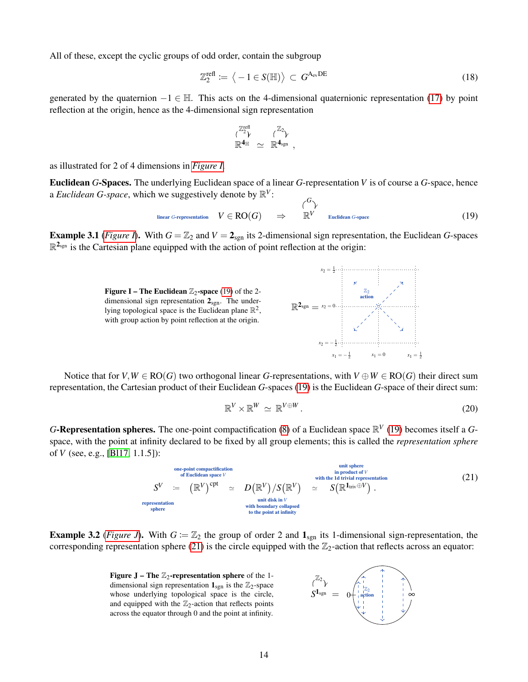All of these, except the cyclic groups of odd order, contain the subgroup

<span id="page-13-4"></span>
$$
\mathbb{Z}_2^{\text{refl}} \coloneqq \left\langle -1 \in S(\mathbb{H}) \right\rangle \subset G^{\mathcal{A}_{\text{ev}}\text{DE}} \tag{18}
$$

generated by the quaternion  $-1 \in \mathbb{H}$ . This acts on the 4-dimensional quaternionic representation [\(17\)](#page-12-0) by point reflection at the origin, hence as the 4-dimensional sign representation

$$
\begin{array}{ccc} \mathbb{Z}_2^{\text{refl}} & & \mathbb{Z}_2 \\ \mathbb{R}^{\boldsymbol{4}_\mathbb{H}} & \simeq & \mathbb{R}^{\boldsymbol{4}_{sgn}} \end{array},
$$

as illustrated for 2 of 4 dimensions in *[Figure I](#page-13-2)*.

Euclidean *G*-Spaces. The underlying Euclidean space of a linear *G*-representation *V* is of course a *G*-space, hence a *Euclidean G-space*, which we suggestively denote by  $\mathbb{R}^V$ : *G*

<span id="page-13-1"></span>
$$
\begin{array}{ccc}\n\text{linear } G\text{-representation} & V \in \mathbf{RO}(G) \\
& \Rightarrow & \mathbb{R}^V \\
& \text{Euclidean } G\text{-space}\n\end{array} \tag{19}
$$

<span id="page-13-2"></span>**Example 3.1** (*[Figure I](#page-13-2)*). With  $G = \mathbb{Z}_2$  and  $V = 2_{sgn}$  its 2-dimensional sign representation, the Euclidean *G*-spaces  $\mathbb{R}^{2_{\text{sgn}}}$  is the Cartesian plane equipped with the action of point reflection at the origin:

> Figure I – The Euclidean  $\mathbb{Z}_2$ -space [\(19\)](#page-13-1) of the 2dimensional sign representation  $2_{\text{sgn}}$ . The underlying topological space is the Euclidean plane  $\mathbb{R}^2$ , with group action by point reflection at the origin.



Notice that for  $V, W \in RO(G)$  two orthogonal linear *G*-representations, with  $V \oplus W \in RO(G)$  their direct sum representation, the Cartesian product of their Euclidean *G*-spaces [\(19\)](#page-13-1) is the Euclidean *G*-space of their direct sum:

<span id="page-13-5"></span>
$$
\mathbb{R}^V \times \mathbb{R}^W \simeq \mathbb{R}^{V \oplus W}.
$$
 (20)

*G*-Representation spheres. The one-point compactification [\(8\)](#page-8-2) of a Euclidean space  $\mathbb{R}^V$  [\(19\)](#page-13-1) becomes itself a *G*space, with the point at infinity declared to be fixed by all group elements; this is called the *representation sphere* of *V* (see, e.g., [\[Bl17,](#page-40-11) 1.1.5]):

<span id="page-13-0"></span>one-point compactification  
\nof Euclidean space 
$$
V
$$
  
\n
$$
S^V = (\mathbb{R}^V)^{cpt} \approx D(\mathbb{R}^V)/S(\mathbb{R}^V) \approx S(\mathbb{R}^{1_{triv}} \oplus V).
$$
\n(21)  
\nrepresentation  
\nsphere  
\nwith the 1d trivial representation  
\nwith boundary collapsed  
\nto the point at infinity

<span id="page-13-3"></span>**Example 3.2** (*[Figure J](#page-13-3)*). With  $G := \mathbb{Z}_2$  the group of order 2 and  $\mathbf{1}_{sgn}$  its 1-dimensional sign-representation, the corresponding representation sphere [\(21\)](#page-13-0) is the circle equipped with the  $\mathbb{Z}_2$ -action that reflects across an equator:

> Figure J – The  $\mathbb{Z}_2$ -representation sphere of the 1dimensional sign representation  $\mathbf{1}_{\text{sgn}}$  is the  $\mathbb{Z}_2$ -space whose underlying topological space is the circle, and equipped with the  $\mathbb{Z}_2$ -action that reflects points across the equator through 0 and the point at infinity.

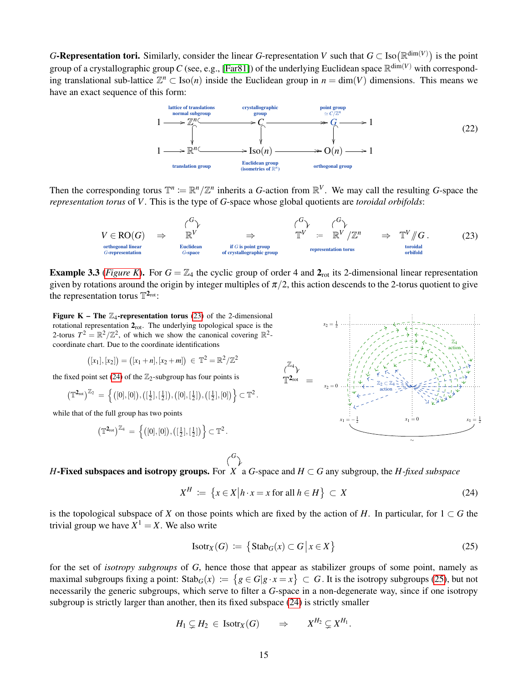*G*-Representation tori. Similarly, consider the linear *G*-representation *V* such that  $G \subset \text{Iso}(\mathbb{R}^{\dim(V)})$  is the point group of a crystallographic group C (see, e.g., [\[Far81\]](#page-41-8)) of the underlying Euclidean space  $\mathbb{R}^{\dim(V)}$  with corresponding translational sub-lattice  $\mathbb{Z}^n \subset \text{Iso}(n)$  inside the Euclidean group in  $n = \dim(V)$  dimensions. This means we have an exact sequence of this form:

<span id="page-14-0"></span>

Then the corresponding torus  $\mathbb{T}^n := \mathbb{R}^n / \mathbb{Z}^n$  inherits a *G*-action from  $\mathbb{R}^V$ . We may call the resulting *G*-space the *representation torus* of *V*. This is the type of *G*-space whose global quotients are *toroidal orbifolds*:

<span id="page-14-1"></span>

**Example 3.3** (*[Figure K](#page-14-2)*). For  $G = \mathbb{Z}_4$  the cyclic group of order 4 and  $2_{\text{rot}}$  its 2-dimensional linear representation given by rotations around the origin by integer multiples of  $\pi/2$ , this action descends to the 2-torus quotient to give the representation torus  $\mathbb{T}^{2_{\text{rot}}}$ :

<span id="page-14-2"></span>Figure K – The  $\mathbb{Z}_4$ -representation torus [\(23\)](#page-14-1) of the 2-dimensional rotational representation  $2_{\text{rot}}$ . The underlying topological space is the 2-torus  $T^2 = \mathbb{R}^2/\mathbb{Z}^2$ , of which we show the canonical covering  $\mathbb{R}^2$ coordinate chart. Due to the coordinate identifications

$$
([x_1],[x_2]) = ([x_1+n],[x_2+m]) \in \mathbb{T}^2 = \mathbb{R}^2 / \mathbb{Z}^2
$$

the fixed point set [\(24\)](#page-14-3) of the  $\mathbb{Z}_2$ -subgroup has four points is

$$
\big(\mathbb{T}^{\mathbf{2}_{rot}}\big)^{\mathbb{Z}_2} \,=\, \Big\{\big([0],[0]\big),\big([\tfrac{1}{2}],[\tfrac{1}{2}]\big),\big([0],[\tfrac{1}{2}]\big),\big([\tfrac{1}{2}],[0]\big)\Big\} \subset \mathbb{T}^2\,.
$$

while that of the full group has two points

$$
\big(\mathbb{T}^{\mathbf{2}_{rot}}\big)^{\mathbb{Z}_4} \ = \ \Big\{ \big([0],[0]\big), \big([\tfrac{1}{2}],[\tfrac{1}{2}]\big) \Big\} \subset \mathbb{T}^2 \, .
$$



*H*-Fixed subspaces and isotropy groups. For *X* a *G*-space and *H* ⊂ *G* any subgroup, the *H-fixed subspace*

*G*

<span id="page-14-3"></span>
$$
X^H := \left\{ x \in X \middle| h \cdot x = x \text{ for all } h \in H \right\} \subset X \tag{24}
$$

is the topological subspace of *X* on those points which are fixed by the action of *H*. In particular, for  $1 \subset G$  the trivial group we have  $X^1 = X$ . We also write

<span id="page-14-4"></span>
$$
IsotrX(G) := \{ \text{Stab}_G(x) \subset G \, \big| \, x \in X \} \tag{25}
$$

<span id="page-14-5"></span>for the set of *isotropy subgroups* of *G*, hence those that appear as stabilizer groups of some point, namely as maximal subgroups fixing a point:  $\text{Stab}_G(x) := \{ g \in G | g \cdot x = x \} \subset G$ . It is the isotropy subgroups [\(25\)](#page-14-4), but not necessarily the generic subgroups, which serve to filter a *G*-space in a non-degenerate way, since if one isotropy subgroup is strictly larger than another, then its fixed subspace [\(24\)](#page-14-3) is strictly smaller

$$
H_1 \subsetneq H_2 \in Isotr_X(G) \qquad \Rightarrow \qquad X^{H_2} \subsetneq X^{H_1}.
$$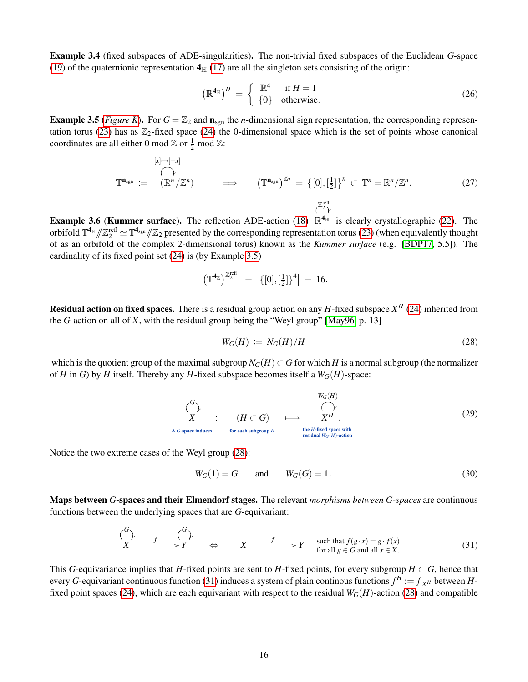Example 3.4 (fixed subspaces of ADE-singularities). The non-trivial fixed subspaces of the Euclidean *G*-space [\(19\)](#page-13-1) of the quaternionic representation  $4_H$  [\(17\)](#page-12-0) are all the singleton sets consisting of the origin:

<span id="page-15-5"></span>
$$
\left(\mathbb{R}^{4_{\mathbb{H}}}\right)^{H} = \begin{cases} \mathbb{R}^{4} & \text{if } H = 1\\ \{0\} & \text{otherwise.} \end{cases}
$$
 (26)

<span id="page-15-1"></span>**Example 3.5** (*[Figure K](#page-14-2)*). For  $G = \mathbb{Z}_2$  and  $\mathbf{n}_{sgn}$  the *n*-dimensional sign representation, the corresponding represen-tation torus [\(23\)](#page-14-1) has as  $\mathbb{Z}_2$ -fixed space [\(24\)](#page-14-3) the 0-dimensional space which is the set of points whose canonical coordinates are all either 0 mod  $\mathbb{Z}$  or  $\frac{1}{2}$  mod  $\mathbb{Z}$ :

<span id="page-15-7"></span>
$$
\mathbb{T}^{\mathbf{n}_{sgn}} := \bigoplus_{\substack{[x] \mapsto [-x] \\ \mathbb{T}^{\mathbf{n}_{sgn}}} } \bigoplus_{\substack{z \to z \\ \mathbb{T}^{\mathbf{n}_{sgn}}} } \bigoplus_{\substack{Z \to z \\ \mathbb{T}^{\mathbf{n}_{sgn}}} } \bigoplus_{\substack{Z \to z \\ \mathbb{T}^{\mathbf{n}_{sgn}}} } \bigoplus_{\substack{Z \to z \\ \mathbb{T}^{\mathbf{n}_{sgn}}} } \bigoplus_{\substack{Z \to z \\ \mathbb{T}^{\mathbf{n}_{sgn}}} } \bigoplus_{\substack{Z \to z \\ \mathbb{T}^{\mathbf{n}_{sgn}}} } \bigoplus_{\substack{Z \to z \\ \mathbb{T}^{\mathbf{n}_{sgn}}} } \bigoplus_{\substack{Z \to z \\ \mathbb{T}^{\mathbf{n}_{sgn}}} } \bigoplus_{\substack{Z \to z \\ \mathbb{T}^{\mathbf{n}_{sgn}}} } \bigoplus_{\substack{Z \to z \\ \mathbb{T}^{\mathbf{n}_{sgn}}} } \bigoplus_{\substack{Z \to z \\ \mathbb{T}^{\mathbf{n}_{sgn}}} } \bigoplus_{\substack{Z \to z \\ \mathbb{T}^{\mathbf{n}_{sgn}}} } \bigoplus_{\substack{Z \to z \\ \mathbb{T}^{\mathbf{n}_{sgn}}} } \bigoplus_{\substack{Z \to z \\ \mathbb{T}^{\mathbf{n}_{sgn}}} } \bigoplus_{\substack{Z \to z \\ \mathbb{T}^{\mathbf{n}_{sgn}}} } \bigoplus_{\substack{Z \to z \\ \mathbb{T}^{\mathbf{n}_{sgn}}} } \bigoplus_{\substack{Z \to z \\ \mathbb{T}^{\mathbf{n}_{sgn}}} } \bigoplus_{\substack{Z \to z \\ \mathbb{T}^{\mathbf{n}_{sgn}}} } \bigoplus_{\substack{Z \to z \\ \mathbb{T}^{\mathbf{n}_{sgn}}} } \bigoplus_{\substack{Z \to z \\ \mathbb{T}^{\mathbf{n}_{sgn}}} } \bigoplus_{\substack{Z \to z \\ \mathbb{T}^{\mathbf{n}_{sgn}}} } \bigoplus_{\substack{Z \to z \\ \mathbb{T}^{\mathbf{n}_{sgn}}} } \bigoplus_{\substack{Z \to z \\ \mathbb{T}^{\mathbf{n}_{sgn}}} } \bigoplus_{\substack{Z \to z \\ \mathbb{T}^{\mathbf{n}_{sgn}}} } \bigoplus_{\substack{Z \to z \\ \
$$

<span id="page-15-6"></span>**Example 3.6 (Kummer surface).** The reflection ADE-action [\(18\)](#page-13-4)  $\mathbb{R}^{4_{\mathbb{H}}}$  is clearly crystallographic [\(22\)](#page-14-0). The orbifold  $\mathbb{T}^{4_{\mathbb{H}}}/\mathbb{Z}^{\text{refl}}_{\mathbb{Z}} \simeq \mathbb{T}^{4_{\text{sgn}}}/\mathbb{Z}_{2}$  presented by the corresponding representation torus [\(23\)](#page-14-1) (when equivalently thought of the complex 2 dimensional torus) known as the *European surf* of as an orbifold of the complex 2-dimensional torus) known as the *Kummer surface* (e.g. [\[BDP17,](#page-40-15) 5.5]). The cardinality of its fixed point set [\(24\)](#page-14-3) is (by Example [3.5\)](#page-15-1)

$$
\left| \left( \mathbb{T}^{4_{\mathbb{Z}}}\right)^{\mathbb{Z}_2^{\text{refl}}} \right| \, = \, \left| \{ [0], [\frac{1}{2}]\}^4 \right| \, = \, 16.
$$

Residual action on fixed spaces. There is a residual group action on any *H*-fixed subspace *X <sup>H</sup>* [\(24\)](#page-14-3) inherited from the *G*-action on all of *X*, with the residual group being the "Weyl group" [\[May96,](#page-43-21) p. 13]

<span id="page-15-2"></span>
$$
W_G(H) := N_G(H)/H \tag{28}
$$

which is the quotient group of the maximal subgroup  $N_G(H) \subset G$  for which *H* is a normal subgroup (the normalizer of *H* in *G*) by *H* itself. Thereby any *H*-fixed subspace becomes itself a  $W_G(H)$ -space:

<span id="page-15-3"></span>
$$
\begin{array}{ccc}\n\binom{G}{r} & & \text{if } \\
X & \text{if } (H \subset G) & \longmapsto & X^H . \\
\text{A } G\text{-space induces} & & \text{for each subgroup } H & \text{the } H\text{-fixed space with} \\
\text{residual } W_G(H) \text{-action}\n\end{array}
$$
\n(29)

Notice the two extreme cases of the Weyl group [\(28\)](#page-15-2):

<span id="page-15-4"></span>
$$
W_G(1) = G
$$
 and  $W_G(G) = 1.$  (30)

Maps between *G*-spaces and their Elmendorf stages. The relevant *morphisms between G-spaces* are continuous functions between the underlying spaces that are *G*-equivariant:

<span id="page-15-0"></span>
$$
\begin{array}{ccc}\n\binom{G}{r} & f & \binom{G}{r} \\
X & \longrightarrow Y & \Leftrightarrow & X \longrightarrow Y & \text{such that } f(g \cdot x) = g \cdot f(x) \\
\text{for all } g \in G \text{ and all } x \in X.\n\end{array} \tag{31}
$$

This *G*-equivariance implies that *H*-fixed points are sent to *H*-fixed points, for every subgroup  $H \subset G$ , hence that every *G*-equivariant continuous function [\(31\)](#page-15-0) induces a system of plain continous functions  $f^H := f_{|X^H}$  between *H*-fixed point spaces [\(24\)](#page-14-3), which are each equivariant with respect to the residual  $W_G(H)$ -action [\(28\)](#page-15-2) and compatible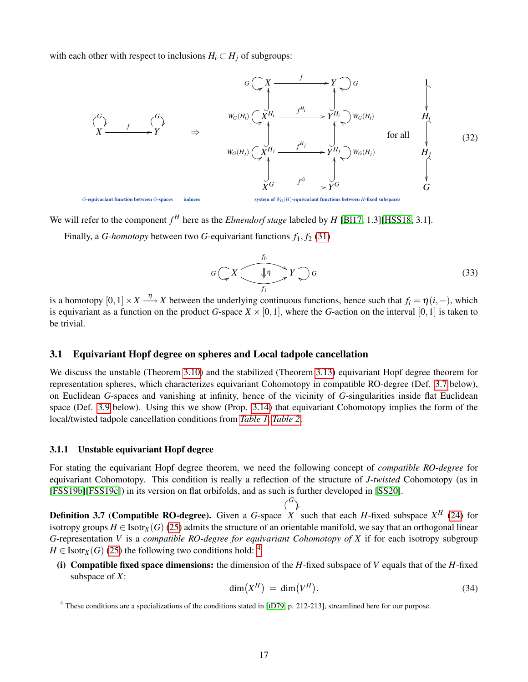with each other with respect to inclusions  $H_i \subset H_j$  of subgroups:

<span id="page-16-5"></span>

We will refer to the component  $f^H$  here as the *Elmendorf stage* labeled by  $H$  [\[Bl17,](#page-40-11) 1.3][\[HSS18,](#page-43-2) 3.1].

Finally, a *G-homotopy* between two *G*-equivariant functions  $f_1, f_2$  [\(31\)](#page-15-0)

<span id="page-16-1"></span>
$$
G\left(\mathbf{X}\right)\longrightarrow\mathcal{F}\left(\mathbf{0}\right)
$$
\n
$$
G\left(\mathbf{X}\right)\longrightarrow\mathcal{F}\left(\mathbf{0}\right)
$$
\n
$$
G\left(\mathbf{0}\right)
$$
\n
$$
G\left(\mathbf{0}\right)
$$
\n
$$
G\left(\mathbf{0}\right)
$$
\n
$$
G\left(\mathbf{0}\right)
$$
\n
$$
G\left(\mathbf{0}\right)
$$
\n
$$
G\left(\mathbf{0}\right)
$$
\n
$$
G\left(\mathbf{0}\right)
$$
\n
$$
G\left(\mathbf{0}\right)
$$
\n
$$
G\left(\mathbf{0}\right)
$$
\n
$$
G\left(\mathbf{0}\right)
$$
\n
$$
G\left(\mathbf{0}\right)
$$
\n
$$
G\left(\mathbf{0}\right)
$$
\n
$$
G\left(\mathbf{0}\right)
$$
\n
$$
G\left(\mathbf{0}\right)
$$
\n
$$
G\left(\mathbf{0}\right)
$$
\n
$$
G\left(\mathbf{0}\right)
$$
\n
$$
G\left(\mathbf{0}\right)
$$
\n
$$
G\left(\mathbf{0}\right)
$$
\n
$$
G\left(\mathbf{0}\right)
$$
\n
$$
G\left(\mathbf{0}\right)
$$
\n
$$
G\left(\mathbf{0}\right)
$$
\n
$$
G\left(\mathbf{0}\right)
$$
\n
$$
G\left(\mathbf{0}\right)
$$
\n
$$
G\left(\mathbf{0}\right)
$$
\n
$$
G\left(\mathbf{0}\right)
$$
\n
$$
G\left(\mathbf{0}\right)
$$
\n
$$
G\left(\mathbf{0}\right)
$$
\n
$$
G\left(\mathbf{0}\right)
$$
\n
$$
G\left(\mathbf{0}\right)
$$
\n
$$
G\left(\mathbf{0}\right)
$$
\n
$$
G\left(\mathbf{0}\right)
$$
\n
$$
G\left(\mathbf{0}\right)
$$
\n
$$
G\left(\mathbf{0}\right)
$$
\n
$$
G\left(\mathbf{0}\right)
$$
\n
$$
G\left(\mathbf{
$$

is a homotopy  $[0,1] \times X \stackrel{\eta}{\longrightarrow} X$  between the underlying continuous functions, hence such that  $f_i = \eta(i,-)$ , which is equivariant as a function on the product *G*-space  $X \times [0,1]$ , where the *G*-action on the interval [0,1] is taken to be trivial.

### <span id="page-16-0"></span>3.1 Equivariant Hopf degree on spheres and Local tadpole cancellation

We discuss the unstable (Theorem [3.10\)](#page-17-0) and the stabilized (Theorem [3.13\)](#page-21-1) equivariant Hopf degree theorem for representation spheres, which characterizes equivariant Cohomotopy in compatible RO-degree (Def. [3.7](#page-16-2) below), on Euclidean *G*-spaces and vanishing at infinity, hence of the vicinity of *G*-singularities inside flat Euclidean space (Def. [3.9](#page-17-1) below). Using this we show (Prop. [3.14\)](#page-22-0) that equivariant Cohomotopy implies the form of the local/twisted tadpole cancellation conditions from *[Table 1](#page-1-1)*, *[Table 2](#page-2-1)*.

#### 3.1.1 Unstable equivariant Hopf degree

For stating the equivariant Hopf degree theorem, we need the following concept of *compatible RO-degree* for equivariant Cohomotopy. This condition is really a reflection of the structure of *J-twisted* Cohomotopy (as in [\[FSS19b\]](#page-42-16)[\[FSS19c\]](#page-42-19)) in its version on flat orbifolds, and as such is further developed in [\[SS20\]](#page-44-15).

*G*

<span id="page-16-2"></span>**Definition 3.7** (Compatible RO-degree). Given a *G*-space *X* such that each *H*-fixed subspace  $X^H$  [\(24\)](#page-14-3) for Ĭ. isotropy groups  $H \in \text{Isotr}_X(G)$  [\(25\)](#page-14-4) admits the structure of an orientable manifold, we say that an orthogonal linear *G*-representation *V* is a *compatible RO-degree for equivariant Cohomotopy of X* if for each isotropy subgroup  $H \in$  Isotr<sub>*X*</sub>(*G*) [\(25\)](#page-14-4) the following two conditions hold: <sup>[4](#page-16-3)</sup>

(i) Compatible fixed space dimensions: the dimension of the *H*-fixed subspace of *V* equals that of the *H*-fixed subspace of *X*:

<span id="page-16-4"></span>
$$
\dim(X^H) = \dim(V^H). \tag{34}
$$

<span id="page-16-3"></span><sup>4</sup> These conditions are a specializations of the conditions stated in [\[tD79,](#page-45-4) p. 212-213], streamlined here for our purpose.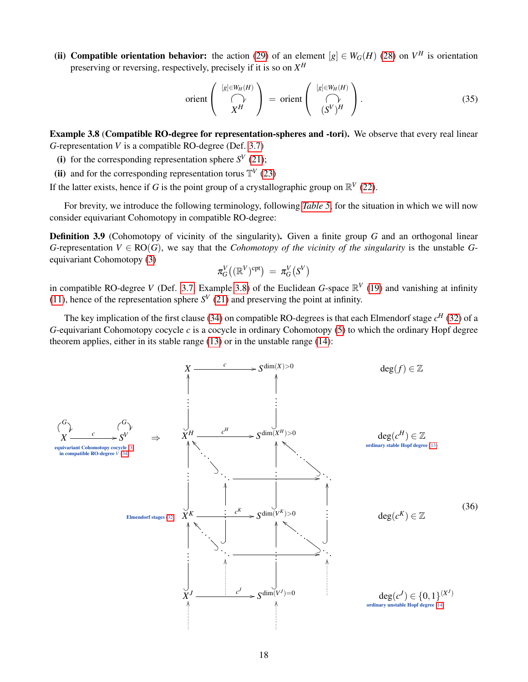(ii) Compatible orientation behavior: the action [\(29\)](#page-15-3) of an element  $[g] \in W_G(H)$  [\(28\)](#page-15-2) on  $V^H$  is orientation preserving or reversing, respectively, precisely if it is so on *X H*

$$
\text{orient}\left(\bigwedge_{X^H}^{[g]\in W_H(H)}\right) = \text{orient}\left(\bigwedge_{(S^V)^H}^{[g]\in W_H(H)}\right). \tag{35}
$$

<span id="page-17-2"></span>Example 3.8 (Compatible RO-degree for representation-spheres and -tori). We observe that every real linear *G*-representation *V* is a compatible RO-degree (Def. [3.7\)](#page-16-2)

- (i) for the corresponding representation sphere  $S^V$  [\(21\)](#page-13-0);
- (ii) and for the corresponding representation torus  $\mathbb{T}^V$  [\(23\)](#page-14-1)

If the latter exists, hence if *G* is the point group of a crystallographic group on  $\mathbb{R}^V$  [\(22\)](#page-14-0).

For brevity, we introduce the following terminology, following *[Table 5](#page-12-1)*, for the situation in which we will now consider equivariant Cohomotopy in compatible RO-degree:

<span id="page-17-1"></span>Definition 3.9 (Cohomotopy of vicinity of the singularity). Given a finite group *G* and an orthogonal linear *G*-representation  $V \in \text{RO}(G)$ , we say that the *Cohomotopy of the vicinity of the singularity* is the unstable *G*equivariant Cohomotopy [\(3\)](#page-4-1)

$$
\pi_G^V\big((\mathbb{R}^V)^{\text{cpt}}\big) \,=\, \pi_G^V\big(S^V\big)
$$

in compatible RO-degree *V* (Def. [3.7,](#page-16-2) Example [3.8\)](#page-17-2) of the Euclidean *G*-space  $\mathbb{R}^V$  [\(19\)](#page-13-1) and vanishing at infinity [\(11\)](#page-8-0), hence of the representation sphere  $S^V$  [\(21\)](#page-13-0) and preserving the point at infinity.

The key implication of the first clause [\(34\)](#page-16-4) on compatible RO-degrees is that each Elmendorf stage *c <sup>H</sup>* [\(32\)](#page-16-5) of a *G*-equivariant Cohomotopy cocycle *c* is a cocycle in ordinary Cohomotopy [\(5\)](#page-7-0) to which the ordinary Hopf degree theorem applies, either in its stable range [\(13\)](#page-9-3) or in the unstable range [\(14\)](#page-11-2):

<span id="page-17-3"></span><span id="page-17-0"></span>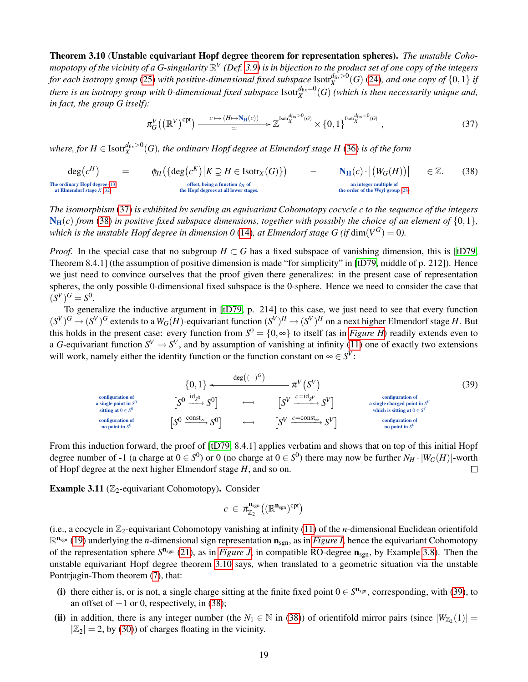Theorem 3.10 (Unstable equivariant Hopf degree theorem for representation spheres). *The unstable Coho*mopotopy of the vicinity of a G-singularity  $\mathbb{R}^V$  (Def. [3.9\)](#page-17-1) is in bijection to the product set of one copy of the integers *for each isotropy group* [\(25\)](#page-14-4) *with positive-dimensional fixed subspace* Isotr $\frac{d}{dx} > 0$  ([\(24\)](#page-14-3), and one copy of  $\{0,1\}$  if there is an isotropy group with 0-dimensional fixed subspace  ${\rm Isotr}_X^{d_{\rm fix}=0}(G)$  (which is then necessarily unique and, *in fact, the group G itself):*

<span id="page-18-0"></span>
$$
\pi_G^V((\mathbb{R}^V)^{\text{cpt}}) \xrightarrow{c \mapsto (H \mapsto N_H(c))} \mathbb{Z}^{\text{Isorf}_X^{d_{\text{fix}} > 0}(G)} \times \{0, 1\}^{\text{Isorf}_X^{d_{\text{fix}} = 0}(G)},
$$
\n(37)

where, for  $H\in {\rm Isotf}_X^{d_{\rm fix}>0}(G)$ , the ordinary Hopf degree at Elmendorf stage  $H$  [\(36\)](#page-17-3) is of the form

<span id="page-18-1"></span> $deg(c^H)$  $=$   $\phi_H(\{\text{deg}(c^K) | K \supsetneq H \in \text{Isotr}_X(G)\})$   $\mathbf{N_H}(c) \cdot |(W_G(H))|$  $\in \mathbb{Z}$ . The ordinary Hopf degree [\(13\)](#page-9-3) at Elmendorf stage *K* [\(32\)](#page-16-5) offset, being a function  $\phi_H$  of the Hopf degrees at all lower stages. an integer multiple of the order of the Weyl group [\(28\)](#page-15-2) (38)

*The isomorphism* [\(37\)](#page-18-0) *is exhibited by sending an equivariant Cohomotopy cocycle c to the sequence of the integers*  $N_H(c)$  *from* [\(38\)](#page-18-1) *in positive fixed subspace dimensions, together with possibly the choice of an element of*  $\{0,1\}$ , *which is the unstable Hopf degree in dimension 0 [\(14\)](#page-11-2), at Elmendorf stage G (if*  $dim(V^G) = 0$ *).* 

*Proof.* In the special case that no subgroup  $H \subset G$  has a fixed subspace of vanishing dimension, this is [\[tD79,](#page-45-4) Theorem 8.4.1] (the assumption of positive dimension is made "for simplicity" in [\[tD79,](#page-45-4) middle of p. 212]). Hence we just need to convince ourselves that the proof given there generalizes: in the present case of representation spheres, the only possible 0-dimensional fixed subspace is the 0-sphere. Hence we need to consider the case that  $(S^V)^G = S^0.$ 

To generalize the inductive argument in [\[tD79,](#page-45-4) p. 214] to this case, we just need to see that every function  $(S^V)^G \to (S^V)^G$  extends to a  $W_G(H)$ -equivariant function  $(S^V)^H \to (S^V)^H$  on a next higher Elmendorf stage H. But this holds in the present case: every function from  $S^0 = \{0, \infty\}$  to itself (as in *[Figure H](#page-0-0)*) readily extends even to a *G*-equivariant function  $S^V \to S^V$ , and by assumption of vanishing at infinity [\(11\)](#page-8-0) one of exactly two extensions will work, namely either the identity function or the function constant on  $\infty \in S^V$ :

<span id="page-18-2"></span>
$$
\{0,1\} \leftarrow \text{conf}_{\text{a single point in } S^0} \qquad [S^0 \xrightarrow{\text{conf}_{\text{g}} S^0}] \qquad \left[\begin{matrix} S^0 \xrightarrow{\text{id}_{S^0}} S^0 \end{matrix}\right] \qquad \left[\begin{matrix} S^V \xrightarrow{\text{cond}(\text{gration of})} S^V \end{matrix}\right] \qquad \text{conf}_{\text{gating at } 0 \in S^0} \qquad \qquad \left[\begin{matrix} S^0 \xrightarrow{\text{cond}_{\text{g}} S^V} S^V \end{matrix}\right] \qquad \text{conf}_{\text{gating at } 0 \in S^V} \qquad \text{which is sitting at } 0 \in S^V \text{ which is sitting at } 0 \in S^V \text{ which is sitting at } 0 \in S^V \text{ which is sitting at } 0 \in S^V \text{ which is still just at } 0 \in S^V \text{ which is still just at } 0 \in S^V \text{ which is still just at } 0 \in S^V \text{ which is still just at } 0 \in S^V \text{ which is still just at } 0 \in S^V \text{ which is still just at } 0 \in S^V \text{ which is still at } 0 \in S^V \text{ which is still at } 0 \in S^V \text{ which is still at } 0 \in S^V \text{ which is still at } 0 \in S^V \text{ which is still at } S^V \text{ which is still at } S^V \text{ which is still at } S^V \text{ which is still at } S^V \text{ which is not at } S^V \text{ which is not at } S^V \text{ which is not at } S^V \text{ which is not at } S^V \text{ which is not at } S^V \text{ which is at } S^V \text{ which is at } S^V \text{ which is at } S^V \text{ which is at } S^V \text{ which is at } S^V \text{ which is at } S^V \text{ which is at } S^V \text{ which is at } S^V \text{ which is at } S^V \text{ which is at } S^V \text{ which is at } S^V \text{ which is at } S^V \text{ which is at } S^V \text{ which is at } S^V \text{ which is at } S^V \text{ which is at } S^V \text{ which is at } S^V \text{ which is at } S^V \text{ which is at } S^V \text{ which is at } S^V \text{ which is at } S^V \text{ which is at } S^V \text{ which
$$

From this induction forward, the proof of [\[tD79,](#page-45-4) 8.4.1] applies verbatim and shows that on top of this initial Hopf degree number of -1 (a charge at  $0 \in S^0$ ) or 0 (no charge at  $0 \in S^0$ ) there may now be further  $N_H \cdot |W_G(H)|$ -worth of Hopf degree at the next higher Elmendorf stage *H*, and so on.  $\Box$ 

Example 3.11 ( $\mathbb{Z}_2$ -equivariant Cohomotopy). Consider

$$
c\ \in\ \pi^{\textbf{n}_{\text{sgn}}}_{\mathbb{Z}_2}\big((\mathbb{R}^{\textbf{n}_{\text{sgn}}})^{\text{cpt}}\big)
$$

(i.e., a cocycle in  $\mathbb{Z}_2$ -equivariant Cohomotopy vanishing at infinity [\(11\)](#page-8-0) of the *n*-dimensional Euclidean orientifold  $\mathbb{R}^{n_{sgn}}$  [\(19\)](#page-13-1) underlying the *n*-dimensional sign representation  $n_{sgn}$ , as in *[Figure I](#page-13-2)*, hence the equivariant Cohomotopy of the representation sphere  $S^{n_{sgn}}$  [\(21\)](#page-13-0), as in *[Figure J](#page-13-3)*, in compatible RO-degree  $n_{sgn}$ , by Example [3.8\)](#page-17-2). Then the unstable equivariant Hopf degree theorem [3.10](#page-17-0) says, when translated to a geometric situation via the unstable Pontrjagin-Thom theorem [\(7\)](#page-7-1), that:

- (i) there either is, or is not, a single charge sitting at the finite fixed point  $0 \in S^{n_{sgn}}$ , corresponding, with [\(39\)](#page-18-2), to an offset of  $-1$  or 0, respectively, in [\(38\)](#page-18-1);
- (ii) in addition, there is any integer number (the  $N_1 \in \mathbb{N}$  in [\(38\)](#page-18-1)) of orientifold mirror pairs (since  $|W_{\mathbb{Z}_2}(1)|$  =  $|\mathbb{Z}_2| = 2$ , by [\(30\)](#page-15-4)) of charges floating in the vicinity.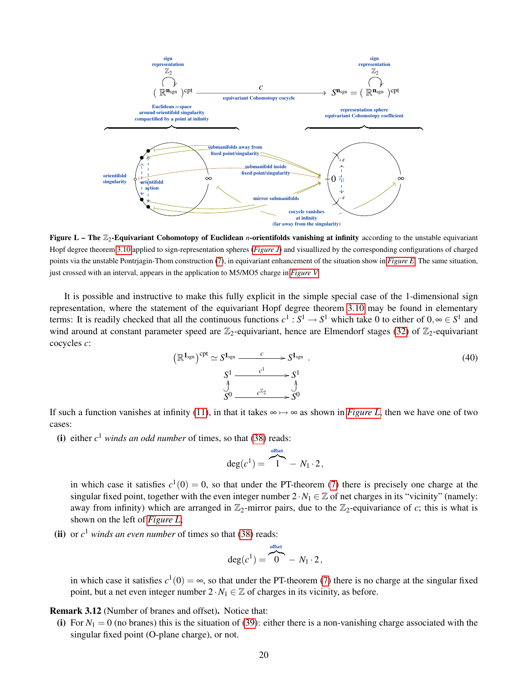<span id="page-19-0"></span>

Figure L – The  $\mathbb{Z}_2$ -Equivariant Cohomotopy of Euclidean *n*-orientifolds vanishing at infinity according to the unstable equivariant Hopf degree theorem [3.10](#page-17-0) applied to sign-representation spheres (*[Figure J](#page-13-3)*) and visuallized by the corresponding configurations of charged points via the unstable Pontrjagin-Thom construction [\(7\)](#page-7-1), in equivariant enhancement of the situation show in *[Figure E](#page-9-1)*. The same situation, just crossed with an interval, appears in the application to M5/MO5 charge in *[Figure V](#page-35-0)*.

It is possible and instructive to make this fully explicit in the simple special case of the 1-dimensional sign representation, where the statement of the equivariant Hopf degree theorem [3.10](#page-17-0) may be found in elementary terms: It is readily checked that all the continuous functions  $c^1 : S^1 \to S^1$  which take 0 to either of  $0, \infty \in S^1$  and wind around at constant parameter speed are  $\mathbb{Z}_2$ -equivariant, hence are Elmendorf stages [\(32\)](#page-16-5) of  $\mathbb{Z}_2$ -equivariant cocycles *c*:

<span id="page-19-1"></span>
$$
(\mathbb{R}^{1_{sgn}})^{cpt} \simeq S^{1_{sgn}} \xrightarrow{c} S^{1_{sgn}}.
$$
\n
$$
S^1 \xrightarrow{c^1} S^1
$$
\n
$$
S^0 \xrightarrow{c^{\mathbb{Z}_2}} S^0
$$
\n(40)

If such a function vanishes at infinity [\(11\)](#page-8-0), in that it takes  $\infty \mapsto \infty$  as shown in *[Figure L](#page-19-0)*, then we have one of two cases:

(i) either  $c^1$  *winds an odd number* of times, so that [\(38\)](#page-18-1) reads:

$$
\deg(c^1) = \overbrace{1}^{\text{offset}} - N_1 \cdot 2,
$$

in which case it satisfies  $c^1(0) = 0$ , so that under the PT-theorem [\(7\)](#page-7-1) there is precisely one charge at the singular fixed point, together with the even integer number  $2 \cdot N_1 \in \mathbb{Z}$  of net charges in its "vicinity" (namely: away from infinity) which are arranged in  $\mathbb{Z}_2$ -mirror pairs, due to the  $\mathbb{Z}_2$ -equivariance of *c*; this is what is shown on the left of *[Figure L](#page-19-0)*;

(ii) or  $c^1$  *winds an even number* of times so that [\(38\)](#page-18-1) reads:

$$
\deg(c^1) = \overbrace{0}^{\text{offset}} - N_1 \cdot 2,
$$

in which case it satisfies  $c^1(0) = \infty$ , so that under the PT-theorem [\(7\)](#page-7-1) there is no charge at the singular fixed point, but a net even integer number  $2 \cdot N_1 \in \mathbb{Z}$  of charges in its vicinity, as before.

Remark 3.12 (Number of branes and offset). Notice that:

(i) For  $N_1 = 0$  (no branes) this is the situation of [\(39\)](#page-18-2): either there is a non-vanishing charge associated with the singular fixed point (O-plane charge), or not.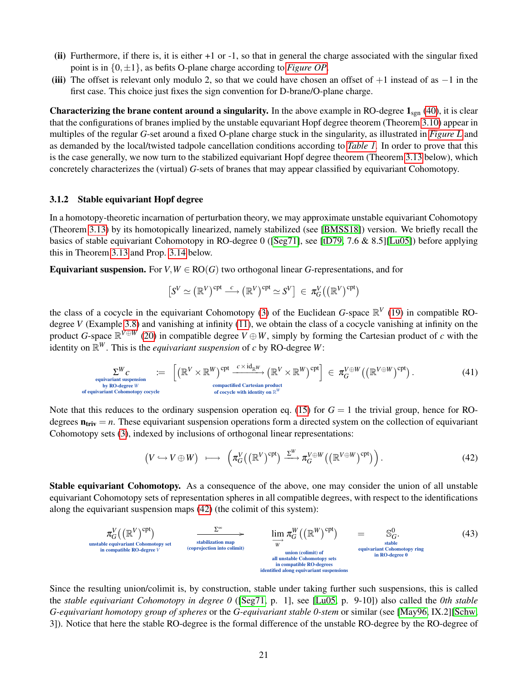- (ii) Furthermore, if there is, it is either  $+1$  or  $-1$ , so that in general the charge associated with the singular fixed point is in  $\{0, \pm 1\}$ , as befits O-plane charge according to *[Figure OP](#page-0-0)*.
- (iii) The offset is relevant only modulo 2, so that we could have chosen an offset of  $+1$  instead of as  $-1$  in the first case. This choice just fixes the sign convention for D-brane/O-plane charge.

Characterizing the brane content around a singularity. In the above example in RO-degree  $1_{sgn}$  [\(40\)](#page-19-1), it is clear that the configurations of branes implied by the unstable equvariant Hopf degree theorem (Theorem [3.10\)](#page-17-0) appear in multiples of the regular *G*-set around a fixed O-plane charge stuck in the singularity, as illustrated in *[Figure L](#page-19-0)* and as demanded by the local/twisted tadpole cancellation conditions according to *[Table 1](#page-1-1)*. In order to prove that this is the case generally, we now turn to the stabilized equivariant Hopf degree theorem (Theorem [3.13](#page-21-1) below), which concretely characterizes the (virtual) *G*-sets of branes that may appear classified by equivariant Cohomotopy.

#### <span id="page-20-0"></span>3.1.2 Stable equivariant Hopf degree

In a homotopy-theoretic incarnation of perturbation theory, we may approximate unstable equivariant Cohomotopy (Theorem [3.13\)](#page-21-1) by its homotopically linearized, namely stabilized (see [\[BMSS18\]](#page-40-13)) version. We briefly recall the basics of stable equivariant Cohomotopy in RO-degree 0 ([\[Seg71\]](#page-44-16), see [\[tD79,](#page-45-4) 7.6 & 8.5][\[Lu05\]](#page-43-15)) before applying this in Theorem [3.13](#page-21-1) and Prop. [3.14](#page-22-0) below.

**Equivariant suspension.** For  $V, W \in \text{RO}(G)$  two orthogonal linear *G*-representations, and for

$$
\left[S^V \simeq \left(\mathbb{R}^V\right)^{\mathrm{cpt}} \stackrel{c}{\longrightarrow} \left(\mathbb{R}^V\right)^{\mathrm{cpt}} \simeq S^V\right] \in \pi_G^V\big(\left(\mathbb{R}^V\right)^{\mathrm{cpt}}\big)
$$

the class of a cocycle in the equivariant Cohomotopy [\(3\)](#page-4-1) of the Euclidean *G*-space  $\mathbb{R}^V$  [\(19\)](#page-13-1) in compatible ROdegree *V* (Example [3.8\)](#page-17-2) and vanishing at infinity [\(11\)](#page-8-0), we obtain the class of a cocycle vanishing at infinity on the product *G*-space  $\mathbb{R}^{V \oplus W}$  [\(20\)](#page-13-5) in compatible degree  $V \oplus W$ , simply by forming the Cartesian product of *c* with the identity on  $\mathbb{R}^W$ . This is the *equivariant suspension* of *c* by RO-degree W:

<span id="page-20-1"></span>
$$
\sum_{\substack{\text{equivalent suspension}\\ \text{by RO-degree } W}}^{W} C_{\text{constrained Cartesian product}} = \left[ \left( \mathbb{R}^{V} \times \mathbb{R}^{W} \right)^{\text{cpt}} \xrightarrow{c \times \text{id}_{\mathbb{R}^{W}}}{\text{compactified Cartesian product}} \left( \mathbb{R}^{V} \times \mathbb{R}^{W} \right)^{\text{cpt}} \right] \in \pi_G^{V \oplus W} \left( \left( \mathbb{R}^{V \oplus W} \right)^{\text{cpt}} \right). \tag{41}
$$

Note that this reduces to the ordinary suspension operation eq. [\(15\)](#page-11-1) for  $G = 1$  the trivial group, hence for ROdegrees  $n_{\text{triv}} = n$ . These equivariant suspension operations form a directed system on the collection of equivariant Cohomotopy sets [\(3\)](#page-4-1), indexed by inclusions of orthogonal linear representations:

<span id="page-20-2"></span>
$$
(V \hookrightarrow V \oplus W) \longrightarrow \left(\pi_G^V((\mathbb{R}^V)^{\text{cpt}}) \xrightarrow{\Sigma^W} \pi_G^{V \oplus W}((\mathbb{R}^{V \oplus W})^{\text{cpt}})\right).
$$
\n(42)

Stable equivariant Cohomotopy. As a consequence of the above, one may consider the union of all unstable equivariant Cohomotopy sets of representation spheres in all compatible degrees, with respect to the identifications along the equivariant suspension maps [\(42\)](#page-20-2) (the colimit of this system):

<span id="page-20-3"></span>

Since the resulting union/colimit is, by construction, stable under taking further such suspensions, this is called the *stable equivariant Cohomotopy in degree 0* ([\[Seg71,](#page-44-16) p. 1], see [\[Lu05,](#page-43-15) p. 9-10]) also called the *0th stable G-equivariant homotopy group of spheres* or the *G-equivariant stable 0-stem* or similar (see [\[May96,](#page-43-21) IX.2][\[Schw,](#page-44-20) 3]). Notice that here the stable RO-degree is the formal difference of the unstable RO-degree by the RO-degree of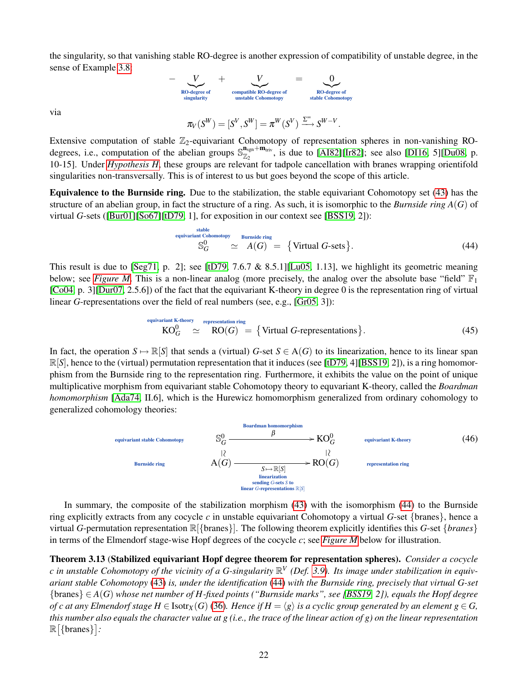the singularity, so that vanishing stable RO-degree is another expression of compatibility of unstable degree, in the sense of Example [3.8:](#page-17-2)

$$
- \underbrace{V}_{\text{RO-degree of} \text{ singularity}} + \underbrace{V}_{\text{compatible RO-degree of} \text{stable} \text{Co-degree of} \text{stable} \text{Cohomotopy}} = \underbrace{0}_{\text{RO-degree of} \text{stable} \text{Cohomotopy}}
$$

via

$$
\pi_V(S^W) = [S^V, S^W] = \pi^W(S^V) \xrightarrow{\Sigma^{\infty}} S^{W-V}.
$$

Extensive computation of stable  $\mathbb{Z}_2$ -equivariant Cohomotopy of representation spheres in non-vanishing ROdegrees, i.e., computation of the abelian groups  $\mathbb{S}_{\mathbb{Z}_2}^{n_{\text{sgn}}+m_{\text{triv}}}$ , is due to [\[AI82\]](#page-40-16)[\[Ir82\]](#page-43-22); see also [\[DI16,](#page-41-9) 5][\[Du08,](#page-41-10) p. 10-15]. Under *[Hypothesis H](#page-4-0)*, these groups are relevant for tadpole cancellation with branes wrapping orientifold singularities non-transversally. This is of interest to us but goes beyond the scope of this article.

Equivalence to the Burnside ring. Due to the stabilization, the stable equivariant Cohomotopy set [\(43\)](#page-20-3) has the structure of an abelian group, in fact the structure of a ring. As such, it is isomorphic to the *Burnside ring A*(*G*) of virtual *G*-sets ([\[Bur01\]](#page-40-17)[\[So67\]](#page-44-21)[\[tD79,](#page-45-4) 1], for exposition in our context see [\[BSS19,](#page-40-4) 2]):

<span id="page-21-2"></span>\n
$$
\text{equivalent}\n \begin{array}{r}\n \text{stable} \\
 \text{S}_G^0 \quad \cong \quad A(G) = \{ \text{Virtual } G\text{-sets} \}.\n \end{array}
$$
\n \tag{44}\n

This result is due to [\[Seg71,](#page-44-16) p. 2]; see [\[tD79,](#page-45-4) 7.6.7 & 8.5.1] [\[Lu05,](#page-43-15) 1.13], we highlight its geometric meaning below; see *[Figure M](#page-23-1)*. This is a non-linear analog (more precisely, the analog over the absolute base "field"  $\mathbb{F}_1$ [\[Co04,](#page-40-18) p. 3][\[Dur07,](#page-41-11) 2.5.6]) of the fact that the equivariant K-theory in degree 0 is the representation ring of virtual linear *G*-representations over the field of real numbers (see, e.g., [\[Gr05,](#page-42-11) 3]):

<span id="page-21-3"></span>
$$
K O_G^0 \simeq R O(G) = \{ \text{Virtual } G\text{-representations} \}.
$$
\n(45)

In fact, the operation  $S \mapsto \mathbb{R}[S]$  that sends a (virtual) *G*-set  $S \in A(G)$  to its linearization, hence to its linear span  $\mathbb{R}[S]$ , hence to the (virtual) permutation representation that it induces (see [\[tD79,](#page-45-4) 4][\[BSS19,](#page-40-4) 2]), is a ring homomorphism from the Burnside ring to the representation ring. Furthermore, it exhibits the value on the point of unique multiplicative morphism from equivariant stable Cohomotopy theory to equvariant K-theory, called the *Boardman homomorphism* [\[Ada74,](#page-39-5) II.6], which is the Hurewicz homomorphism generalized from ordinary cohomology to generalized cohomology theories:

<span id="page-21-0"></span>

In summary, the composite of the stabilization morphism [\(43\)](#page-20-3) with the isomorphism [\(44\)](#page-21-2) to the Burnside ring explicitly extracts from any cocycle *c* in unstable equivariant Cohomotopy a virtual *G*-set {branes}, hence a virtual *G*-permutation representation R[{branes}]. The following theorem explicitly identifies this *G*-set {*branes*} in terms of the Elmendorf stage-wise Hopf degrees of the cocycle *c*; see *[Figure M](#page-23-1)* below for illustration.

<span id="page-21-1"></span>Theorem 3.13 (Stabilized equivariant Hopf degree theorem for representation spheres). *Consider a cocycle* c in unstable Cohomotopy of the vicinity of a G-singularity  $\mathbb{R}^V$  (Def. [3.9\)](#page-17-1). Its image under stabilization in equiv*ariant stable Cohomotopy* [\(43\)](#page-20-3) *is, under the identification* [\(44\)](#page-21-2) *with the Burnside ring, precisely that virtual G-set* {branes} ∈ *A*(*G*) *whose net number of H-fixed points ("Burnside marks", see [\[BSS19,](#page-40-4) 2]), equals the Hopf degree of c at any Elmendorf stage H*  $\in$  Isotr<sub>X</sub>(*G*) [\(36\)](#page-17-3). Hence if  $H = \langle g \rangle$  *is a cyclic group generated by an element*  $g \in G$ , *this number also equals the character value at g (i.e., the trace of the linear action of g) on the linear representation*  $\mathbb{R}[\{\text{branes}\}]:$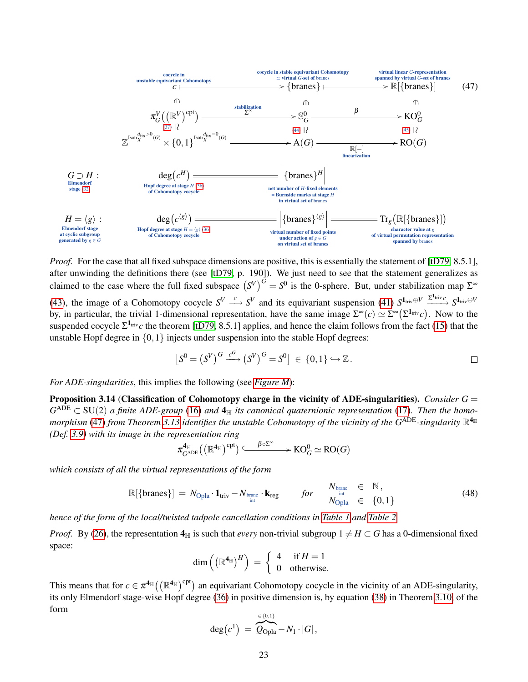<span id="page-22-1"></span>

*Proof.* For the case that all fixed subspace dimensions are positive, this is essentially the statement of [\[tD79,](#page-45-4) 8.5.1], after unwinding the definitions there (see [\[tD79,](#page-45-4) p. 190]). We just need to see that the statement generalizes as claimed to the case where the full fixed subspace  $(S^V)^G = S^0$  is the 0-sphere. But, under stabilization map  $\Sigma^{\infty}$ [\(43\)](#page-20-3), the image of a Cohomotopy cocycle  $S^V \xrightarrow{c} S^V$  and its equivariant suspension [\(41\)](#page-20-1)  $S^{\mathbf{1}_{\text{triv}} \oplus V} \xrightarrow{\Sigma^{\mathbf{1}_{\text{triv}}} S^{\mathbf{1}_{\text{triv}} \oplus V}} S^{\mathbf{1}_{\text{triv}} \oplus V}$ by, in particular, the trivial 1-dimensional representation, have the same image  $\Sigma^{\infty}(c) \simeq \Sigma^{\infty}(\Sigma^{1_{\text{triv}}}c)$ . Now to the suspended cocycle  $\Sigma^1$ <sup>triv</sup>c the theorem [\[tD79,](#page-45-4) 8.5.1] applies, and hence the claim follows from the fact [\(15\)](#page-11-1) that the unstable Hopf degree in  $\{0,1\}$  injects under suspension into the stable Hopf degrees:

$$
\left[S^0 = (S^V)^G \xrightarrow{c^G} (S^V)^G = S^0\right] \in \{0,1\} \hookrightarrow \mathbb{Z}.
$$

*For ADE-singularities*, this implies the following (see *[Figure M](#page-23-1)*):

<span id="page-22-0"></span>Proposition 3.14 (Classification of Cohomotopy charge in the vicinity of ADE-singularities). *Consider G* =  $G^{\text{ADE}} \subset \text{SU}(2)$  a finite ADE-group [\(16\)](#page-12-3) and  $4_{\mathbb{H}}$  its canonical quaternionic representation [\(17\)](#page-12-0). Then the homo-morphism [\(47\)](#page-22-1) from Theorem [3.13](#page-21-1) identifies the unstable Cohomotopy of the vicinity of the  $G^{\rm ADE}$ -singularity  $\R^{4_{\mathbb H}}$ *(Def. [3.9\)](#page-17-1) with its image in the representation ring*

$$
\pi^{\mathbf{4}_\mathbb{H}}_{G^\text{ADE}}\big(\big(\mathbb{R}^\mathbf{4_\mathbb{H}}\big)^{\text{cpt}}\big) \stackrel{\beta \circ \Sigma^\infty}{-\!\!\!-\!\!\!-\!\!\!-\!\!\!-\!\!\!\longrightarrow} \mathrm{KO}_G^0 \simeq \mathrm{RO}(G)
$$

*which consists of all the virtual representations of the form*

$$
\mathbb{R}[\{\text{branes}\}] = N_{\text{Opla}} \cdot \mathbf{1}_{\text{triv}} - N_{\text{brane}} \cdot \mathbf{k}_{\text{reg}} \qquad \text{for} \qquad N_{\text{brane}} \in \mathbb{N},
$$
  
\n
$$
N_{\text{Opla}} \in \{0, 1\}
$$
\n(48)

*hence of the form of the local/twisted tadpole cancellation conditions in [Table 1](#page-1-1) and [Table 2.](#page-2-1)*

*Proof.* By [\(26\)](#page-15-5), the representation  $4_{\mathbb{H}}$  is such that *every* non-trivial subgroup  $1 \neq H \subset G$  has a 0-dimensional fixed space:

$$
\dim\left(\left(\mathbb{R}^{4_{\mathbb{H}}}\right)^{H}\right) = \begin{cases} 4 & \text{if } H = 1 \\ 0 & \text{otherwise.} \end{cases}
$$

This means that for  $c \in \pi^{4_\mathbb{H}}((\mathbb{R}^{4_\mathbb{H}})^{\text{cpt}})$  an equivariant Cohomotopy cocycle in the vicinity of an ADE-singularity, its only Elmendorf stage-wise Hopf degree [\(36\)](#page-17-3) in positive dimension is, by equation [\(38\)](#page-18-1) in Theorem [3.10,](#page-17-0) of the form ∈ {0,1}

$$
\deg(c^1) = \overbrace{Q_{\text{Opla}}}-N_1 \cdot |G|,
$$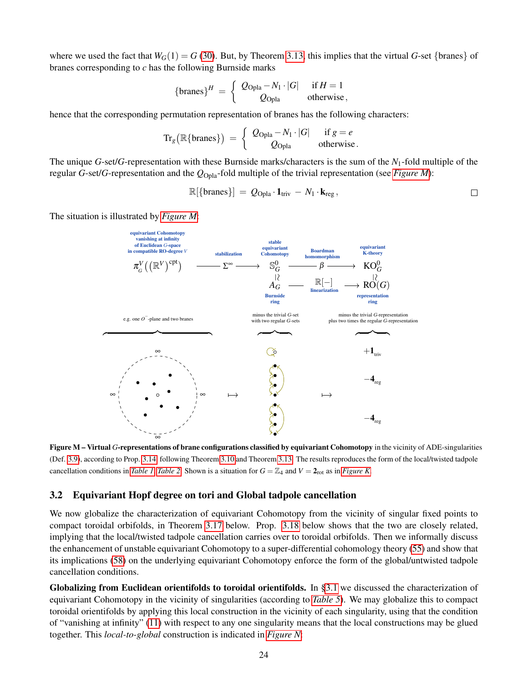where we used the fact that  $W_G(1) = G(30)$  $W_G(1) = G(30)$ . But, by Theorem [3.13,](#page-21-1) this implies that the virtual *G*-set {branes} of branes corresponding to *c* has the following Burnside marks

$$
{\lbrace \text{branes} \rbrace}^H = \left\{ \begin{array}{cl} Q_{\text{Opla}} - N_1 \cdot |G| & \text{if } H = 1 \\ Q_{\text{Opla}} & \text{otherwise} \end{array} \right.
$$

hence that the corresponding permutation representation of branes has the following characters:

$$
\mathrm{Tr}_g\big(\mathbb{R}\{\text{branes}\}\big) = \left\{\begin{array}{cc} Q_{\mathrm{Opla}} - N_1 \cdot |G| & \text{if } g = e \\ Q_{\mathrm{Opla}} & \text{otherwise.} \end{array}\right.
$$

The unique *G*-set/*G*-representation with these Burnside marks/characters is the sum of the *N*1-fold multiple of the regular *G*-set/*G*-representation and the *Q*Opla-fold multiple of the trivial representation (see *[Figure M](#page-23-1)*):

$$
\mathbb{R}[\{\text{branes}\}] = Q_{\text{Opla}} \cdot \mathbf{1}_{\text{triv}} - N_1 \cdot \mathbf{k}_{\text{reg}},
$$

<span id="page-23-1"></span>The situation is illustrated by *[Figure M](#page-23-1)*:



Figure M – Virtual *G*-representations of brane configurations classified by equivariant Cohomotopy in the vicinity of ADE-singularities (Def. [3.9\)](#page-17-1), according to Prop. [3.14,](#page-22-0) following Theorem [3.10](#page-17-0) and Theorem [3.13.](#page-21-1) The results reproduces the form of the local/twisted tadpole cancellation conditions in *[Table 1](#page-1-1)*, *[Table 2](#page-2-1)*. Shown is a situation for  $G = \mathbb{Z}_4$  and  $V = 2_{\text{rot}}$  as in *[Figure K](#page-14-2)*.

### <span id="page-23-0"></span>3.2 Equivariant Hopf degree on tori and Global tadpole cancellation

We now globalize the characterization of equivariant Cohomotopy from the vicinity of singular fixed points to compact toroidal orbifolds, in Theorem [3.17](#page-25-0) below. Prop. [3.18](#page-26-0) below shows that the two are closely related, implying that the local/twisted tadpole cancellation carries over to toroidal orbifolds. Then we informally discuss the enhancement of unstable equivariant Cohomotopy to a super-differential cohomology theory [\(55\)](#page-28-0) and show that its implications [\(58\)](#page-29-0) on the underlying equivariant Cohomotopy enforce the form of the global/untwisted tadpole cancellation conditions.

Globalizing from Euclidean orientifolds to toroidal orientifolds. In [§3.1](#page-16-0) we discussed the characterization of equivariant Cohomotopy in the vicinity of singularities (according to *[Table 5](#page-12-1)*). We may globalize this to compact toroidal orientifolds by applying this local construction in the vicinity of each singularity, using that the condition of "vanishing at infinity" [\(11\)](#page-8-0) with respect to any one singularity means that the local constructions may be glued together. This *local-to-global* construction is indicated in *[Figure N](#page-24-0)*: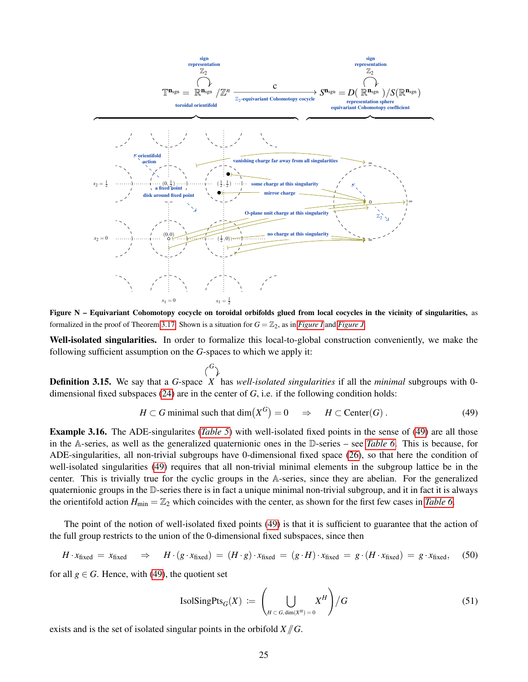<span id="page-24-0"></span>

Figure N – Equivariant Cohomotopy cocycle on toroidal orbifolds glued from local cocycles in the vicinity of singularities, as formalized in the proof of Theorem [3.17.](#page-25-0) Shown is a situation for  $G = \mathbb{Z}_2$ , as in *[Figure I](#page-13-2)* and *[Figure J](#page-13-3)*.

Well-isolated singularities. In order to formalize this local-to-global construction conveniently, we make the following sufficient assumption on the *G*-spaces to which we apply it:

$$
\binom{G}{\cdot}
$$

Definition 3.15. We say that a *G*-space *X* has *well-isolated singularities* if all the *minimal* subgroups with 0 i. dimensional fixed subspaces [\(24\)](#page-14-3) are in the center of *G*, i.e. if the following condition holds:

<span id="page-24-1"></span>
$$
H \subset G \text{ minimal such that } \dim(X^G) = 0 \quad \Rightarrow \quad H \subset \text{Center}(G) \,. \tag{49}
$$

Example 3.16. The ADE-singularites (*[Table 5](#page-12-1)*) with well-isolated fixed points in the sense of [\(49\)](#page-24-1) are all those in the A-series, as well as the generalized quaternionic ones in the D-series – see *[Table 6](#page-25-1)*. This is because, for ADE-singularities, all non-trivial subgroups have 0-dimensional fixed space [\(26\)](#page-15-5), so that here the condition of well-isolated singularities [\(49\)](#page-24-1) requires that all non-trivial minimal elements in the subgroup lattice be in the center. This is trivially true for the cyclic groups in the A-series, since they are abelian. For the generalized quaternionic groups in the D-series there is in fact a unique minimal non-trivial subgroup, and it in fact it is always the orientifold action  $H_{\text{min}} = \mathbb{Z}_2$  which coincides with the center, as shown for the first few cases in *[Table 6](#page-25-1)*.

The point of the notion of well-isolated fixed points [\(49\)](#page-24-1) is that it is sufficient to guarantee that the action of the full group restricts to the union of the 0-dimensional fixed subspaces, since then

<span id="page-24-3"></span>
$$
H \cdot x_{\text{fixed}} = x_{\text{fixed}} \quad \Rightarrow \quad H \cdot (g \cdot x_{\text{fixed}}) = (H \cdot g) \cdot x_{\text{fixed}} = (g \cdot H) \cdot x_{\text{fixed}} = g \cdot (H \cdot x_{\text{fixed}}) = g \cdot x_{\text{fixed}}, \tag{50}
$$

for all  $g \in G$ . Hence, with [\(49\)](#page-24-1), the quotient set

<span id="page-24-2"></span>
$$
\text{IsolSingPts}_{G}(X) := \left(\bigcup_{H \subset G, \dim(X^H) = 0} X^H\right) / G \tag{51}
$$

exists and is the set of isolated singular points in the orbifold  $X/\!\!/ G$ .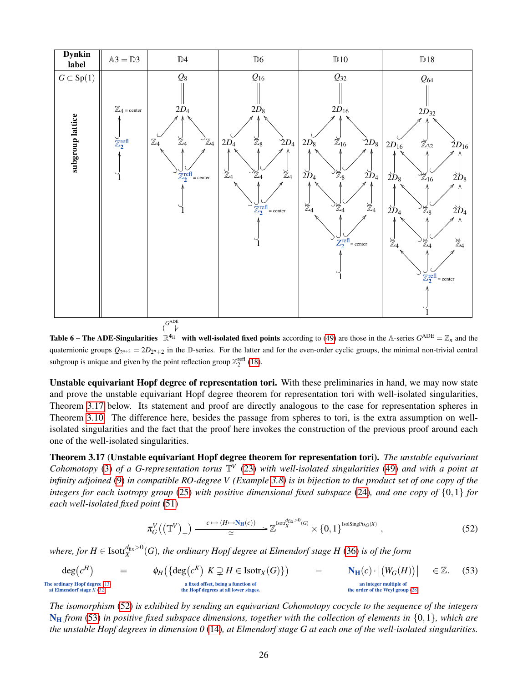<span id="page-25-1"></span>

**Table 6 – The ADE-Singularities**  $\mathbb{R}^{4_H}$  with well-isolated fixed points according to [\(49\)](#page-24-1) are those in the A-series  $G^{\text{ADE}} = \mathbb{Z}_n$  and the  $\overline{a}$ quaternionic groups  $Q_{2^{n+2}} = 2D_{2^n+2}$  in the D-series. For the latter and for the even-order cyclic groups, the minimal non-trivial central subgroup is unique and given by the point reflection group  $\mathbb{Z}_2^{\text{refl}}$  [\(18\)](#page-13-4).

Unstable equivariant Hopf degree of representation tori. With these preliminaries in hand, we may now state and prove the unstable equivariant Hopf degree theorem for representation tori with well-isolated singularities, Theorem [3.17](#page-25-0) below. Its statement and proof are directly analogous to the case for representation spheres in Theorem [3.10.](#page-17-0) The difference here, besides the passage from spheres to tori, is the extra assumption on wellisolated singularities and the fact that the proof here invokes the construction of the previous proof around each one of the well-isolated singularities.

<span id="page-25-0"></span>Theorem 3.17 (Unstable equivariant Hopf degree theorem for representation tori). *The unstable equivariant Cohomotopy* [\(3\)](#page-4-1) of a G-representation torus  $\mathbb{T}^V$  [\(23\)](#page-14-1) with well-isolated singularities [\(49\)](#page-24-1) and with a point at *infinity adjoined* [\(9\)](#page-8-3) *in compatible RO-degree V (Example [3.8\)](#page-17-2) is in bijection to the product set of one copy of the integers for each isotropy group* [\(25\)](#page-14-4) *with positive dimensional fixed subspace* [\(24\)](#page-14-3)*, and one copy of* {0,1} *for each well-isolated fixed point* [\(51\)](#page-24-2)

<span id="page-25-2"></span>
$$
\pi_G^V((\mathbb{T}^V)_+) \xrightarrow{c \mapsto (H \mapsto N_{\mathbb{H}}(c))} \mathbb{Z}^{\text{Isot}^{\text{diag}^{\mathbb{H}}(G)} \times \{0,1\}^{\text{Isolsing} \text{Pr}_{G}(X)},
$$
\n(52)

where, for  $H\in {\rm Isotf}_X^{d_{\rm fix}>0}(G)$ , the ordinary Hopf degree at Elmendorf stage  $H$  [\(36\)](#page-17-3) is of the form

<span id="page-25-3"></span>
$$
\deg(c^H) = \varphi_H(\{\deg(c^K) | K \supsetneq H \in Isotr_X(G)\})
$$
\n
$$
\deg(c^H) = \varphi_H(\{\deg(c^K) | K \supsetneq H \in Isotr_X(G)\})
$$
\n
$$
\deg(c^H) = \varphi_H(\{\deg(c^K) | K \supsetneq H \in Isotr_X(G)\})
$$
\n
$$
\deg(c^H) = \varphi_H(\{\deg(c^K) | K \supsetneq H \in Isotr_X(G)\})
$$
\n
$$
\deg(c^H) = \varphi_H(\{\deg(c^K) | K \supsetneq H \in Isotr_X(G)\})
$$
\n
$$
\deg(c^H) = \varphi_H(\{\deg(c^K) | K \supsetneq H \in Isotr_X(G)\})
$$
\n
$$
\deg(c^H) = \varphi_H(\{\deg(c^K) | K \supsetneq H \in Isotr_X(G)\})
$$
\n
$$
\deg(c^H) = \varphi_H(\{\deg(c^K) | K \supsetneq H \in Isotr_X(G)\})
$$
\n
$$
\deg(c^H) = \varphi_H(\{\deg(c^K) | K \supsetneq H \in Isotr_X(G)\})
$$
\n
$$
\deg(c^H) = \varphi_H(\{\deg(c^K) | K \supsetneq H \in Isotr_X(G)\})
$$
\n
$$
\deg(c^H) = \deg(c^H) = \deg(c^H) = \deg(c^H) = \deg(c^H) = \deg(c^H) = \deg(c^H) = \deg(c^H) = \deg(c^H) = \deg(c^H) = \deg(c^H) = \deg(c^H) = \deg(c^H) = \deg(c^H) = \deg(c^H) = \deg(c^H) = \deg(c^H) = \deg(c^H) = \deg(c^H) = \deg(c^H) = \deg(c^H) = \deg(c^H) = \deg(c^H) = \deg(c^H) = \deg(c^H) = \deg(c^H) = \deg(c^H) = \deg(c^H) = \deg(c^H) = \deg(c^H) = \deg(c^H) = \deg(c^H) = \deg(c^H) = \deg(c^H) = \deg(c^H) = \deg(c^H) = \deg(c^H) = \deg(c^H) = \deg(c^H) = \deg(c^H) = \deg(c^H) = \deg(c^H) = \deg(c^H) = \deg(c^H) = \deg(c^H) = \deg(c^H) = \deg(c^H) = \
$$

*The isomorphism* [\(52\)](#page-25-2) *is exhibited by sending an equivariant Cohomotopy cocycle to the sequence of the integers* N<sup>H</sup> *from* [\(53\)](#page-25-3) *in positive fixed subspace dimensions, together with the collection of elements in* {0,1}*, which are the unstable Hopf degrees in dimension 0* [\(14\)](#page-11-2)*, at Elmendorf stage G at each one of the well-isolated singularities.*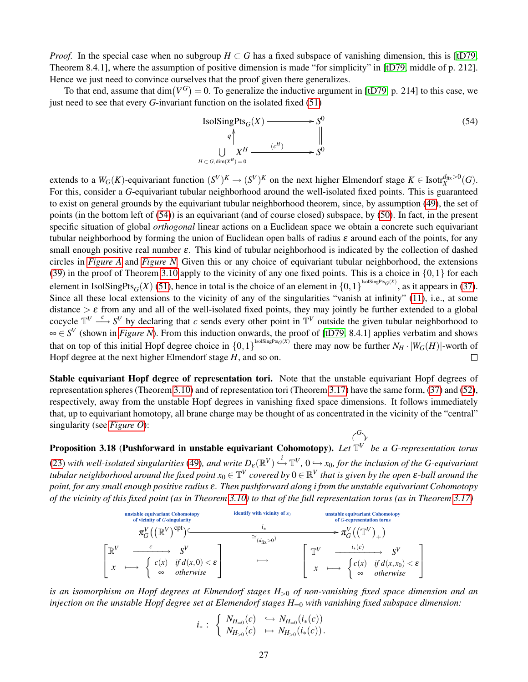*Proof.* In the special case when no subgroup  $H \subset G$  has a fixed subspace of vanishing dimension, this is [\[tD79,](#page-45-4) Theorem 8.4.1], where the assumption of positive dimension is made "for simplicity" in [\[tD79,](#page-45-4) middle of p. 212]. Hence we just need to convince ourselves that the proof given there generalizes.

To that end, assume that  $\dim(V^G) = 0$ . To generalize the inductive argument in [\[tD79,](#page-45-4) p. 214] to this case, we just need to see that every *G*-invariant function on the isolated fixed [\(51\)](#page-24-2)

<span id="page-26-1"></span>IsolSingPts<sub>G</sub>(X) 
$$
\longrightarrow
$$
 S<sup>0</sup>  
\n<sup>q</sup>  $\uparrow$   $\qquad \qquad$   $\parallel$   
\n $\downarrow$   $X^H \xrightarrow{(c^H)} S^0$  (54)  
\n $H \subset G, \dim(X^H) = 0$ 

extends to a  $W_G(K)$ -equivariant function  $(S^V)^K \to (S^V)^K$  on the next higher Elmendorf stage  $K \in Isotr_X^{d_{fix}>0}(G)$ . For this, consider a *G*-equivariant tubular neighborhood around the well-isolated fixed points. This is guaranteed to exist on general grounds by the equivariant tubular neighborhood theorem, since, by assumption [\(49\)](#page-24-1), the set of points (in the bottom left of [\(54\)](#page-26-1)) is an equivariant (and of course closed) subspace, by [\(50\)](#page-24-3). In fact, in the present specific situation of global *orthogonal* linear actions on a Euclidean space we obtain a concrete such equivariant tubular neighborhood by forming the union of Euclidean open balls of radius  $\varepsilon$  around each of the points, for any small enough positive real number  $\varepsilon$ . This kind of tubular neighborhood is indicated by the collection of dashed circles in *[Figure A](#page-2-0)* and *[Figure N](#page-24-0)*. Given this or any choice of equivariant tubular neighborhood, the extensions [\(39\)](#page-18-2) in the proof of Theorem [3.10](#page-17-0) apply to the vicinity of any one fixed points. This is a choice in  $\{0,1\}$  for each element in IsolSingPts<sub>*G*</sub>(*X*) [\(51\)](#page-24-2), hence in total is the choice of an element in  $\{0,1\}^{\text{IsolSingPts}_{G}(X)}$ , as it appears in [\(37\)](#page-18-0). Since all these local extensions to the vicinity of any of the singularities "vanish at infinity" [\(11\)](#page-8-0), i.e., at some distance  $\geq \varepsilon$  from any and all of the well-isolated fixed points, they may jointly be further extended to a global cocycle  $\mathbb{T}^V \stackrel{c}{\longrightarrow} S^V$  by declaring that *c* sends every other point in  $\mathbb{T}^V$  outside the given tubular neighborhood to ∞ ∈ *S V* (shown in *[Figure N](#page-24-0)*). From this induction onwards, the proof of [\[tD79,](#page-45-4) 8.4.1] applies verbatim and shows that on top of this initial Hopf degree choice in  $\{0,1\}^{\text{IsolSingPts}_{G}(X)}$  there may now be further  $N_H \cdot |W_G(H)|$ -worth of Hopf degree at the next higher Elmendorf stage *H*, and so on.  $\Box$ 

Stable equivariant Hopf degree of representation tori. Note that the unstable equivariant Hopf degrees of representation spheres (Theorem [3.10\)](#page-17-0) and of representation tori (Theorem [3.17\)](#page-25-0) have the same form, [\(37\)](#page-18-0) and [\(52\)](#page-25-2), respectively, away from the unstable Hopf degrees in vanishing fixed space dimensions. It follows immediately that, up to equivariant homotopy, all brane charge may be thought of as concentrated in the vicinity of the "central" singularity (see *[Figure O](#page-27-1)*): *G*

<span id="page-26-0"></span>Proposition 3.18 (Pushforward in unstable equivariant Cohomotopy). *Let* T *V* ֞ *be a G-representation torus* [\(23\)](#page-14-1) with well-isolated singularities [\(49\)](#page-24-1), and write  $D_\varepsilon(\mathbb{R}^V) \stackrel{i}{\hookrightarrow} \mathbb{T}^V$ ,  $0 \hookrightarrow x_0$ , for the inclusion of the G-equivariant tubular neighborhood around the fixed point  $x_0\in\mathbb{T}^V$  covered by  $0\in\mathbb{R}^V$  that is given by the open  $\bm{\varepsilon}$ -ball around the *point, for any small enough positive radius* ε*. Then pushforward along i from the unstable equivariant Cohomotopy of the vicinity of this fixed point (as in Theorem [3.10\)](#page-17-0) to that of the full representation torus (as in Theorem [3.17\)](#page-25-0)*

| unstable equivariant Cohomotopy        | identity with vicinity of $x_0$        | unstable equivariant Cohomotopy        |                             |
|----------------------------------------|----------------------------------------|----------------------------------------|-----------------------------|
| of vicinity of $G$ -singularity        | $i_*$                                  | $\pi_G^V((\mathbb{R}^V)^{\text{Cpt}})$ | $i_*$                       |
| $\pi_G^V((\mathbb{R}^V)^{\text{Cpt}})$ | $\pi_G^V((\mathbb{R}^V)^{\text{Cpt}})$ | $\pi_G^V((\mathbb{T}^V)_+)$            |                             |
| $\mathbb{R}^V$                         | $\mathbb{C}^V$                         | $\pi_G^V((\mathbb{R}^V)^{\text{Cpt}})$ | $\pi_G^V((\mathbb{R}^V)_+)$ |
| $\mathbb{R}^V$                         | $\mathbb{C}^V$                         | $\pi_G^V((\mathbb{R}^V)_+)$            |                             |
| $\mathbb{R}^V$                         | $\mathbb{C}^V$                         | $\mathbb{C}^V$                         | $\mathbb{C}^V$              |
| $\mathbb{R}^V$                         | $\mathbb{C}^V$                         | $\mathbb{C}^V$                         | $\mathbb{C}^V$              |
| $\mathbb{R}^V$                         | $\mathbb{C}^V$                         | $\mathbb{C}^V$                         |                             |
| $\mathbb{R}^V$                         | $\mathbb{C}^V$                         | $\mathbb{C}^V$                         |                             |
| $\mathbb{R}^V$                         | $\mathbb{C}^V$                         | $\mathbb{C}^V$                         |                             |

*is an isomorphism on Hopf degrees at Elmendorf stages H*><sup>0</sup> *of non-vanishing fixed space dimension and an injection on the unstable Hopf degree set at Elemendorf stages H*=<sup>0</sup> *with vanishing fixed subspace dimension:*

$$
i_*: \left\{\begin{array}{l} N_{H_{=0}}(c) \quad \hookrightarrow N_{H_{=0}}(i_*(c)) \\ N_{H_{>0}}(c) \quad \mapsto N_{H_{>0}}(i_*(c)). \end{array}\right.
$$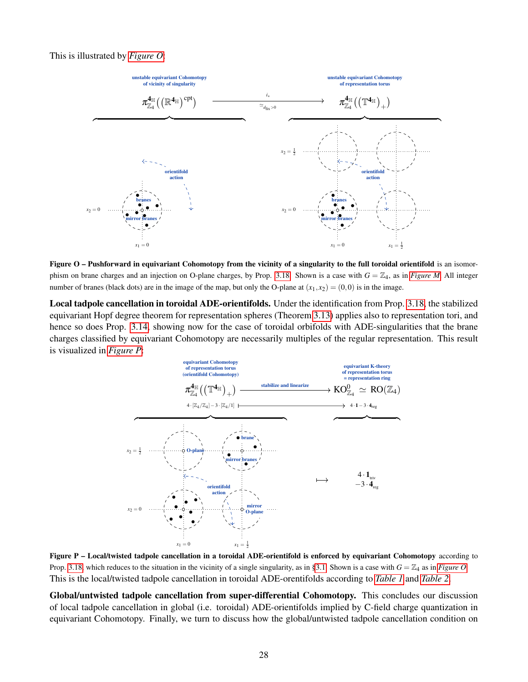#### <span id="page-27-1"></span>This is illustrated by *[Figure O](#page-27-1)*:



Figure O – Pushforward in equivariant Cohomotopy from the vicinity of a singularity to the full toroidal orientifold is an isomor-phism on brane charges and an injection on O-plane charges, by Prop. [3.18.](#page-26-0) Shown is a case with  $G = \mathbb{Z}_4$ , as in *[Figure M](#page-23-1)*. All integer number of branes (black dots) are in the image of the map, but only the O-plane at  $(x_1, x_2) = (0, 0)$  is in the image.

<span id="page-27-0"></span>Local tadpole cancellation in toroidal ADE-orientifolds. Under the identification from Prop. [3.18,](#page-26-0) the stabilized equivariant Hopf degree theorem for representation spheres (Theorem [3.13\)](#page-21-1) applies also to representation tori, and hence so does Prop. [3.14,](#page-22-0) showing now for the case of toroidal orbifolds with ADE-singularities that the brane charges classified by equivariant Cohomotopy are necessarily multiples of the regular representation. This result is visualized in *[Figure P](#page-27-0)*:



Figure P – Local/twisted tadpole cancellation in a toroidal ADE-orientifold is enforced by equivariant Cohomotopy according to Prop. [3.18,](#page-26-0) which reduces to the situation in the vicinity of a single singularity, as in [§3.1.](#page-16-0) Shown is a case with  $G = \mathbb{Z}_4$  as in *[Figure O](#page-27-1)*. This is the local/twisted tadpole cancellation in toroidal ADE-orentifolds according to *[Table 1](#page-1-1)* and *[Table 2](#page-2-1)*.

Global/untwisted tadpole cancellation from super-differential Cohomotopy. This concludes our discussion of local tadpole cancellation in global (i.e. toroidal) ADE-orientifolds implied by C-field charge quantization in equivariant Cohomotopy. Finally, we turn to discuss how the global/untwisted tadpole cancellation condition on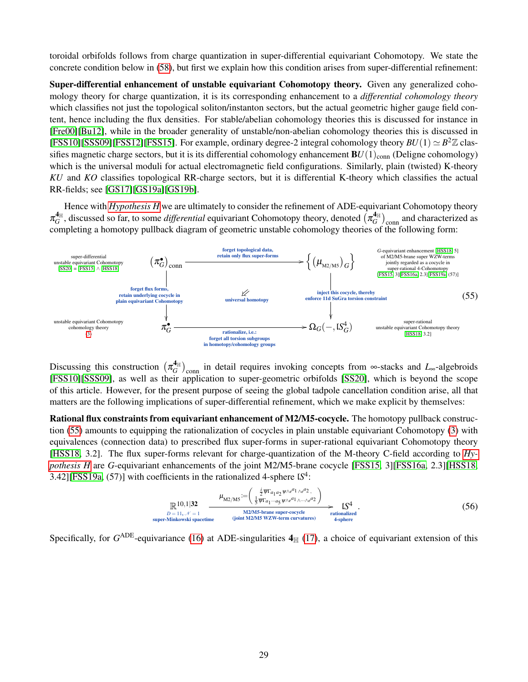toroidal orbifolds follows from charge quantization in super-differential equivariant Cohomotopy. We state the concrete condition below in [\(58\)](#page-29-0), but first we explain how this condition arises from super-differential refinement:

Super-differential enhancement of unstable equivariant Cohomotopy theory. Given any generalized cohomology theory for charge quantization, it is its corresponding enhancement to a *differential cohomology theory* which classifies not just the topological soliton/instanton sectors, but the actual geometric higher gauge field content, hence including the flux densities. For stable/abelian cohomology theories this is discussed for instance in [\[Fre00\]](#page-42-7)[\[Bu12\]](#page-40-19), while in the broader generality of unstable/non-abelian cohomology theories this is discussed in [\[FSS10\]](#page-42-20)[\[SSS09\]](#page-44-13)[\[FSS12\]](#page-41-12)[\[FSS15\]](#page-41-5). For example, ordinary degree-2 integral cohomology theory  $BU(1) \simeq B^2 \mathbb{Z}$  classifies magnetic charge sectors, but it is its differential cohomology enhancement  $BU(1)_{\text{conn}}$  (Deligne cohomology) which is the universal moduli for actual electromagnetic field configurations. Similarly, plain (twisted) K-theory *KU* and *KO* classifies topological RR-charge sectors, but it is differential K-theory which classifies the actual RR-fields; see [\[GS17\]](#page-42-3)[\[GS19a\]](#page-42-4)[\[GS19b\]](#page-42-5).

Hence with *[Hypothesis H](#page-4-0)* we are ultimately to consider the refinement of ADE-equivariant Cohomotopy theory  $\pi_G^{\mathbf{4}_\mathbb{H}}$  $A_H^4$ , discussed so far, to some *differential* equivariant Cohomotopy theory, denoted  $(\pi_G^4)$  $\binom{A_{\mathbb{H}}}{G}$ <sub>conn</sub> and characterized as completing a homotopy pullback diagram of geometric unstable cohomology theories of the following form:

<span id="page-28-0"></span>

Discussing this construction  $(\pi_G^4)$  $\frac{d_{\text{H}}}{G}$ <sub>conn</sub> in detail requires invoking concepts from ∞-stacks and *L*<sub>∞</sub>-algebroids [\[FSS10\]](#page-42-20)[\[SSS09\]](#page-44-13), as well as their application to super-geometric orbifolds [\[SS20\]](#page-44-15), which is beyond the scope of this article. However, for the present purpose of seeing the global tadpole cancellation condition arise, all that matters are the following implications of super-differential refinement, which we make explicit by themselves:

Rational flux constraints from equivariant enhancement of M2/M5-cocycle. The homotopy pullback construction [\(55\)](#page-28-0) amounts to equipping the rationalization of cocycles in plain unstable equivariant Cohomotopy [\(3\)](#page-4-1) with equivalences (connection data) to prescribed flux super-forms in super-rational equivariant Cohomotopy theory [\[HSS18,](#page-43-2) 3.2]. The flux super-forms relevant for charge-quantization of the M-theory C-field according to *[Hy](#page-4-0)[pothesis H](#page-4-0)* are *G*-equivariant enhancements of the joint M2/M5-brane cocycle [\[FSS15,](#page-41-5) 3][\[FSS16a,](#page-41-6) 2.3][\[HSS18,](#page-43-2) 3.42][\[FSS19a,](#page-42-18) (57)] with coefficients in the rationalized 4-sphere l*S* 4 :

<span id="page-28-1"></span>
$$
\mathbb{R}^{10,1|32} \xrightarrow{L_{\text{M2/MS}}} \frac{\mu_{\text{M2/MS}} := \left(\frac{\frac{1}{2} \overline{\psi} \Gamma a_1 a_2 \psi \wedge e^{a_1} \wedge e^{a_2}}{\frac{1}{2} \overline{\psi} \Gamma a_1 \cdots a_5 \psi \wedge e^{a_1} \wedge \cdots \wedge e^{a_2}}\right)}{\frac{\text{M2/MS-brane super-cocycle}}{\text{sumimalized}} \sum_{\substack{\text{ationalized} \\ \text{4-sphere}}}^{L} (56)
$$

Specifically, for  $G^{\text{ADE}}$ -equivariance [\(16\)](#page-12-3) at ADE-singularities  $4<sub>|||</sub>$  [\(17\)](#page-12-0), a choice of equivariant extension of this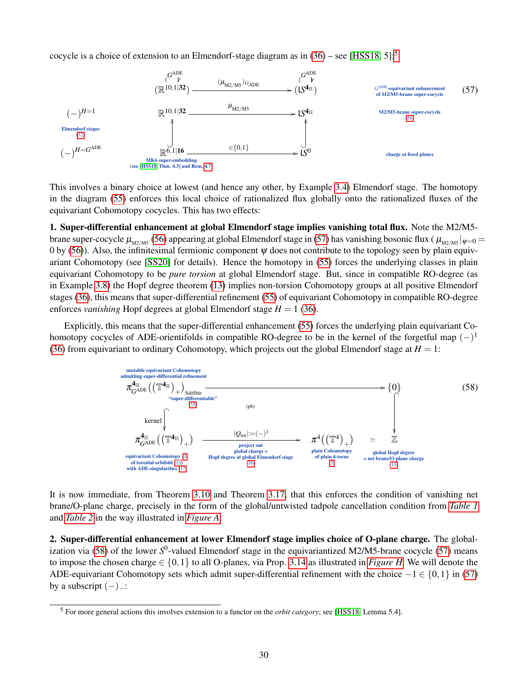cocycle is a choice of extension to an Elmendorf-stage diagram as in  $(36)$  – see [\[HSS18,](#page-43-2) [5](#page-29-1)]:<sup>5</sup>

<span id="page-29-2"></span>

This involves a binary choice at lowest (and hence any other, by Example [3.4\)](#page-14-5) Elmendorf stage. The homotopy in the diagram [\(55\)](#page-28-0) enforces this local choice of rationalized flux globally onto the rationalized fluxes of the equivariant Cohomotopy cocycles. This has two effects:

1. Super-differential enhancement at global Elmendorf stage implies vanishing total flux. Note the M2/M5 brane super-cocycle  $\mu_{M2/M5}$  [\(56\)](#page-28-1) appearing at global Elmendorf stage in [\(57\)](#page-29-2) has vanishing bosonic flux (  $\mu_{M2/M5}$   $|\psi=0$ 0 by [\(56\)](#page-28-1)). Also, the infinitesimal fermionic component  $\psi$  does not contribute to the topology seen by plain equivariant Cohomotopy (see [\[SS20\]](#page-44-15) for details). Hence the homotopy in [\(55\)](#page-28-0) forces the underlying classes in plain equivariant Cohomotopy to be *pure torsion* at global Elmendorf stage. But, since in compatible RO-degree (as in Example [3.8\)](#page-17-2) the Hopf degree theorem [\(13\)](#page-9-3) implies non-torsion Cohomotopy groups at all positive Elmendorf stages [\(36\)](#page-17-3), this means that super-differential refinement [\(55\)](#page-28-0) of equivariant Cohomotopy in compatible RO-degree enforces *vanishing* Hopf degrees at global Elmendorf stage  $H = 1$  [\(36\)](#page-17-3).

Explicitly, this means that the super-differential enhancement [\(55\)](#page-28-0) forces the underlying plain equivariant Cohomotopy cocycles of ADE-orientifolds in compatible RO-degree to be in the kernel of the forgetful map  $(-)^1$ [\(36\)](#page-17-3) from equivariant to ordinary Cohomotopy, which projects out the global Elmendorf stage at  $H = 1$ :

<span id="page-29-0"></span>

It is now immediate, from Theorem [3.10](#page-17-0) and Theorem [3.17,](#page-25-0) that this enforces the condition of vanishing net brane/O-plane charge, precisely in the form of the global/untwisted tadpole cancellation condition from *[Table 1](#page-1-1)* and *[Table 2](#page-2-1)* in the way illustrated in *[Figure A](#page-2-0)*.

2. Super-differential enhancement at lower Elmendorf stage implies choice of O-plane charge. The global-ization via [\(58\)](#page-29-0) of the lower S<sup>0</sup>-valued Elmendorf stage in the equivariantized M2/M5-brane cocycle [\(57\)](#page-29-2) means to impose the chosen charge  $\in \{0,1\}$  to all O-planes, via Prop. [3.14](#page-22-0) as illustrated in *[Figure H](#page-0-0)*. We will denote the ADE-equivariant Cohomotopy sets which admit super-differential refinement with the choice  $-1 \in \{0,1\}$  in [\(57\)](#page-29-2) by a subscript  $(-)$ <sub>-</sub>:

<span id="page-29-3"></span><span id="page-29-1"></span><sup>5</sup> For more general actions this involves extension to a functor on the *orbit category*; see [\[HSS18,](#page-43-2) Lemma 5.4].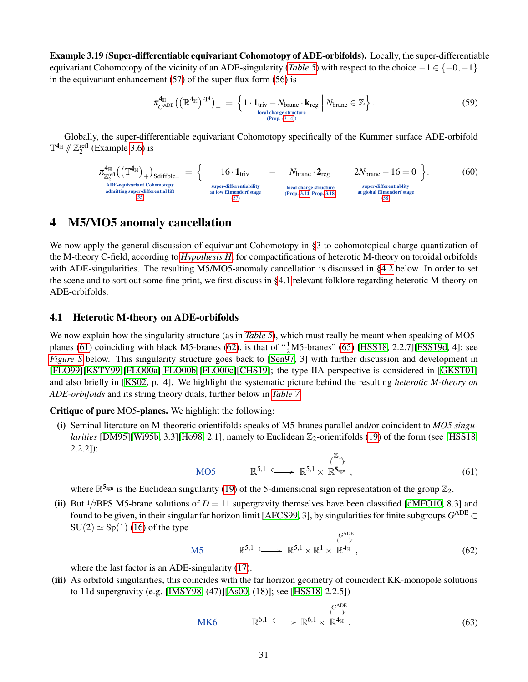Example 3.19 (Super-differentiable equivariant Cohomotopy of ADE-orbifolds). Locally, the super-differentiable equivariant Cohomotopy of the vicinity of an ADE-singularity (*[Table 5](#page-12-1)*) with respect to the choice  $-1 \in \{-0, -1\}$ in the equivariant enhancement [\(57\)](#page-29-2) of the super-flux form [\(56\)](#page-28-1) is

<span id="page-30-5"></span>
$$
\pi_{G^{\text{ADE}}}^{\mathbf{4}_{\mathbb{H}}}(\left(\mathbb{R}^{\mathbf{4}_{\mathbb{H}}}\right)^{\text{cpt}})_{-} = \left\{1 \cdot \mathbf{1}_{\text{triv}} - N_{\text{brane}} \cdot \mathbf{k}_{\text{reg}} \middle| N_{\text{brane}} \in \mathbb{Z} \right\}.
$$
\n
$$
(59)
$$

Globally, the super-differentiable equivariant Cohomotopy specifically of the Kummer surface ADE-orbifold  $\mathbb{T}^{4_{\mathbb{H}}}$  //  $\mathbb{Z}_2^{\text{refl}}$  (Example [3.6\)](#page-15-6) is

<span id="page-30-6"></span>
$$
\pi_{\mathbb{Z}_2^{\text{refl}}}^{\mathbf{4}_{\mathbb{H}}} \left( \left( \mathbb{T}^{\mathbf{4}_{\mathbb{H}}} \right)_+ \right)_{\text{Sdiffble}_-} = \left\{ \begin{array}{c} 16 \cdot \mathbf{1}_{\text{triv}} & - & \text{Nbrane} \cdot \mathbf{2}_{\text{reg}} & | & 2N_{\text{brane}} - 16 = 0 \\ \text{app-cyliferential} \xrightarrow{\text{ADE-equivation to homotopy} \xrightarrow{\text{dipert-differentiability} \xrightarrow{\text{super-differentiability} \xrightarrow{\text{super-differentiability} \xrightarrow{\text{super-differential} \xrightarrow{\text{triv}} \xrightarrow{\text{triv}}} \xrightarrow{\text{triv}} \xrightarrow{\text{triv}} \xrightarrow{\text{triv}} \xrightarrow{\text{triv}} \xrightarrow{\text{triv}} \xrightarrow{\text{triv}} \xrightarrow{\text{triv}} \xrightarrow{\text{triv}} \xrightarrow{\text{triv}} \xrightarrow{\text{triv}} \xrightarrow{\text{triv}} \xrightarrow{\text{triv}} \xrightarrow{\text{triv}} \xrightarrow{\text{triv}} \xrightarrow{\text{triv}} \xrightarrow{\text{triv}} \xrightarrow{\text{triv}} \xrightarrow{\text{triv}} \xrightarrow{\text{triv}} \xrightarrow{\text{triv}} \xrightarrow{\text{triv}} \xrightarrow{\text{triv}} \xrightarrow{\text{triv}} \xrightarrow{\text{triv}} \xrightarrow{\text{triv}} \xrightarrow{\text{triv}} \xrightarrow{\text{triv}} \xrightarrow{\text{triv}} \xrightarrow{\text{triv}} \xrightarrow{\text{triv}} \xrightarrow{\text{triv}} \xrightarrow{\text{triv}} \xrightarrow{\text{triv}} \xrightarrow{\text{triv}} \xrightarrow{\text{triv}} \xrightarrow{\text{triv}} \xrightarrow{\text{triv}} \xrightarrow{\text{triv}} \xrightarrow{\text{triv}} \xrightarrow{\text{triv}} \xrightarrow{\text{triv}} \xrightarrow{\text{triv}} \xrightarrow{\text{triv}} \xrightarrow{\text{triv}} \xrightarrow{\text{triv}} \xrightarrow{\text{triv}} \xrightarrow{\text{triv}} \xrightarrow{\text{triv}} \xrightarrow{\text{triv}} \xrightarrow{\text{triv}} \xrightarrow{\text{triv}} \xrightarrow{\text{triv}} \xrightarrow{\text{triv}} \xrightarrow{\text{triv}} \xrightarrow{\text{triv}} \xrightarrow{\text{triv}} \xrightarrow{\text{triv}} \xrightarrow{\text{triv}} \x
$$

## <span id="page-30-0"></span>4 M5/MO5 anomaly cancellation

We now apply the general discussion of equivariant Cohomotopy in [§3](#page-11-0) to cohomotopical charge quantization of the M-theory C-field, according to *[Hypothesis H](#page-4-0)*, for compactifications of heterotic M-theory on toroidal orbifolds with ADE-singularities. The resulting M5/MO5-anomaly cancellation is discussed in [§4.2](#page-34-0) below. In order to set the scene and to sort out some fine print, we first discuss in [§4.1](#page-30-1) relevant folklore regarding heterotic M-theory on ADE-orbifolds.

#### <span id="page-30-1"></span>4.1 Heterotic M-theory on ADE-orbifolds

We now explain how the singularity structure (as in *[Table 5](#page-12-1)*), which must really be meant when speaking of MO5-planes [\(61\)](#page-30-2) coinciding with black M5-branes [\(62\)](#page-30-3), is that of  $\frac{4}{2}M$ 5-branes" [\(65\)](#page-31-1) [\[HSS18,](#page-43-2) 2.2.7][\[FSS19d,](#page-42-21) 4]; see *[Figure S](#page-32-0)* below. This singularity structure goes back to [\[Sen97,](#page-44-22) 3] with further discussion and development in [\[FLO99\]](#page-41-13)[\[KSTY99\]](#page-43-23)[\[FLO00a\]](#page-41-14)[\[FLO00b\]](#page-41-15)[\[FLO00c\]](#page-41-16)[\[CHS19\]](#page-40-20); the type IIA perspective is considered in [\[GKST01\]](#page-42-22) and also briefly in [\[KS02,](#page-43-3) p. 4]. We highlight the systematic picture behind the resulting *heterotic M-theory on ADE-orbifolds* and its string theory duals, further below in *[Table 7](#page-33-0)*.

Critique of pure MO5-planes. We highlight the following:

(i) Seminal literature on M-theoretic orientifolds speaks of M5-branes parallel and/or coincident to *MO5 singularities* [\[DM95\]](#page-40-6)[\[Wi95b,](#page-45-1) 3.3][\[Ho98,](#page-43-9) 2.1], namely to Euclidean  $\mathbb{Z}_2$ -orientifolds [\(19\)](#page-13-1) of the form (see [\[HSS18,](#page-43-2) 2.2.2]):

<span id="page-30-2"></span>
$$
\text{MO5} \qquad \mathbb{R}^{5,1} \qquad \longrightarrow \mathbb{R}^{5,1} \times \mathbb{R}^{5_{\text{sgn}}}, \qquad (61)
$$

where  $\mathbb{R}^{5_{sgn}}$  is the Euclidean singularity [\(19\)](#page-13-1) of the 5-dimensional sign representation of the group  $\mathbb{Z}_2$ .

(ii) But  $1/2$ BPS M5-brane solutions of  $D = 11$  supergravity themselves have been classified [\[dMFO10,](#page-41-17) 8.3] and found to be given, in their singular far horizon limit [\[AFCS99,](#page-39-6) 3], by singularities for finite subgroups  $G^{\text{ADE}}$   $\subset$  $SU(2) \simeq Sp(1)$  [\(16\)](#page-12-3) of the type

<span id="page-30-3"></span>
$$
\mathbb{R}^{5,1} \longleftrightarrow \mathbb{R}^{5,1} \times \mathbb{R}^1 \times \mathbb{R}^{4_{\mathbb{H}}}, \qquad (62)
$$

where the last factor is an ADE-singularity  $(17)$ .

(iii) As orbifold singularities, this coincides with the far horizon geometry of coincident KK-monopole solutions to 11d supergravity (e.g. [\[IMSY98,](#page-43-24) (47)][\[As00,](#page-40-21) (18)]; see [\[HSS18,](#page-43-2) 2.2.5])

<span id="page-30-4"></span>
$$
\mathbf{MK6} \qquad \mathbb{R}^{6,1} \qquad \longrightarrow \mathbb{R}^{6,1} \times \mathbb{R}^{4_{\mathbb{H}}}, \qquad (63)
$$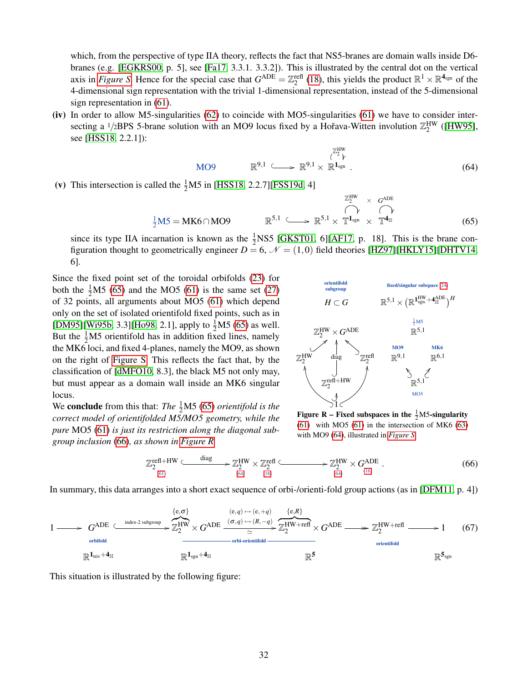which, from the perspective of type IIA theory, reflects the fact that NS5-branes are domain walls inside D6branes (e.g. [\[EGKRS00,](#page-41-18) p. 5], see [\[Fa17,](#page-41-19) 3.3.1. 3.3.2]). This is illustrated by the central dot on the vertical axis in *[Figure S](#page-32-0)*. Hence for the special case that  $G^{ADE} = \mathbb{Z}_2^{\text{refl}}$  [\(18\)](#page-13-4), this yields the product  $\mathbb{R}^1 \times \mathbb{R}^{4_{\text{sgn}}}$  of the 4-dimensional sign representation with the trivial 1-dimensional representation, instead of the 5-dimensional sign representation in [\(61\)](#page-30-2).

(iv) In order to allow M5-singularities [\(62\)](#page-30-3) to coincide with MO5-singularities [\(61\)](#page-30-2) we have to consider intersecting a <sup>1</sup>/2BPS 5-brane solution with an MO9 locus fixed by a Hořava-Witten involution  $\mathbb{Z}_2^{\text{HW}}$  ([\[HW95\]](#page-43-25), see [\[HSS18,](#page-43-2) 2.2.1]):

<span id="page-31-3"></span>
$$
\text{MO9} \qquad \mathbb{R}^{9,1} \qquad \longrightarrow \mathbb{R}^{9,1} \times \mathbb{R}^{1_{\text{sgn}}} \,.
$$
\n
$$
(64)
$$

(v) This intersection is called the  $\frac{1}{2}M5$  in [\[HSS18,](#page-43-2) 2.2.7][\[FSS19d,](#page-42-21) 4]

<span id="page-31-1"></span>
$$
\frac{1}{2}M5 = MK6 \cap MO9 \qquad \mathbb{R}^{5,1} \qquad \longrightarrow \mathbb{R}^{5,1} \times \mathbb{T}^{1_{sgn}} \times \mathbb{T}^{4_{\mathbb{H}}} \qquad (65)
$$

since its type IIA incarnation is known as the  $\frac{1}{2}$ NS5 [\[GKST01,](#page-42-22) 6][\[AF17,](#page-39-7) p. 18]. This is the brane configuration thought to geometrically engineer  $D = 6$ ,  $\mathcal{N} = (1,0)$  field theories [\[HZ97\]](#page-42-23)[\[HKLY15\]](#page-42-24)[\[DHTV14,](#page-40-22) 6].

Since the fixed point set of the toroidal orbifolds [\(23\)](#page-14-1) for both the  $\frac{1}{2}M5$  [\(65\)](#page-31-1) and the MO5 [\(61\)](#page-30-2) is the same set [\(27\)](#page-15-7) of 32 points, all arguments about MO5 [\(61\)](#page-30-2) which depend only on the set of isolated orientifold fixed points, such as in [\[DM95\]](#page-40-6)[\[Wi95b,](#page-45-1) 3.3][\[Ho98,](#page-43-9) 2.1], apply to  $\frac{1}{2}$ M5 [\(65\)](#page-31-1) as well. But the  $\frac{1}{2}M5$  orientifold has in addition fixed lines, namely the MK6 loci, and fixed 4-planes, namely the MO9, as shown on the right of [Figure S.](#page-32-0) This reflects the fact that, by the classification of [\[dMFO10,](#page-41-17) 8.3], the black M5 not only may, but must appear as a domain wall inside an MK6 singular locus.

We **conclude** from this that: *The*  $\frac{1}{2}$ M5 [\(65\)](#page-31-1) *orientifold is the correct model of orientifolded M5/MO5 geometry, while the pure* MO5 [\(61\)](#page-30-2) *is just its restriction along the diagonal subgroup inclusion* [\(66\)](#page-31-2)*, as shown in [Figure R](#page-0-0)*



Figure R – Fixed subspaces in the  $\frac{1}{2}$ M5-singularity  $(61)$  with MO5  $(61)$  in the intersection of MK6  $(63)$ with MO9 [\(64\)](#page-31-3), illustrated in *[Figure S](#page-32-0)*.

<span id="page-31-2"></span>
$$
\mathbb{Z}_2^{\text{refl} + HW} \xrightarrow{\text{diag}} \mathbb{Z}_2^{\text{HW}} \times \mathbb{Z}_2^{\text{refl}} \xrightarrow{\text{diag}} \mathbb{Z}_2^{\text{HW}} \times G^{\text{ADE}} \xrightarrow{\text{diag}} (66)
$$

In summary, this data arranges into a short exact sequence of orbi-/orienti-fold group actions (as in [\[DFM11,](#page-41-4) p. 4])

<span id="page-31-0"></span>

This situation is illustrated by the following figure: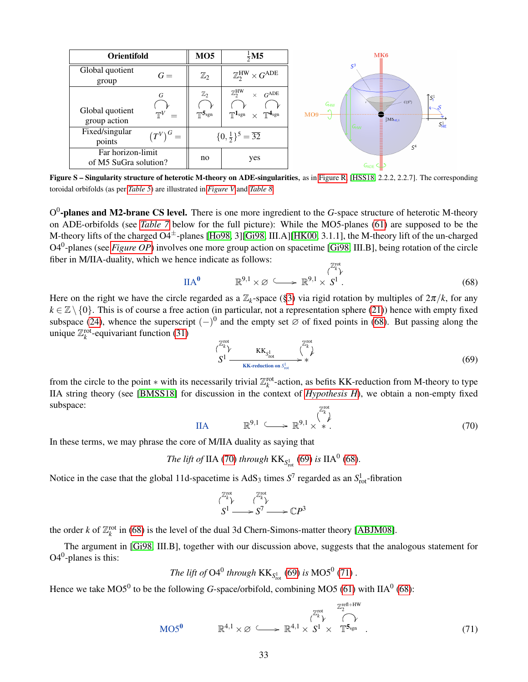<span id="page-32-0"></span>

| <b>Orientifold</b>                         |                            | MO5                                         | $\frac{1}{2}$ M5                                                                                                                | MK6                                                                                                                                                                                                                                                                                                                    |
|--------------------------------------------|----------------------------|---------------------------------------------|---------------------------------------------------------------------------------------------------------------------------------|------------------------------------------------------------------------------------------------------------------------------------------------------------------------------------------------------------------------------------------------------------------------------------------------------------------------|
| Global quotient<br>group                   | $G =$                      | $\mathbb{Z}_2$                              | $\mathbb{Z}_2^{\rm HW}\times G^{\rm ADE}$                                                                                       | S <sup>3</sup><br>$\cdots$<br><br>∰                                                                                                                                                                                                                                                                                    |
| Global quotient<br>group action            | G<br>$\mathbb{T}^V$<br>$=$ | $\mathbb{Z}_2$<br>$\neg\neg$ 5 $_{\rm sgn}$ | $\mathbb{Z}_2^{\text{HW}}$<br>$G^{\text{ADE}}$<br>$\times$<br>$\mathbb{T}^{\mathbf{1}}$ sgn<br>$\mathbb{T}^{4}$ sgn<br>$\times$ | <br>m<br>$\uparrow$ <sub>S<sup>1</sup></sub><br>$\cdots$<br>- 8<br>$C(S^3)$<br>G <sub>HW</sub><br>$\begin{smallmatrix} \begin{smallmatrix} 4 & & & \end{smallmatrix} \\ \begin{smallmatrix} 4 & & \end{smallmatrix} \end{smallmatrix}$<br>MO <sub>9</sub><br>$\frac{1}{2}M5_{HE/I}$<br>ē<br>$S^1_{\sf HE}$<br>$G_{HW}$ |
| Fixed/singular<br>G<br>$(T^{V}$<br>points  |                            |                                             | $\{0,\frac{1}{2}\}^5 = \overline{32}$                                                                                           | <br><br>$\cdots$<br>$\mathbf{m}$<br>111<br>S <sup>4</sup>                                                                                                                                                                                                                                                              |
| Far horizon-limit<br>of M5 SuGra solution? |                            | no                                          | yes                                                                                                                             | I<br>GADE                                                                                                                                                                                                                                                                                                              |

Figure S – Singularity structure of heterotic M-theory on ADE-singularities, as in [Figure R,](#page-0-0) [\[HSS18,](#page-43-2) 2.2.2, 2.2.7]. The corresponding toroidal orbifolds (as per *[Table 5](#page-12-1)*) are illustrated in *[Figure V](#page-35-0)* and *[Table 8](#page-38-0)*.

O<sup>0</sup>-planes and M2-brane CS level. There is one more ingredient to the *G*-space structure of heterotic M-theory on ADE-orbifolds (see *[Table 7](#page-33-0)* below for the full picture): While the MO5-planes [\(61\)](#page-30-2) are supposed to be the M-theory lifts of the charged O4±-planes [\[Ho98,](#page-43-9) 3][\[Gi98,](#page-42-14) III.A][\[HK00,](#page-42-15) 3.1.1], the M-theory lift of the un-charged O4<sup>0</sup> -planes (see *[Figure OP](#page-0-0)*) involves one more group action on spacetime [\[Gi98,](#page-42-14) III.B], being rotation of the circle fiber in M/IIA-duality, which we hence indicate as follows:

<span id="page-32-1"></span>
$$
\text{IIA}^0 \qquad \mathbb{R}^{9,1} \times \varnothing \qquad \longrightarrow \mathbb{R}^{9,1} \times S^1. \tag{68}
$$

Here on the right we have the circle regarded as a  $\mathbb{Z}_k$ -space ([§3\)](#page-11-0) via rigid rotation by multiples of  $2\pi/k$ , for any  $k \in \mathbb{Z} \setminus \{0\}$ . This is of course a free action (in particular, not a representation sphere [\(21\)](#page-13-0)) hence with empty fixed subspace [\(24\)](#page-14-3), whence the superscript  $(-)^0$  and the empty set ∅ of fixed points in [\(68\)](#page-32-1). But passing along the unique  $\mathbb{Z}_k^{\text{rot}}$ -equivariant function [\(31\)](#page-15-0)

<span id="page-32-3"></span>
$$
S^{1} \xrightarrow{\text{KK}_{\text{rot}}} \text{KK}_{S_{\text{rot}}^{1}} \xrightarrow{\text{KK}_{\text{rot}}} \text{(69)}
$$

from the circle to the point  $*$  with its necessarily trivial  $\mathbb{Z}_k^{\text{rot}}$ -action, as befits KK-reduction from M-theory to type IIA string theory (see [\[BMSS18\]](#page-40-13) for discussion in the context of *[Hypothesis H](#page-4-0)*), we obtain a non-empty fixed subspace: Z rot

<span id="page-32-2"></span>
$$
\text{IIA} \qquad \mathbb{R}^{9,1} \qquad \longrightarrow \mathbb{R}^{9,1} \times \overset{\binom{a}{k}}{\ast}.
$$

In these terms, we may phrase the core of M/IIA duality as saying that

The lift of IIA (70) through 
$$
KK_{S_{\text{rot}}^1}
$$
 (69) is  $IIA^0$  (68).

Notice in the case that the global 11d-spacetime is  $AdS_3$  times  $S^7$  regarded as an  $S<sub>rot</sub><sup>1</sup>$ -fibration

$$
S1 \longrightarrow S7 \longrightarrow \mathbb{C}P3
$$

the order *k* of  $\mathbb{Z}_k^{\text{rot}}$  in [\(68\)](#page-32-1) is the level of the dual 3d Chern-Simons-matter theory [\[ABJM08\]](#page-39-8).

The argument in [\[Gi98,](#page-42-14) III.B], together with our discussion above, suggests that the analogous statement for  $O4^0$ -planes is this:

The lift of 
$$
O4^0
$$
 through  $KK_{S^1_{rot}}(69)$  is  $MO5^0$  (71).

Hence we take  $MOS^0$  to be the following *G*-space/orbifold, combining MO5 [\(61\)](#page-30-2) with IIA<sup>0</sup> [\(68\)](#page-32-1):

<span id="page-32-4"></span>
$$
\text{MO5}^0 \qquad \mathbb{R}^{4,1} \times \varnothing \qquad \longrightarrow \mathbb{R}^{4,1} \times \overset{\text{Z}_2^{\text{rot}}}{\longrightarrow} \overset{\text{Z}_2^{\text{rot}}}{\longrightarrow} \overset{\text{Z}_2^{\text{ref}+HW}}{\longrightarrow} \tag{71}
$$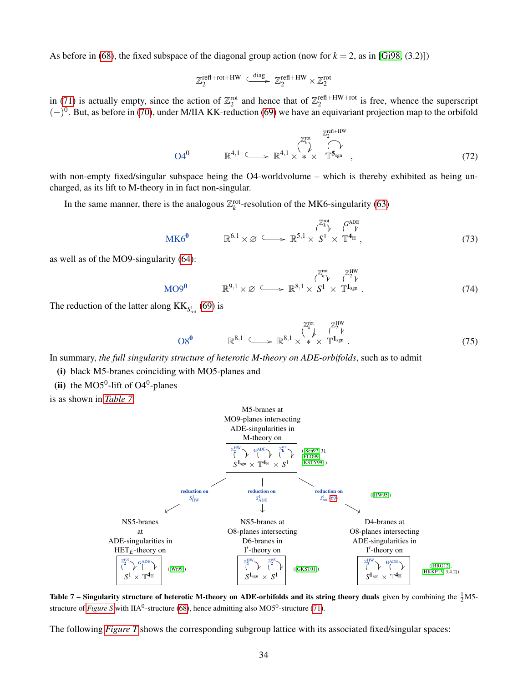As before in [\(68\)](#page-32-1), the fixed subspace of the diagonal group action (now for  $k = 2$ , as in [\[Gi98,](#page-42-14) (3.2)])

$$
\mathbb{Z}_2^{\text{refl+rot+HW}} \xrightarrow{\text{diag}} \mathbb{Z}_2^{\text{refl+HW}} \times \mathbb{Z}_2^{\text{rot}}
$$

in [\(71\)](#page-32-4) is actually empty, since the action of  $\mathbb{Z}_2^{\text{rot}}$  and hence that of  $\mathbb{Z}_2^{\text{ref}}$ +HW+rot is free, whence the superscript  $(-)^0$ . But, as before in [\(70\)](#page-32-2), under M/IIA KK-reduction [\(69\)](#page-32-3) we have an equivariant projection map to the orbifold

<span id="page-33-3"></span>
$$
O4^0 \qquad \mathbb{R}^{4,1} \qquad \longrightarrow \mathbb{R}^{4,1} \times \mathbb{R}^{4,1} \times \mathbb{R}^{2 \times 1} \longrightarrow \mathbb{T}^{5_{\text{sgn}}} \qquad (72)
$$

with non-empty fixed/singular subspace being the O4-worldvolume – which is thereby exhibited as being uncharged, as its lift to M-theory in in fact non-singular.

In the same manner, there is the analogous  $\mathbb{Z}_k^{\text{rot}}$ -resolution of the MK6-singularity [\(63\)](#page-30-4)

<span id="page-33-1"></span>
$$
\mathbf{MK6}^{\mathbf{0}} \qquad \mathbb{R}^{6,1} \times \varnothing \qquad \longrightarrow \mathbb{R}^{5,1} \times S^{1} \times \mathbb{T}^{\mathbf{4}_{\mathbb{H}}}, \qquad (73)
$$

as well as of the MO9-singularity [\(64\)](#page-31-3):

<span id="page-33-2"></span>
$$
\text{MO9}^0 \qquad \mathbb{R}^{9,1} \times \varnothing \qquad \longrightarrow \mathbb{R}^{8,1} \times S^1 \times T^{1_{sgn}} \,. \tag{74}
$$

The reduction of the latter along  $KK_{S^1_{rot}}(69)$  $KK_{S^1_{rot}}(69)$  is

<span id="page-33-4"></span>
$$
O8^{\mathbf{0}} \qquad \mathbb{R}^{8,1} \qquad \longrightarrow \mathbb{R}^{8,1} \times \mathbb{R}^{8,1} \times \mathbb{R}^{2\mathbb{N}^{\mathbf{0}}}_{\mathbf{X}} \qquad (75)
$$

In summary, *the full singularity structure of heterotic M-theory on ADE-orbifolds*, such as to admit

(i) black M5-branes coinciding with MO5-planes and

(ii) the MO5<sup>0</sup>-lift of O4<sup>0</sup>-planes

<span id="page-33-0"></span>is as shown in *[Table 7](#page-33-0)*.



Table 7 – Singularity structure of heterotic M-theory on ADE-orbifolds and its string theory duals given by combining the  $\frac{1}{2}$ M5structure of *[Figure S](#page-32-0)* with IIA<sup>0</sup>-structure [\(68\)](#page-32-1), hence admitting also MO5<sup>0</sup>-structure [\(71\)](#page-32-4).

The following *[Figure T](#page-34-2)* shows the corresponding subgroup lattice with its associated fixed/singular spaces: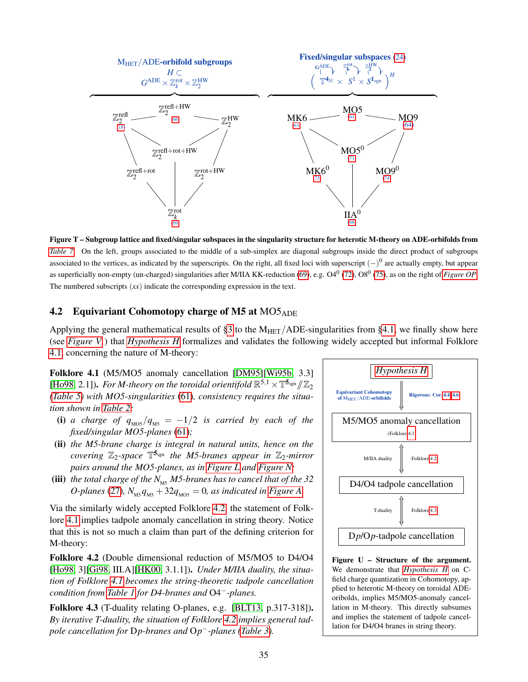<span id="page-34-2"></span>

Figure T – Subgroup lattice and fixed/singular subspaces in the singularity structure for heterotic M-theory on ADE-orbifolds from *[Table 7](#page-33-0)*. On the left, groups associated to the middle of a sub-simplex are diagonal subgroups inside the direct product of subgroups associated to the vertices, as indicated by the superscripts. On the right, all fixed loci with superscript  $(-)^0$  are actually empty, but appear as superficially non-empty (un-charged) singularities after M/IIA KK-reduction [\(69\)](#page-32-3), e.g. O4<sup>0</sup> [\(72\)](#page-33-3), O8<sup>0</sup> [\(75\)](#page-33-4), as on the right of *[Figure OP](#page-0-0)*. The numbered subscripts (*xx*) indicate the corresponding expression in the text.

### <span id="page-34-0"></span>4.2 Equivariant Cohomotopy charge of M5 at  $MO5_{ADE}$

Applying the general mathematical results of [§3](#page-11-0) to the  $M_{HET}/ADE-singularities$  from [§4.1,](#page-30-1) we finally show here (see *[Figure V](#page-35-0)* ) that *[Hypothesis H](#page-4-0)* formalizes and validates the following widely accepted but informal Folklore [4.1,](#page-34-1) concerning the nature of M-theory:

<span id="page-34-1"></span>Folklore 4.1 (M5/MO5 anomaly cancellation [\[DM95\]](#page-40-6)[\[Wi95b,](#page-45-1) 3.3] [\[Ho98,](#page-43-9) 2.1]). *For M-theory on the toroidal orientifold*  $\mathbb{R}^{5,1} \times \mathbb{T}^{5_{\text{sgn}}}/\mathbb{Z}_2$ <br>(*Table 5*) with *MO5* singularities (61), consistency requires the situal *[\(Table 5\)](#page-12-1) with MO5-singularities* [\(61\)](#page-30-2)*, consistency requires the situation shown in [Table 2:](#page-2-1)*

- (i) *a charge of*  $q_{MOS}/q_{M5} = -1/2$  *is carried by each of the fixed/singular MO5-planes* [\(61\)](#page-30-2)*;*
- (ii) *the M5-brane charge is integral in natural units, hence on the covering* Z2*-space* T <sup>5</sup>sgn *the M5-branes appear in* Z2*-mirror pairs around the MO5-planes, as in [Figure L](#page-19-0) and [Figure N;](#page-24-0)*
- (iii) *the total charge of the*  $N_{\text{MS}}$  *M5-branes has to cancel that of the* 32 *O-planes* [\(27\)](#page-15-7)*,*  $N_{\text{MS}} q_{\text{MS}} + 32 q_{\text{MOS}} = 0$ *, as indicated in [Figure A.](#page-2-0)*

Via the similarly widely accepted Folklore [4.2,](#page-34-3) the statement of Folklore [4.1](#page-34-1) implies tadpole anomaly cancellation in string theory. Notice that this is not so much a claim than part of the defining criterion for M-theory:

<span id="page-34-3"></span>Folklore 4.2 (Double dimensional reduction of M5/MO5 to D4/O4 [\[Ho98,](#page-43-9) 3][\[Gi98,](#page-42-14) III.A][\[HK00,](#page-42-15) 3.1.1]). *Under M/IIA duality, the situation of Folklore [4.1](#page-34-1) becomes the string-theoretic tadpole cancellation condition from [Table 1](#page-1-1) for D4-branes and* O4−*-planes.*

<span id="page-34-4"></span>Folklore 4.3 (T-duality relating O-planes, e.g. [\[BLT13,](#page-40-2) p.317-318]). *By iterative T-duality, the situation of Folklore [4.2](#page-34-3) implies general tadpole cancellation for* D*p-branes and* O*p* <sup>−</sup>*-planes [\(Table 3\)](#page-4-2).*



Figure U – Structure of the argument. We demonstrate that *[Hypothesis H](#page-4-0)* on Cfield charge quantization in Cohomotopy, applied to heterotic M-theory on toroidal ADEoribolds, implies M5/MO5-anomaly cancellation in M-theory. This directly subsumes and implies the statement of tadpole cancellation for D4/O4 branes in string theory.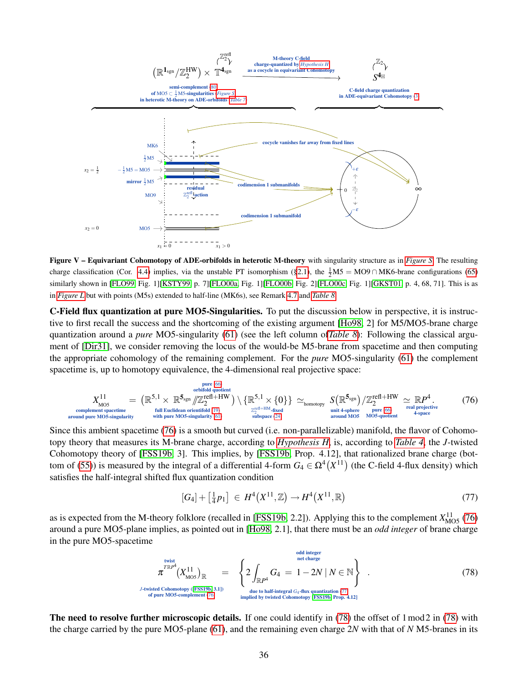<span id="page-35-0"></span>

Figure V – Equivariant Cohomotopy of ADE-orbifolds in heterotic M-theory with singularity structure as in *[Figure S](#page-32-0)*. The resulting charge classification (Cor. [4.4\)](#page-36-0) implies, via the unstable PT isomorphism ([§2.1\)](#page-6-1), the  $\frac{1}{2}M5 = MO9 \cap MK6$ -brane configurations [\(65\)](#page-31-1) similarly shown in [\[FLO99,](#page-41-13) Fig. 1][\[KSTY99,](#page-43-23) p. 7][\[FLO00a,](#page-41-14) Fig. 1][\[FLO00b,](#page-41-15) Fig. 2][\[FLO00c,](#page-41-16) Fig. 1][\[GKST01,](#page-42-22) p. 4, 68, 71]. This is as in *[Figure L](#page-19-0)* but with points (M5s) extended to half-line (MK6s), see Remark [4.7](#page-38-1) and *[Table 8](#page-38-0)*.

C-Field flux quantization at pure MO5-Singularities. To put the discussion below in perspective, it is instructive to first recall the success and the shortcoming of the existing argument [\[Ho98,](#page-43-9) 2] for M5/MO5-brane charge quantization around a *pure* MO5-singularity [\(61\)](#page-30-2) (see the left column of*[Table 8](#page-38-0)*): Following the classical argument of [\[Dir31\]](#page-41-1), we consider removing the locus of the would-be M5-brane from spacetime and then computing the appropriate cohomology of the remaining complement. For the *pure* MO5-singularity [\(61\)](#page-30-2) the complement spacetime is, up to homotopy equivalence, the 4-dimensional real projective space:

<span id="page-35-1"></span>
$$
X_{\text{MO5}}^{11} = (\mathbb{R}^{5,1} \times \mathbb{R}^{5_{\text{sgn}}}/\mathbb{Z}_2^{\text{refl+HW}}) \setminus {\mathbb{R}^{5,1} \times \{0\}} \simeq_{\text{homotopy}} S(\mathbb{R}^{5_{\text{sgn}}})/\mathbb{Z}_2^{\text{refl+HW}} \simeq \mathbb{R}P^4. \tag{76}
$$
  
complement spacetime  
around pure MO5-singularity  
with pure MO5-singularity (61) with pure MO5-singularity (61)

Since this ambient spacetime [\(76\)](#page-35-1) is a smooth but curved (i.e. non-parallelizable) manifold, the flavor of Cohomotopy theory that measures its M-brane charge, according to *[Hypothesis H](#page-4-0)*, is, according to *[Table 4](#page-5-0)*, the *J*-twisted Cohomotopy theory of [\[FSS19b,](#page-42-16) 3]. This implies, by [\[FSS19b,](#page-42-16) Prop. 4.12], that rationalized brane charge (bot-tom of [\(55\)](#page-28-0)) is measured by the integral of a differential 4-form  $G_4 \in \Omega^4(X^{11})$  (the C-field 4-flux density) which satisfies the half-integral shifted flux quantization condition

<span id="page-35-2"></span>
$$
[G_4] + \left[\frac{1}{4}p_1\right] \in H^4(X^{11}, \mathbb{Z}) \to H^4(X^{11}, \mathbb{R})
$$
\n(77)

as is expected from the M-theory folklore (recalled in [\[FSS19b,](#page-42-16) 2.2]). Applying this to the complement  $X_{MOS}^{11}$  [\(76\)](#page-35-1) around a pure MO5-plane implies, as pointed out in [\[Ho98,](#page-43-9) 2.1], that there must be an *odd integer* of brane charge in the pure MO5-spacetime

<span id="page-35-3"></span>
$$
\pi^{\text{Twist}}(X_{\text{MOS}}^{11})_{\mathbb{R}} = \left\{ 2 \int_{\mathbb{R}P^4} G_4 = 1 - 2N \mid N \in \mathbb{N} \right\}.
$$
\n
$$
U^{\text{twist}}(\text{Jchomotopy (FSS19b, 3.1)})
$$
\n
$$
U^{\text{twisted Cohomotopy (FSS19b, 3.1)}}_{\text{of pure MO5-complement} (76)} = \left\{ 2 \int_{\mathbb{R}P^4} G_4 = 1 - 2N \mid N \in \mathbb{N} \right\}.
$$
\n
$$
(78)
$$
\n
$$
U^{\text{twisted Cohomotopy (FSS19b, 3.1)}}
$$

The need to resolve further microscopic details. If one could identify in [\(78\)](#page-35-3) the offset of 1 mod 2 in (78) with the charge carried by the pure MO5-plane [\(61\)](#page-30-2), and the remaining even charge 2*N* with that of *N* M5-branes in its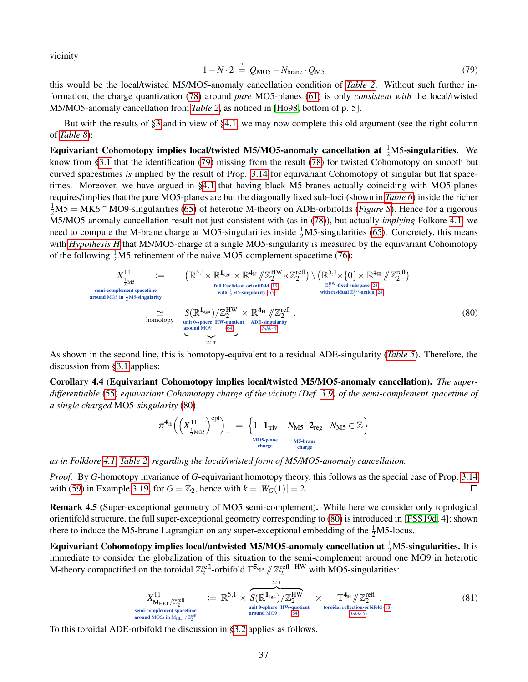vicinity

<span id="page-36-3"></span>
$$
1 - N \cdot 2 \stackrel{?}{=} Q_{\text{MO5}} - N_{\text{brane}} \cdot Q_{\text{M5}} \tag{79}
$$

this would be the local/twisted M5/MO5-anomaly cancellation condition of *[Table 2](#page-2-1)*. Without such further information, the charge quantization [\(78\)](#page-35-3) around *pure* MO5-planes [\(61\)](#page-30-2) is only *consistent with* the local/twisted M5/MO5-anomaly cancellation from *[Table 2](#page-2-1)*, as noticed in [\[Ho98,](#page-43-9) bottom of p. 5].

But with the results of [§3](#page-11-0) and in view of [§4.1,](#page-30-1) we may now complete this old argument (see the right column of *[Table 8](#page-38-0)*):

Equivariant Cohomotopy implies local/twisted M5/MO5-anomaly cancellation at  $\frac{1}{2}$ M5-singularities. We know from [§3.1](#page-16-0) that the identification [\(79\)](#page-36-3) missing from the result [\(78\)](#page-35-3) for twisted Cohomotopy on smooth but curved spacestimes *is* implied by the result of Prop. [3.14](#page-22-0) for equivariant Cohomotopy of singular but flat spacetimes. Moreover, we have argued in [§4.1](#page-30-1) that having black M5-branes actually coinciding with MO5-planes requires/implies that the pure MO5-planes are but the diagonally fixed sub-loci (shown in *[Table 6](#page-25-1)*) inside the richer 1 <sup>2</sup>M5 = MK6∩ MO9-singularities [\(65\)](#page-31-1) of heterotic M-theory on ADE-orbifolds (*[Figure S](#page-32-0)*). Hence for a rigorous M5/MO5-anomaly cancellation result not just consistent with (as in [\(78\)](#page-35-3)), but actually *implying* Folkore [4.1,](#page-34-1) we need to compute the M-brane charge at MO5-singularities inside  $\frac{1}{2}$ M5-singularities [\(65\)](#page-31-1). Concretely, this means with *[Hypothesis H](#page-4-0)* that M5/MO5-charge at a single MO5-singularity is measured by the equivariant Cohomotopy of the following  $\frac{1}{2}M5$ -refinement of the naive MO5-complement spacetime [\(76\)](#page-35-1):

<span id="page-36-2"></span>
$$
X_{\frac{1}{2}MS}^{11} := \left(\mathbb{R}^{5,1} \times \mathbb{R}^{1_{sgn}} \times \mathbb{R}^{4_{\mathbb{H}}}/\mathbb{Z}_2^{HW} \times \mathbb{Z}_2^{refl})\right) \cdot \left(\mathbb{R}^{5,1} \times \{0\} \times \mathbb{R}^{4_{\mathbb{H}}}/\mathbb{Z}_2^{refl}\right)
$$
\n
$$
= \left(\mathbb{R}^{5,1} \times \mathbb{R}^{1_{sgn}} \times \mathbb{R}^{4_{\mathbb{H}}}/\mathbb{Z}_2^{HW} \times \mathbb{Z}_2^{refl})\right) \cdot \left(\mathbb{R}^{5,1} \times \{0\} \times \mathbb{R}^{4_{\mathbb{H}}}/\mathbb{Z}_2^{refl}\right)
$$
\n
$$
= \left(\text{sum number space } \{0,1\} \text{ sum of } \{0,1\} \text{ with } \{0,1\} \text{ with } \{0,1\} \text{ with } \{0,1\} \text{ with } \{0,1\} \text{ with } \{0,1\} \text{ with } \{0,1\} \text{ with } \{0,1\} \text{ with } \{0,1\} \text{ with } \{0,1\} \text{ with } \{0,1\} \text{ with } \{0,1\} \text{ with } \{0,1\} \text{ with } \{0,1\} \text{ with } \{0,1\} \text{ with } \{0,1\} \text{ with } \{0,1\} \text{ with } \{0,1\} \text{ with } \{0,1\} \text{ with } \{0,1\} \text{ with } \{0,1\} \text{ with } \{0,1\} \text{ with } \{0,1\} \text{ with } \{0,1\} \text{ with } \{0,1\} \text{ with } \{0,1\} \text{ with } \{0,1\} \text{ with } \{0,1\} \text{ with } \{0,1\} \text{ with } \{0,1\} \text{ with } \{0,1\} \text{ with } \{0,1\} \text{ with } \{0,1\} \text{ with } \{0,1\} \text{ with } \{0,1\} \text{ with } \{0,1\} \text{ with } \{0,1\} \text{ with } \{0,1\} \text
$$

As shown in the second line, this is homotopy-equivalent to a residual ADE-singularity (*[Table 5](#page-12-1)*). Therefore, the discussion from [§3.1](#page-16-0) applies:

<span id="page-36-0"></span>Corollary 4.4 (Equivariant Cohomotopy implies local/twisted M5/MO5-anomaly cancellation). *The superdifferentiable* [\(55\)](#page-28-0) *equivariant Cohomotopy charge of the vicinity (Def. [3.9\)](#page-17-1) of the semi-complement spacetime of a single charged* MO5*-singularity* [\(80\)](#page-36-2)

$$
\pi^{\mathbf{4}_{\mathbb{H}}}\Big(\Big(X^{11}_{\frac{1}{2}\text{MO5}}\Big)^{cpt}\Big)_- \ = \ \Big\{1\cdot\mathbf{1}_{\text{triv}} - N_{\text{M5}}\cdot\mathbf{2}_{\text{reg}} \ \Big|\ N_{\text{M5}}\in\mathbb{Z}\Big\} \\\overset{\text{M5-brane}}{\underset{\text{charge}}{\text{charge}}}
$$

*as in Folklore [4.1,](#page-34-1) [Table 2,](#page-2-1) regarding the local/twisted form of M5/MO5-anomaly cancellation.*

*Proof.* By *G*-homotopy invariance of *G*-equivariant homotopy theory, this follows as the special case of Prop. [3.14](#page-22-0) with [\(59\)](#page-30-5) in Example [3.19,](#page-29-3) for  $G = \mathbb{Z}_2$ , hence with  $k = |W_G(1)| = 2$ .  $\Box$ 

Remark 4.5 (Super-exceptional geometry of MO5 semi-complement). While here we consider only topological orientifold structure, the full super-exceptional geometry corresponding to [\(80\)](#page-36-2) is introduced in [\[FSS19d,](#page-42-21) 4]; shown there to induce the M5-brane Lagrangian on any super-exceptional embedding of the  $\frac{1}{2}$ M5-locus.

Equivariant Cohomotopy implies local/untwisted M5/MO5-anomaly cancellation at  $\frac{1}{2}$ M5-singularities. It is immediate to consider the globalization of this situation to the semi-complement around one MO9 in heterotic M-theory compactified on the toroidal  $\mathbb{Z}_2^{\text{refl}}$ -orbifold  $\mathbb{T}^{5_{\text{sgn}}}\/\!\!/ \mathbb{Z}_2^{\text{refl+HW}}$  with MO5-singularities:

<span id="page-36-4"></span>
$$
X_{\text{MHET}}^{11} / \mathbb{Z}_2^{\text{ref}} \n\begin{array}{l}\n\cong \ast \\
\widetilde{X}_{\text{MHET}}^{11} / \mathbb{Z}_2^{\text{refl}} \\
\cong \mathbb{R}^{5,1} \times \frac{\widetilde{X}_{\text{R}}^{1} \times \mathbb{Z}_2^{\text{refl}}}{\text{unit 0-sphere HW-quotient} \times \text{troidal reflection-orbifold (18)}} \\
\text{around MOS} & \text{around MO9} \\
\end{array} \tag{81}
$$

<span id="page-36-1"></span>To this toroidal ADE-orbifold the discussion in [§3.2](#page-23-0) applies as follows.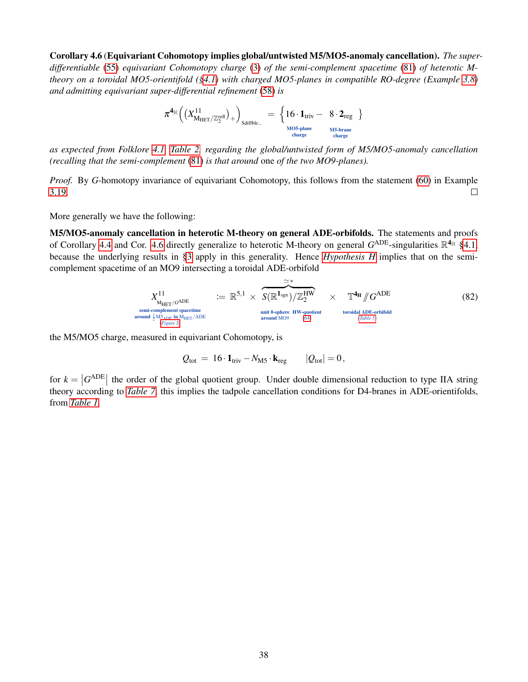Corollary 4.6 (Equivariant Cohomotopy implies global/untwisted M5/MO5-anomaly cancellation). *The superdifferentiable* [\(55\)](#page-28-0) *equivariant Cohomotopy charge* [\(3\)](#page-4-1) *of the semi-complement spacetime* [\(81\)](#page-36-4) *of heterotic Mtheory on a toroidal MO5-orientifold ([§4.1\)](#page-30-1) with charged MO5-planes in compatible RO-degree (Example [3.8\)](#page-17-2) and admitting equivariant super-differential refinement* [\(58\)](#page-29-0) *is*

$$
\pi^{\mathbf{4}_{\mathbb{H}}}\Big(\big(X_{M_{\mathrm{HET}}/\mathbb{Z}_2^{\mathrm{refl}}}\big)_+\Big)_\mathrm{Sdiffble\_}~=~\left\{16\cdot\mathbf{1}_{\mathrm{triv}}-~8\cdot\mathbf{2}_{\mathrm{reg}}~\right\}_{\substack{\mathrm{MOS-plane}\\ \mathrm{charge}\\ \mathrm{charge}}}
$$

*as expected from Folklore [4.1,](#page-34-1) [Table 2,](#page-2-1) regarding the global/untwisted form of M5/MO5-anomaly cancellation (recalling that the semi-complement* [\(81\)](#page-36-4) *is that around* one *of the two MO9-planes).*

*Proof.* By *G*-homotopy invariance of equivariant Cohomotopy, this follows from the statement [\(60\)](#page-30-6) in Example [3.19.](#page-29-3)  $\Box$ 

More generally we have the following:

M5/MO5-anomaly cancellation in heterotic M-theory on general ADE-orbifolds. The statements and proofs of Corollary [4.4](#page-36-0) and Cor. [4.6](#page-36-1) directly generalize to heterotic M-theory on general  $G^{\text{ADE}}$ -singularities  $\mathbb{R}^{4_{\mathbb{H}}}$  [§4.1,](#page-30-1) because the underlying results in [§3](#page-11-0) apply in this generality. Hence *[Hypothesis H](#page-4-0)* implies that on the semicomplement spacetime of an MO9 intersecting a toroidal ADE-orbifold

$$
X_{\text{MHT}/G\text{ADE}}^{11} := \mathbb{R}^{5,1} \times \overbrace{S(\mathbb{R}^{1_{\text{sgn}}})/\mathbb{Z}_2^{\text{HW}}}^{\simeq *} \times \mathbb{T}^{4_{\text{H}}}/G^{\text{ADE}} \times \mathbb{T}^{4_{\text{H}}}/G^{\text{ADE}} \qquad (82)
$$
  
\n<sub>semi-component spacetime  
\naround  $\frac{1}{2} \mathbb{M}_{\text{DSE}} \text{ in } \mathbb{M}_{\text{HET}}/\text{ADE}$   
\n<sub>of</sub>  $\mathbb{M}_{\text{BSE}} \text{ of } \mathbb{M}_{\text{HET}} \times \mathbb{M}_{\text{HET}} \qquad \text{around MO9} \qquad (64)$</sub> 

the M5/MO5 charge, measured in equivariant Cohomotopy, is

$$
Q_{\text{tot}} = 16 \cdot \mathbf{1}_{\text{triv}} - N_{\text{M5}} \cdot \mathbf{k}_{\text{reg}} \qquad |Q_{\text{tot}}| = 0,
$$

for  $k = |G^{ADE}|$  the order of the global quotient group. Under double dimensional reduction to type IIA string theory according to *[Table 7](#page-33-0)*, this implies the tadpole cancellation conditions for D4-branes in ADE-orientifolds, from *[Table 1](#page-1-1)*.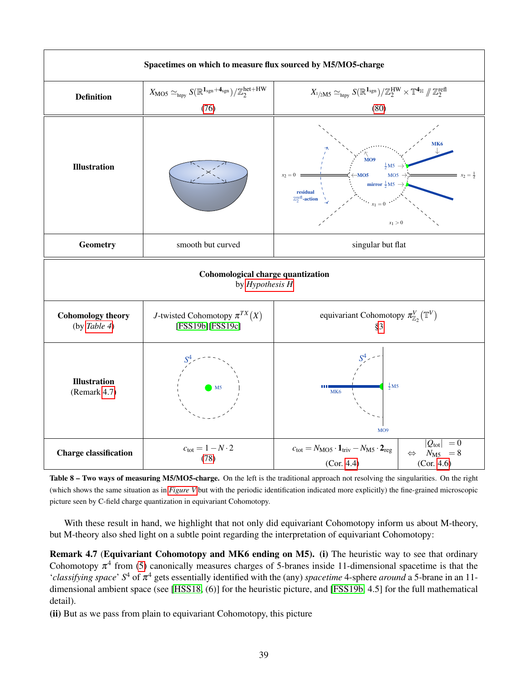<span id="page-38-0"></span>

Table 8 – Two ways of measuring M5/MO5-charge. On the left is the traditional approach not resolving the singularities. On the right (which shows the same situation as in *[Figure V](#page-35-0)* but with the periodic identification indicated more explicitly) the fine-grained microscopic picture seen by C-field charge quantization in equivariant Cohomotopy.

With these result in hand, we highlight that not only did equivariant Cohomotopy inform us about M-theory, but M-theory also shed light on a subtle point regarding the interpretation of equivariant Cohomotopy:

<span id="page-38-1"></span>Remark 4.7 (Equivariant Cohomotopy and MK6 ending on M5). (i) The heuristic way to see that ordinary Cohomotopy  $\pi^4$  from [\(5\)](#page-7-0) canonically measures charges of 5-branes inside 11-dimensional spacetime is that the '*classifying space*' *S* <sup>4</sup> of π <sup>4</sup> gets essentially identified with the (any) *spacetime* 4-sphere *around* a 5-brane in an 11 dimensional ambient space (see [\[HSS18,](#page-43-2) (6)] for the heuristic picture, and [\[FSS19b,](#page-42-16) 4.5] for the full mathematical detail).

(ii) But as we pass from plain to equivariant Cohomotopy, this picture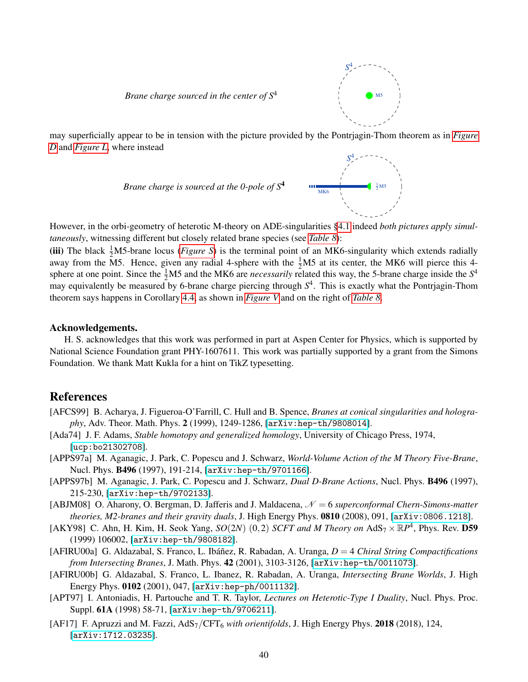



*S* 4

may superficially appear to be in tension with the picture provided by the Pontrjagin-Thom theorem as in *[Figure](#page-8-1) [D](#page-8-1)* and *[Figure L](#page-19-0)*, where instead



However, in the orbi-geometry of heterotic M-theory on ADE-singularities [§4.1](#page-30-1) indeed *both pictures apply simultaneously*, witnessing different but closely related brane species (see *[Table 8](#page-38-0)*):

(iii) The black  $\frac{1}{2}M$ 5-brane locus (*[Figure S](#page-32-0)*) is the terminal point of an MK6-singularity which extends radially away from the M5. Hence, given any radial 4-sphere with the  $\frac{1}{2}$ M5 at its center, the MK6 will pierce this 4sphere at one point. Since the  $\frac{1}{2}M5$  and the MK6 are *necessarily* related this way, the 5-brane charge inside the  $S<sup>4</sup>$ may equivalently be measured by 6-brane charge piercing through *S* 4 . This is exactly what the Pontrjagin-Thom theorem says happens in Corollary [4.4,](#page-36-0) as shown in *[Figure V](#page-35-0)* and on the right of *[Table 8](#page-38-0)*.

#### Acknowledgements.

H. S. acknowledges that this work was performed in part at Aspen Center for Physics, which is supported by National Science Foundation grant PHY-1607611. This work was partially supported by a grant from the Simons Foundation. We thank Matt Kukla for a hint on TikZ typesetting.

## References

- <span id="page-39-6"></span>[AFCS99] B. Acharya, J. Figueroa-O'Farrill, C. Hull and B. Spence, *Branes at conical singularities and holography*, Adv. Theor. Math. Phys. 2 (1999), 1249-1286, [[arXiv:hep-th/9808014](https://arxiv.org/abs/hep-th/9808014)].
- <span id="page-39-5"></span>[Ada74] J. F. Adams, *Stable homotopy and generalized homology*, University of Chicago Press, 1974, [[ucp:bo21302708](https://www.press.uchicago.edu/ucp/books/book/chicago/S/bo21302708.html)].
- <span id="page-39-2"></span>[APPS97a] M. Aganagic, J. Park, C. Popescu and J. Schwarz, *World-Volume Action of the M Theory Five-Brane*, Nucl. Phys. B496 (1997), 191-214, [[arXiv:hep-th/9701166](https://arxiv.org/abs/hep-th/9701166)].
- [APPS97b] M. Aganagic, J. Park, C. Popescu and J. Schwarz, *Dual D-Brane Actions*, Nucl. Phys. B496 (1997), 215-230, [[arXiv:hep-th/9702133](https://arxiv.org/abs/hep-th/9702133)].
- <span id="page-39-8"></span>[ABJM08] O. Aharony, O. Bergman, D. Jafferis and J. Maldacena,  $\mathcal{N}=6$  *superconformal Chern-Simons-matter theories, M2-branes and their gravity duals*, J. High Energy Phys. 0810 (2008), 091, [[arXiv:0806.1218](https://arxiv.org/abs/0806.1218)].
- <span id="page-39-3"></span>[AKY98] C. Ahn, H. Kim, H. Seok Yang,  $SO(2N)$   $(0,2)$  *SCFT and M Theory on* AdS<sub>7</sub>  $\times \mathbb{R}P^4$ , Phys. Rev. **D59** (1999) 106002, [[arXiv:hep-th/9808182](https://arxiv.org/abs/hep-th/9808182)].
- <span id="page-39-0"></span>[AFIRU00a] G. Aldazabal, S. Franco, L. Ibáñez, R. Rabadan, A. Uranga,  $D = 4$  *Chiral String Compactifications from Intersecting Branes*, J. Math. Phys. 42 (2001), 3103-3126, [[arXiv:hep-th/0011073](https://arxiv.org/abs/hep-th/0011073)].
- <span id="page-39-1"></span>[AFIRU00b] G. Aldazabal, S. Franco, L. Ibanez, R. Rabadan, A. Uranga, *Intersecting Brane Worlds*, J. High Energy Phys. 0102 (2001), 047, [[arXiv:hep-ph/0011132](https://arxiv.org/abs/hep-ph/0011132)].
- <span id="page-39-4"></span>[APT97] I. Antoniadis, H. Partouche and T. R. Taylor, *Lectures on Heterotic-Type I Duality*, Nucl. Phys. Proc. Suppl. 61A (1998) 58-71, [[arXiv:hep-th/9706211](https://arxiv.org/abs/hep-th/9706211)].
- <span id="page-39-7"></span>[AF17] F. Apruzzi and M. Fazzi, AdS<sub>7</sub>/CFT<sub>6</sub> with orientifolds, J. High Energy Phys. 2018 (2018), 124, [[arXiv:1712.03235](https://arxiv.org/abs/1712.03235)].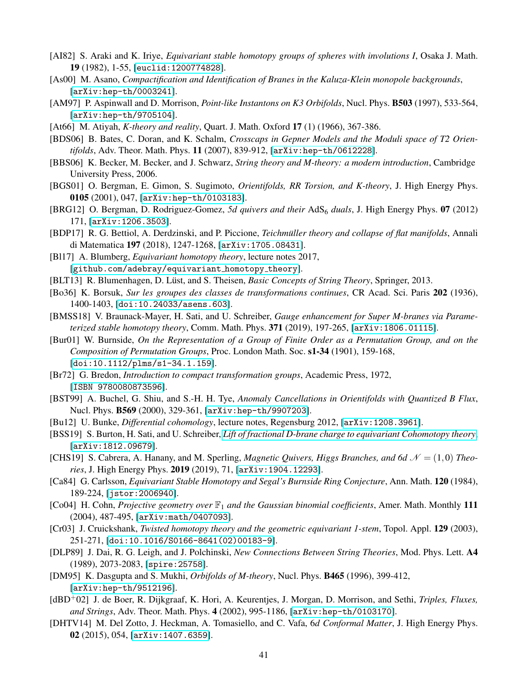- <span id="page-40-16"></span>[AI82] S. Araki and K. Iriye, *Equivariant stable homotopy groups of spheres with involutions I*, Osaka J. Math. 19 (1982), 1-55, [[euclid:1200774828](https://projecteuclid.org/euclid.ojm/1200774828)].
- <span id="page-40-21"></span>[As00] M. Asano, *Compactification and Identification of Branes in the Kaluza-Klein monopole backgrounds*, [[arXiv:hep-th/0003241](https://arxiv.org/abs/hep-th/0003241)].
- <span id="page-40-3"></span>[AM97] P. Aspinwall and D. Morrison, *Point-like Instantons on K3 Orbifolds*, Nucl. Phys. B503 (1997), 533-564, [[arXiv:hep-th/9705104](https://arxiv.org/abs/hep-th/9705104)].
- <span id="page-40-8"></span>[At66] M. Atiyah, *K-theory and reality*, Quart. J. Math. Oxford 17 (1) (1966), 367-386.
- <span id="page-40-7"></span>[BDS06] B. Bates, C. Doran, and K. Schalm, *Crosscaps in Gepner Models and the Moduli space of T2 Orientifolds*, Adv. Theor. Math. Phys. 11 (2007), 839-912, [[arXiv:hep-th/0612228](https://arxiv.org/abs/hep-th/0612228)].
- [BBS06] K. Becker, M. Becker, and J. Schwarz, *String theory and M-theory: a modern introduction*, Cambridge University Press, 2006.
- <span id="page-40-9"></span>[BGS01] O. Bergman, E. Gimon, S. Sugimoto, *Orientifolds, RR Torsion, and K-theory*, J. High Energy Phys. 0105 (2001), 047, [[arXiv:hep-th/0103183](https://arxiv.org/abs/hep-th/0103183)].
- <span id="page-40-23"></span>[BRG12] O. Bergman, D. Rodriguez-Gomez, *5d quivers and their* AdS<sup>6</sup> *duals*, J. High Energy Phys. 07 (2012) 171, [[arXiv:1206.3503](https://arxiv.org/abs/1206.3503)].
- <span id="page-40-15"></span>[BDP17] R. G. Bettiol, A. Derdzinski, and P. Piccione, *Teichmüller theory and collapse of flat manifolds*, Annali di Matematica 197 (2018), 1247-1268, [[arXiv:1705.08431](https://arxiv.org/abs/1705.08431)].
- <span id="page-40-11"></span>[Bl17] A. Blumberg, *Equivariant homotopy theory*, lecture notes 2017, [[github.com/adebray/equivariant](https://github.com/adebray/equivariant_homotopy_theory) homotopy theory].
- <span id="page-40-2"></span>[BLT13] R. Blumenhagen, D. Lüst, and S. Theisen, *Basic Concepts of String Theory*, Springer, 2013.
- <span id="page-40-12"></span>[Bo36] K. Borsuk, *Sur les groupes des classes de transformations continues*, CR Acad. Sci. Paris 202 (1936), 1400-1403, [[doi:10.24033/asens.603](https://doi.org/10.24033/asens.603)].
- <span id="page-40-13"></span>[BMSS18] V. Braunack-Mayer, H. Sati, and U. Schreiber, *Gauge enhancement for Super M-branes via Parameterized stable homotopy theory*, Comm. Math. Phys. 371 (2019), 197-265, [[arXiv:1806.01115](https://arxiv.org/abs/1806.01115)].
- <span id="page-40-17"></span>[Bur01] W. Burnside, *On the Representation of a Group of Finite Order as a Permutation Group, and on the Composition of Permutation Groups*, Proc. London Math. Soc. s1-34 (1901), 159-168, [[doi:10.1112/plms/s1-34.1.159](https://doi.org/10.1112/plms/s1-34.1.159)].
- [Br72] G. Bredon, *Introduction to compact transformation groups*, Academic Press, 1972, [[ISBN 9780080873596](https://www.elsevier.com/books/introduction-to-compact-transformation-groups/bredon/978-0-12-128850-1)].
- <span id="page-40-5"></span>[BST99] A. Buchel, G. Shiu, and S.-H. H. Tye, *Anomaly Cancellations in Orientifolds with Quantized B Flux*, Nucl. Phys. B569 (2000), 329-361, [[arXiv:hep-th/9907203](https://arxiv.org/abs/hep-th/9907203)].
- <span id="page-40-19"></span>[Bu12] U. Bunke, *Differential cohomology*, lecture notes, Regensburg 2012, [[arXiv:1208.3961](https://arxiv.org/abs/1208.3961)].
- <span id="page-40-4"></span>[BSS19] S. Burton, H. Sati, and U. Schreiber, *[Lift of fractional D-brane charge to equivariant Cohomotopy theory](https://ncatlab.org/schreiber/show/Lift+of+fractional+D-brane+charge+to+equivariant+Cohomotopy+theory)*, [[arXiv:1812.09679](https://arxiv.org/abs/1812.09679)].
- <span id="page-40-20"></span>[CHS19] S. Cabrera, A. Hanany, and M. Sperling, *Magnetic Quivers, Higgs Branches, and 6d*  $\mathcal{N} = (1,0)$  *Theories*, J. High Energy Phys. 2019 (2019), 71, [[arXiv:1904.12293](https://arxiv.org/abs/1904.12293)].
- <span id="page-40-14"></span>[Ca84] G. Carlsson, *Equivariant Stable Homotopy and Segal's Burnside Ring Conjecture*, Ann. Math. 120 (1984), 189-224, [[jstor:2006940](https://www.jstor.org/stable/2006940)].
- <span id="page-40-18"></span>[Co04] H. Cohn, *Projective geometry over* F<sup>1</sup> *and the Gaussian binomial coefficients*, Amer. Math. Monthly 111 (2004), 487-495, [[arXiv:math/0407093](https://arxiv.org/abs/math/0407093)].
- <span id="page-40-10"></span>[Cr03] J. Cruickshank, *Twisted homotopy theory and the geometric equivariant 1-stem*, Topol. Appl. 129 (2003), 251-271, [[doi:10.1016/S0166-8641\(02\)00183-9](https://doi.org/10.1016/S0166-8641(02)00183-9)].
- <span id="page-40-0"></span>[DLP89] J. Dai, R. G. Leigh, and J. Polchinski, *New Connections Between String Theories*, Mod. Phys. Lett. A4 (1989), 2073-2083, [[spire:25758](http://inspirehep.net/record/25758)].
- <span id="page-40-6"></span>[DM95] K. Dasgupta and S. Mukhi, *Orbifolds of M-theory*, Nucl. Phys. B465 (1996), 399-412, [[arXiv:hep-th/9512196](https://arxiv.org/abs/hep-th/9512196)].
- <span id="page-40-1"></span>[dBD+02] J. de Boer, R. Dijkgraaf, K. Hori, A. Keurentjes, J. Morgan, D. Morrison, and Sethi, *Triples, Fluxes, and Strings*, Adv. Theor. Math. Phys. 4 (2002), 995-1186, [[arXiv:hep-th/0103170](https://arxiv.org/abs/hep-th/0103170)].
- <span id="page-40-22"></span>[DHTV14] M. Del Zotto, J. Heckman, A. Tomasiello, and C. Vafa, 6*d Conformal Matter*, J. High Energy Phys. 02 (2015), 054, [[arXiv:1407.6359](https://arxiv.org/abs/1407.6359)].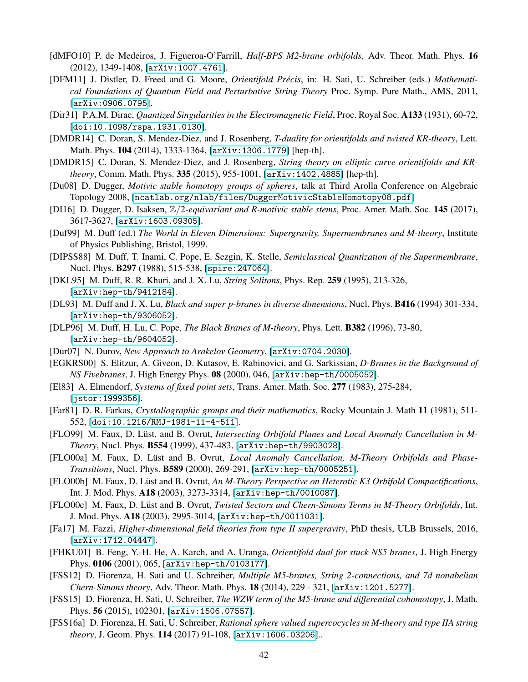- <span id="page-41-17"></span>[dMFO10] P. de Medeiros, J. Figueroa-O'Farrill, *Half-BPS M2-brane orbifolds*, Adv. Theor. Math. Phys. 16 (2012), 1349-1408, [[arXiv:1007.4761](https://arxiv.org/abs/1007.4761)].
- <span id="page-41-4"></span>[DFM11] J. Distler, D. Freed and G. Moore, *Orientifold Précis*, in: H. Sati, U. Schreiber (eds.) Mathemati*cal Foundations of Quantum Field and Perturbative String Theory* Proc. Symp. Pure Math., AMS, 2011, [[arXiv:0906.0795](https://arxiv.org/abs/0906.0795)].
- <span id="page-41-1"></span>[Dir31] P.A.M. Dirac, *Quantized Singularities in the Electromagnetic Field*, Proc. Royal Soc. A133 (1931), 60-72, [[doi:10.1098/rspa.1931.0130](https://royalsocietypublishing.org/doi/abs/10.1098/rspa.1931.0130)].
- <span id="page-41-2"></span>[DMDR14] C. Doran, S. Mendez-Diez, and J. Rosenberg, *T-duality for orientifolds and twisted KR-theory*, Lett. Math. Phys. 104 (2014), 1333-1364, [[arXiv:1306.1779](https://arxiv.org/abs/1306.1779)] [hep-th].
- <span id="page-41-3"></span>[DMDR15] C. Doran, S. Mendez-Diez, and J. Rosenberg, *String theory on elliptic curve orientifolds and KRtheory*, Comm. Math. Phys. 335 (2015), 955-1001, [[arXiv:1402.4885](https://arxiv.org/abs/1402.4885)] [hep-th].
- <span id="page-41-10"></span>[Du08] D. Dugger, *Motivic stable homotopy groups of spheres*, talk at Third Arolla Conference on Algebraic Topology 2008, [[ncatlab.org/nlab/files/DuggerMotivicStableHomotopy08.pdf](https://ncatlab.org/nlab/files/DuggerMotivicStableHomotopy08.pdf)]
- <span id="page-41-9"></span>[DI16] D. Dugger, D. Isaksen, Z/2*-equivariant and R-motivic stable stems*, Proc. Amer. Math. Soc. 145 (2017), 3617-3627, [[arXiv:1603.09305](https://arxiv.org/abs/1603.09305)].
- <span id="page-41-7"></span>[Duf99] M. Duff (ed.) *The World in Eleven Dimensions: Supergravity, Supermembranes and M-theory*, Institute of Physics Publishing, Bristol, 1999.
- [DIPSS88] M. Duff, T. Inami, C. Pope, E. Sezgin, K. Stelle, *Semiclassical Quantization of the Supermembrane*, Nucl. Phys. B297 (1988), 515-538, [[spire:247064](http://inspirehep.net/record/247064)].
- [DKL95] M. Duff, R. R. Khuri, and J. X. Lu, *String Solitons*, Phys. Rep. 259 (1995), 213-326, [[arXiv:hep-th/9412184](https://arxiv.org/abs/hep-th/9412184)].
- [DL93] M. Duff and J. X. Lu, *Black and super p-branes in diverse dimensions*, Nucl. Phys. B416 (1994) 301-334, [[arXiv:hep-th/9306052](https://arxiv.org/abs/hep-th/9306052)].
- [DLP96] M. Duff, H. Lu, C. Pope, *The Black Branes of M-theory*, Phys. Lett. B382 (1996), 73-80, [[arXiv:hep-th/9604052](https://arxiv.org/abs/hep-th/9604052)].
- <span id="page-41-11"></span>[Dur07] N. Durov, *New Approach to Arakelov Geometry*, [[arXiv:0704.2030](https://arxiv.org/abs/0704.2030)].
- <span id="page-41-18"></span>[EGKRS00] S. Elitzur, A. Giveon, D. Kutasov, E. Rabinovici, and G. Sarkissian, *D-Branes in the Background of NS Fivebranes*, J. High Energy Phys. 08 (2000), 046, [[arXiv:hep-th/0005052](https://arxiv.org/abs/hep-th/0005052)].
- [El83] A. Elmendorf, *Systems of fixed point sets*, Trans. Amer. Math. Soc. 277 (1983), 275-284, [[jstor:1999356](https://www.jstor.org/stable/1999356)].
- <span id="page-41-8"></span>[Far81] D. R. Farkas, *Crystallographic groups and their mathematics*, Rocky Mountain J. Math 11 (1981), 511- 552, [[doi:10.1216/RMJ-1981-11-4-511](https://projecteuclid.org/euclid.rmjm/1250128489)].
- <span id="page-41-13"></span>[FLO99] M. Faux, D. Lüst, and B. Ovrut, *Intersecting Orbifold Planes and Local Anomaly Cancellation in M-Theory*, Nucl. Phys. B554 (1999), 437-483, [[arXiv:hep-th/9903028](https://arxiv.org/abs/hep-th/9903028)].
- <span id="page-41-14"></span>[FLO00a] M. Faux, D. Lüst and B. Ovrut, *Local Anomaly Cancellation, M-Theory Orbifolds and Phase-Transitions*, Nucl. Phys. B589 (2000), 269-291, [[arXiv:hep-th/0005251](https://arxiv.org/abs/hep-th/0005251)].
- <span id="page-41-15"></span>[FLO00b] M. Faux, D. Lüst and B. Ovrut, An M-Theory Perspective on Heterotic K3 Orbifold Compactifications, Int. J. Mod. Phys. A18 (2003), 3273-3314, [[arXiv:hep-th/0010087](https://arxiv.org/abs/hep-th/0010087)].
- <span id="page-41-16"></span>[FLO00c] M. Faux, D. Lüst and B. Ovrut, *Twisted Sectors and Chern-Simons Terms in M-Theory Orbifolds*, Int. J. Mod. Phys. A18 (2003), 2995-3014, [[arXiv:hep-th/0011031](https://arxiv.org/abs/hep-th/0011031)].
- <span id="page-41-19"></span>[Fa17] M. Fazzi, *Higher-dimensional field theories from type II supergravity*, PhD thesis, ULB Brussels, 2016, [[arXiv:1712.04447](https://arxiv.org/abs/1712.04447)].
- <span id="page-41-0"></span>[FHKU01] B. Feng, Y.-H. He, A. Karch, and A. Uranga, *Orientifold dual for stuck NS5 branes*, J. High Energy Phys. 0106 (2001), 065, [[arXiv:hep-th/0103177](https://arxiv.org/abs/hep-th/0103177)].
- <span id="page-41-12"></span>[FSS12] D. Fiorenza, H. Sati and U. Schreiber, *Multiple M5-branes, String 2-connections, and 7d nonabelian Chern-Simons theory*, Adv. Theor. Math. Phys. 18 (2014), 229 - 321, [[arXiv:1201.5277](https://arxiv.org/abs/1201.5277)].
- <span id="page-41-5"></span>[FSS15] D. Fiorenza, H. Sati, U. Schreiber, *The WZW term of the M5-brane and differential cohomotopy*, J. Math. Phys. 56 (2015), 102301, [[arXiv:1506.07557](https://arxiv.org/abs/1506.07557)].
- <span id="page-41-6"></span>[FSS16a] D. Fiorenza, H. Sati, U. Schreiber, *Rational sphere valued supercocycles in M-theory and type IIA string theory*, J. Geom. Phys. 114 (2017) 91-108, [[arXiv:1606.03206](https://arxiv.org/abs/1606.03206)]..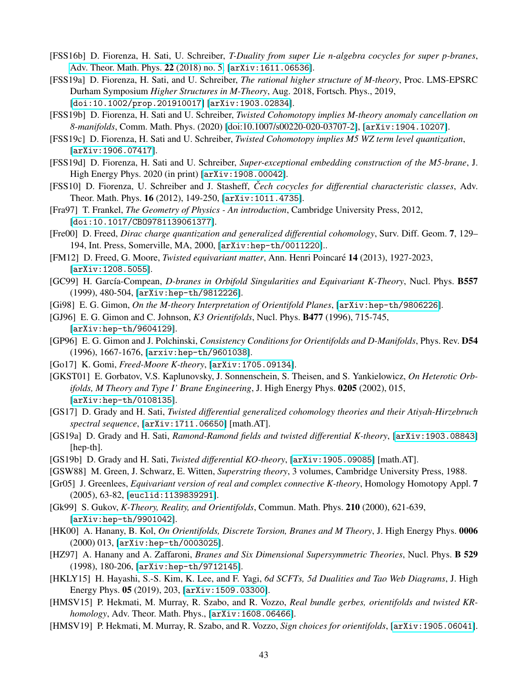- <span id="page-42-17"></span>[FSS16b] D. Fiorenza, H. Sati, U. Schreiber, *T-Duality from super Lie n-algebra cocycles for super p-branes*, [Adv. Theor. Math. Phys.](http://www.intlpress.com/site/pub/pages/journals/items/atmp/content/vols/0022/0005/) 22 (2018) no. 5, [[arXiv:1611.06536](https://arxiv.org/abs/1611.06536)].
- <span id="page-42-18"></span>[FSS19a] D. Fiorenza, H. Sati, and U. Schreiber, *The rational higher structure of M-theory*, Proc. LMS-EPSRC Durham Symposium *Higher Structures in M-Theory*, Aug. 2018, Fortsch. Phys., 2019, [[doi:10.1002/prop.201910017](https://doi.org/10.1002/prop.201910017)] [[arXiv:1903.02834](https://arxiv.org/abs/1903.02834)].
- <span id="page-42-16"></span>[FSS19b] D. Fiorenza, H. Sati and U. Schreiber, *Twisted Cohomotopy implies M-theory anomaly cancellation on 8-manifolds*, Comm. Math. Phys. (2020) [\[doi:10.1007/s00220-020-03707-2\]](https://doi.org/10.1007/s00220-020-03707-2), [[arXiv:1904.10207](https://arxiv.org/abs/1904.10207)].
- <span id="page-42-19"></span>[FSS19c] D. Fiorenza, H. Sati and U. Schreiber, *Twisted Cohomotopy implies M5 WZ term level quantization*, [[arXiv:1906.07417](https://arxiv.org/abs/1906.07417)].
- <span id="page-42-21"></span>[FSS19d] D. Fiorenza, H. Sati and U. Schreiber, *Super-exceptional embedding construction of the M5-brane*, J. High Energy Phys. 2020 (in print) [[arXiv:1908.00042](https://arxiv.org/abs/1908.00042)].
- <span id="page-42-20"></span>[FSS10] D. Fiorenza, U. Schreiber and J. Stasheff, *Čech cocycles for differential characteristic classes*, Adv. Theor. Math. Phys. 16 (2012), 149-250, [[arXiv:1011.4735](https://arxiv.org/abs/1011.4735)].
- <span id="page-42-6"></span>[Fra97] T. Frankel, *The Geometry of Physics - An introduction*, Cambridge University Press, 2012, [[doi:10.1017/CBO9781139061377](https://doi.org/10.1017/CBO9781139061377)].
- <span id="page-42-7"></span>[Fre00] D. Freed, *Dirac charge quantization and generalized differential cohomology*, Surv. Diff. Geom. 7, 129– 194, Int. Press, Somerville, MA, 2000, [[arXiv:hep-th/0011220](http://arxiv.org/abs/hep-th/0011220)]..
- <span id="page-42-12"></span>[FM12] D. Freed, G. Moore, *Twisted equivariant matter*, Ann. Henri Poincaré 14 (2013), 1927-2023, [[arXiv:1208.5055](https://arxiv.org/abs/1208.5055)].
- <span id="page-42-10"></span>[GC99] H. García-Compean, *D-branes in Orbifold Singularities and Equivariant K-Theory*, Nucl. Phys. **B557** (1999), 480-504, [[arXiv:hep-th/9812226](https://arxiv.org/abs/hep-th/9812226)].
- <span id="page-42-14"></span>[Gi98] E. G. Gimon, *On the M-theory Interpretation of Orientifold Planes*, [[arXiv:hep-th/9806226](https://arxiv.org/abs/hep-th/9806226)].
- <span id="page-42-1"></span>[GJ96] E. G. Gimon and C. Johnson, *K3 Orientifolds*, Nucl. Phys. B477 (1996), 715-745, [[arXiv:hep-th/9604129](https://arxiv.org/abs/hep-th/9604129)].
- <span id="page-42-0"></span>[GP96] E. G. Gimon and J. Polchinski, *Consistency Conditions for Orientifolds and D-Manifolds*, Phys. Rev. D54 (1996), 1667-1676, [[arxiv:hep-th/9601038](https://arxiv.org/abs/hep-th/9601038)].
- <span id="page-42-13"></span>[Go17] K. Gomi, *Freed-Moore K-theory*, [[arXiv:1705.09134](https://arxiv.org/abs/1705.09134)].
- <span id="page-42-22"></span>[GKST01] E. Gorbatov, V.S. Kaplunovsky, J. Sonnenschein, S. Theisen, and S. Yankielowicz, *On Heterotic Orbifolds, M Theory and Type I' Brane Engineering*, J. High Energy Phys. 0205 (2002), 015, [[arXiv:hep-th/0108135](https://arxiv.org/abs/hep-th/0108135)].
- <span id="page-42-3"></span>[GS17] D. Grady and H. Sati, *Twisted differential generalized cohomology theories and their Atiyah-Hirzebruch spectral sequence*, [[arXiv:1711.06650](https://arxiv.org/abs/1903.08843)] [math.AT].
- <span id="page-42-4"></span>[GS19a] D. Grady and H. Sati, *Ramond-Ramond fields and twisted differential K-theory*, [[arXiv:1903.08843](https://arxiv.org/abs/1903.08843)] [hep-th].
- <span id="page-42-5"></span>[GS19b] D. Grady and H. Sati, *Twisted differential KO-theory*, [[arXiv:1905.09085](https://arxiv.org/abs/1905.09085)] [math.AT].
- [GSW88] M. Green, J. Schwarz, E. Witten, *Superstring theory*, 3 volumes, Cambridge University Press, 1988.
- <span id="page-42-11"></span>[Gr05] J. Greenlees, *Equivariant version of real and complex connective K-theory*, Homology Homotopy Appl. 7 (2005), 63-82, [[euclid:1139839291](https://projecteuclid.org/euclid.hha/1139839291)].
- <span id="page-42-8"></span>[Gk99] S. Gukov, *K-Theory, Reality, and Orientifolds*, Commun. Math. Phys. 210 (2000), 621-639, [[arXiv:hep-th/9901042](https://arxiv.org/abs/hep-th/9901042)].
- <span id="page-42-15"></span>[HK00] A. Hanany, B. Kol, *On Orientifolds, Discrete Torsion, Branes and M Theory*, J. High Energy Phys. 0006 (2000) 013, [[arXiv:hep-th/0003025](https://arxiv.org/abs/hep-th/0003025)].
- <span id="page-42-23"></span>[HZ97] A. Hanany and A. Zaffaroni, *Branes and Six Dimensional Supersymmetric Theories*, Nucl. Phys. B 529 (1998), 180-206, [[arXiv:hep-th/9712145](https://arxiv.org/abs/hep-th/9712145)].
- <span id="page-42-24"></span>[HKLY15] H. Hayashi, S.-S. Kim, K. Lee, and F. Yagi, *6d SCFTs, 5d Dualities and Tao Web Diagrams*, J. High Energy Phys. 05 (2019), 203, [[arXiv:1509.03300](https://arxiv.org/abs/1509.03300)].
- <span id="page-42-9"></span>[HMSV15] P. Hekmati, M. Murray, R. Szabo, and R. Vozzo, *Real bundle gerbes, orientifolds and twisted KRhomology*, Adv. Theor. Math. Phys., [[arXiv:1608.06466](https://arxiv.org/abs/1608.06466)].
- <span id="page-42-2"></span>[HMSV19] P. Hekmati, M. Murray, R. Szabo, and R. Vozzo, *Sign choices for orientifolds*, [[arXiv:1905.06041](https://arxiv.org/abs/1905.06041)].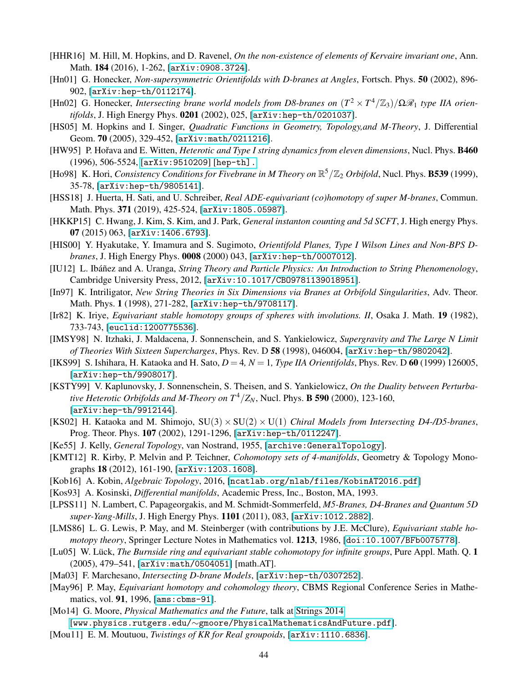- <span id="page-43-17"></span>[HHR16] M. Hill, M. Hopkins, and D. Ravenel, *On the non-existence of elements of Kervaire invariant one*, Ann. Math. 184 (2016), 1-262, [[arXiv:0908.3724](https://arxiv.org/abs/0908.3724)].
- <span id="page-43-5"></span>[Hn01] G. Honecker, *Non-supersymmetric Orientifolds with D-branes at Angles*, Fortsch. Phys. 50 (2002), 896- 902, [[arXiv:hep-th/0112174](https://arxiv.org/abs/hep-th/0112174)].
- <span id="page-43-6"></span>[Hn02] G. Honecker, *Intersecting brane world models from D8-branes on*  $(T^2 \times T^4/\mathbb{Z}_3)/\Omega \mathbb{R}_1$  type IIA orien*tifolds*, J. High Energy Phys. 0201 (2002), 025, [[arXiv:hep-th/0201037](https://arxiv.org/abs/hep-th/0201037)].
- <span id="page-43-13"></span>[HS05] M. Hopkins and I. Singer, *Quadratic Functions in Geometry, Topology,and M-Theory*, J. Differential Geom. 70 (2005), 329-452, [[arXiv:math/0211216](https://arxiv.org/abs/math/0211216)].
- <span id="page-43-25"></span>[HW95] P. Hořava and E. Witten, *Heterotic and Type I string dynamics from eleven dimensions*, Nucl. Phys. **B460** (1996), 506-5524, [[arXiv:9510209](https://arxiv.org/abs/hep-th/9510209)] [hep-th].
- <span id="page-43-9"></span>[Ho98] K. Hori, *Consistency Conditions for Fivebrane in M Theory on*  $\mathbb{R}^5/\mathbb{Z}_2$  *Orbifold*, Nucl. Phys. **B539** (1999), 35-78, [[arXiv:hep-th/9805141](https://arxiv.org/abs/hep-th/9805141)].
- <span id="page-43-2"></span>[HSS18] J. Huerta, H. Sati, and U. Schreiber, *Real ADE-equivariant (co)homotopy of super M-branes*, Commun. Math. Phys. 371 (2019), 425-524, [[arXiv:1805.05987](https://arxiv.org/abs/1805.05987)].
- <span id="page-43-26"></span>[HKKP15] C. Hwang, J. Kim, S. Kim, and J. Park, *General instanton counting and 5d SCFT*, J. High energy Phys. 07 (2015) 063, [[arXiv:1406.6793](https://arxiv.org/abs/1406.6793)].
- <span id="page-43-12"></span>[HIS00] Y. Hyakutake, Y. Imamura and S. Sugimoto, *Orientifold Planes, Type I Wilson Lines and Non-BPS Dbranes*, J. High Energy Phys. 0008 (2000) 043, [[arXiv:hep-th/0007012](https://arxiv.org/abs/hep-th/0007012)].
- <span id="page-43-0"></span>[IU12] L. Ibáñez and A. Uranga, *String Theory and Particle Physics: An Introduction to String Phenomenology*, Cambridge University Press, 2012, [[arXiv:10.1017/CBO9781139018951](https://doi.org/10.1017/CBO9781139018951)].
- <span id="page-43-1"></span>[In97] K. Intriligator, *New String Theories in Six Dimensions via Branes at Orbifold Singularities*, Adv. Theor. Math. Phys. 1 (1998), 271-282, [[arXiv:hep-th/9708117](https://arxiv.org/abs/hep-th/9708117)].
- <span id="page-43-22"></span>[Ir82] K. Iriye, *Equivariant stable homotopy groups of spheres with involutions. II*, Osaka J. Math. 19 (1982), 733-743, [[euclid:1200775536](https://projecteuclid.org/euclid.ojm/1200775536)].
- <span id="page-43-24"></span>[IMSY98] N. Itzhaki, J. Maldacena, J. Sonnenschein, and S. Yankielowicz, *Supergravity and The Large N Limit of Theories With Sixteen Supercharges*, Phys. Rev. D 58 (1998), 046004, [[arXiv:hep-th/9802042](https://arxiv.org/abs/hep-th/9802042)].
- <span id="page-43-7"></span>[IKS99] S. Ishihara, H. Kataoka and H. Sato, *D* = 4*, N* = 1*, Type IIA Orientifolds*, Phys. Rev. D 60 (1999) 126005, [[arXiv:hep-th/9908017](https://arxiv.org/abs/hep-th/9908017)].
- <span id="page-43-23"></span>[KSTY99] V. Kaplunovsky, J. Sonnenschein, S. Theisen, and S. Yankielowicz, *On the Duality between Perturbative Heterotic Orbifolds and M-Theory on*  $T^4/Z_N$ , Nucl. Phys. **B 590** (2000), 123-160, [[arXiv:hep-th/9912144](https://arxiv.org/abs/hep-th/9912144)].
- <span id="page-43-3"></span>[KS02] H. Kataoka and M. Shimojo, SU(3) × SU(2) × U(1) *Chiral Models from Intersecting D4-/D5-branes*, Prog. Theor. Phys. 107 (2002), 1291-1296, [[arXiv:hep-th/0112247](https://arxiv.org/abs/hep-th/0112247)].
- <span id="page-43-20"></span>[Ke55] J. Kelly, *General Topology*, van Nostrand, 1955, [[archive:GeneralTopology](https://archive.org/details/GeneralTopology)].
- <span id="page-43-14"></span>[KMT12] R. Kirby, P. Melvin and P. Teichner, *Cohomotopy sets of 4-manifolds*, Geometry & Topology Monographs 18 (2012), 161-190, [[arXiv:1203.1608](https://arxiv.org/abs/1203.1608)].
- <span id="page-43-19"></span>[Kob16] A. Kobin, *Algebraic Topology*, 2016, [[ncatlab.org/nlab/files/KobinAT2016.pdf](https://ncatlab.org/nlab/files/KobinAT2016.pdf)]
- <span id="page-43-18"></span>[Kos93] A. Kosinski, *Differential manifolds*, Academic Press, Inc., Boston, MA, 1993.
- <span id="page-43-8"></span>[LPSS11] N. Lambert, C. Papageorgakis, and M. Schmidt-Sommerfeld, *M5-Branes, D4-Branes and Quantum 5D super-Yang-Mills*, J. High Energy Phys. 1101 (2011), 083, [[arXiv:1012.2882](https://arxiv.org/abs/1012.2882)].
- <span id="page-43-16"></span>[LMS86] L. G. Lewis, P. May, and M. Steinberger (with contributions by J.E. McClure), *Equivariant stable homotopy theory*, Springer Lecture Notes in Mathematics vol. 1213, 1986, [[doi:10.1007/BFb0075778](https://link.springer.com/book/10.1007/BFb0075778)].
- <span id="page-43-15"></span>[Lu05] W. Lück, *The Burnside ring and equivariant stable cohomotopy for infinite groups*, Pure Appl. Math. Q. 1 (2005), 479–541, [[arXiv:math/0504051](https://arxiv.org/abs/math/0504051)] [math.AT].
- <span id="page-43-4"></span>[Ma03] F. Marchesano, *Intersecting D-brane Models*, [[arXiv:hep-th/0307252](https://arxiv.org/abs/hep-th/0307252)].
- <span id="page-43-21"></span>[May96] P. May, *Equivariant homotopy and cohomology theory*, CBMS Regional Conference Series in Mathematics, vol. 91, 1996, [[ams:cbms-91](https://bookstore.ams.org/cbms-91)].
- <span id="page-43-10"></span>[Mo14] G. Moore, *Physical Mathematics and the Future*, talk at [Strings 2014](http://physics.princeton.edu/strings2014/)
- [www.physics.rutgers.edu/∼[gmoore/PhysicalMathematicsAndFuture.pdf](http://www.physics.rutgers.edu/~gmoore/PhysicalMathematicsAndFuture.pdf)].
- <span id="page-43-11"></span>[Mou11] E. M. Moutuou, *Twistings of KR for Real groupoids*, [[arXiv:1110.6836](https://arxiv.org/abs/1110.6836)].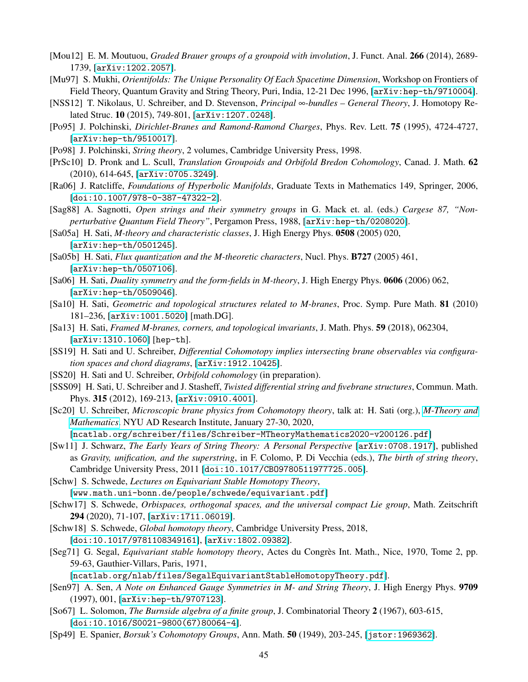- <span id="page-44-3"></span>[Mou12] E. M. Moutuou, *Graded Brauer groups of a groupoid with involution*, J. Funct. Anal. 266 (2014), 2689- 1739, [[arXiv:1202.2057](https://arxiv.org/abs/1202.2057)].
- <span id="page-44-1"></span>[Mu97] S. Mukhi, *Orientifolds: The Unique Personality Of Each Spacetime Dimension*, Workshop on Frontiers of Field Theory, Quantum Gravity and String Theory, Puri, India, 12-21 Dec 1996, [[arXiv:hep-th/9710004](https://arxiv.org/abs/hep-th/9710004)].
- <span id="page-44-14"></span>[NSS12] T. Nikolaus, U. Schreiber, and D. Stevenson, *Principal* ∞*-bundles – General Theory*, J. Homotopy Related Struc. 10 (2015), 749-801, [[arXiv:1207.0248](https://arxiv.org/abs/1207.0248)].
- [Po95] J. Polchinski, *Dirichlet-Branes and Ramond-Ramond Charges*, Phys. Rev. Lett. 75 (1995), 4724-4727, [[arXiv:hep-th/9510017](https://arxiv.org/abs/hep-th/9510017)].
- [Po98] J. Polchinski, *String theory*, 2 volumes, Cambridge University Press, 1998.
- <span id="page-44-17"></span>[PrSc10] D. Pronk and L. Scull, *Translation Groupoids and Orbifold Bredon Cohomology*, Canad. J. Math. 62 (2010), 614-645, [[arXiv:0705.3249](https://arxiv.org/abs/0705.3249)].
- <span id="page-44-2"></span>[Ra06] J. Ratcliffe, *Foundations of Hyperbolic Manifolds*, Graduate Texts in Mathematics 149, Springer, 2006, [[doi:10.1007/978-0-387-47322-2](https://doi.org/10.1007/978-0-387-47322-2)].
- <span id="page-44-0"></span>[Sag88] A. Sagnotti, *Open strings and their symmetry groups* in G. Mack et. al. (eds.) *Cargese 87, "Nonperturbative Quantum Field Theory"*, Pergamon Press, 1988, [[arXiv:hep-th/0208020](https://arxiv.org/abs/hep-th/0208020)].
- <span id="page-44-5"></span>[Sa05a] H. Sati, *M-theory and characteristic classes*, J. High Energy Phys. 0508 (2005) 020, [[arXiv:hep-th/0501245](https://arxiv.org/abs/hep-th/0501245)].
- <span id="page-44-6"></span>[Sa05b] H. Sati, *Flux quantization and the M-theoretic characters*, Nucl. Phys. B727 (2005) 461, [[arXiv:hep-th/0507106](https://arxiv.org/abs/hep-th/0507106)].
- <span id="page-44-7"></span>[Sa06] H. Sati, *Duality symmetry and the form-fields in M-theory*, J. High Energy Phys. 0606 (2006) 062, [[arXiv:hep-th/0509046](https://arxiv.org/abs/hep-th/0509046)].
- <span id="page-44-8"></span>[Sa10] H. Sati, *Geometric and topological structures related to M-branes*, Proc. Symp. Pure Math. 81 (2010) 181–236, [[arXiv:1001.5020](https://arxiv.org/abs/1001.5020)] [math.DG].
- <span id="page-44-9"></span>[Sa13] H. Sati, *Framed M-branes, corners, and topological invariants*, J. Math. Phys. 59 (2018), 062304, [[arXiv:1310.1060](https://arxiv.org/abs/1310.1060)] [hep-th].
- <span id="page-44-10"></span>[SS19] H. Sati and U. Schreiber, *Differential Cohomotopy implies intersecting brane observables via configuration spaces and chord diagrams*, [[arXiv:1912.10425](https://arxiv.org/abs/1912.10425)].
- <span id="page-44-15"></span>[SS20] H. Sati and U. Schreiber, *Orbifold cohomology* (in preparation).
- <span id="page-44-13"></span>[SSS09] H. Sati, U. Schreiber and J. Stasheff, *Twisted differential string and fivebrane structures*, Commun. Math. Phys. 315 (2012), 169-213, [[arXiv:0910.4001](https://arxiv.org/abs/0910.4001)].
- <span id="page-44-11"></span>[Sc20] U. Schreiber, *Microscopic brane physics from Cohomotopy theory*, talk at: H. Sati (org.), *[M-Theory and](https://hisham-sati.github.io/M-theory-and-Mathematics/) [Mathematics](https://hisham-sati.github.io/M-theory-and-Mathematics/)*. NYU AD Research Institute, January 27-30, 2020,
	- [[ncatlab.org/schreiber/files/Schreiber-MTheoryMathematics2020-v200126.pdf](https://ncatlab.org/schreiber/files/Schreiber-MTheoryMathematics2020-v200126.pdf)]
- <span id="page-44-4"></span>[Sw11] J. Schwarz, *The Early Years of String Theory: A Personal Perspective* [[arXiv:0708.1917](https://arxiv.org/abs/0708.1917)], published as *Gravity, unification, and the superstring*, in F. Colomo, P. Di Vecchia (eds.), *The birth of string theory*, Cambridge University Press, 2011 [[doi:10.1017/CBO9780511977725.005](https://doi.org/10.1017/CBO9780511977725.005)].
- <span id="page-44-20"></span>[Schw] S. Schwede, *Lectures on Equivariant Stable Homotopy Theory*, [[www.math.uni-bonn.de/people/schwede/equivariant.pdf](http://www.math.uni-bonn.de/people/schwede/equivariant.pdf)]
- <span id="page-44-18"></span>[Schw17] S. Schwede, *Orbispaces, orthogonal spaces, and the universal compact Lie group*, Math. Zeitschrift 294 (2020), 71-107, [[arXiv:1711.06019](https://arxiv.org/abs/1711.06019)].
- <span id="page-44-19"></span>[Schw18] S. Schwede, *Global homotopy theory*, Cambridge University Press, 2018, [[doi:10.1017/9781108349161](https://doi.org/10.1017/9781108349161)], [[arXiv:1802.09382](https://arxiv.org/abs/1802.09382)].
- <span id="page-44-16"></span>[Seg71] G. Segal, *Equivariant stable homotopy theory*, Actes du Congres Int. Math., Nice, 1970, Tome 2, pp. ` 59-63, Gauthier-Villars, Paris, 1971,

[[ncatlab.org/nlab/files/SegalEquivariantStableHomotopyTheory.pdf](https://ncatlab.org/nlab/files/SegalEquivariantStableHomotopyTheory.pdf)].

- <span id="page-44-22"></span>[Sen97] A. Sen, *A Note on Enhanced Gauge Symmetries in M- and String Theory*, J. High Energy Phys. 9709 (1997), 001, [[arXiv:hep-th/9707123](https://arxiv.org/abs/hep-th/9707123)].
- <span id="page-44-21"></span>[So67] L. Solomon, *The Burnside algebra of a finite group*, J. Combinatorial Theory 2 (1967), 603-615, [[doi:10.1016/S0021-9800\(67\)80064-4](https://doi.org/10.1016/S0021-9800(67)80064-4)].
- <span id="page-44-12"></span>[Sp49] E. Spanier, *Borsuk's Cohomotopy Groups*, Ann. Math. 50 (1949), 203-245, [[jstor:1969362](http://www.jstor.org/stable/1969362)].